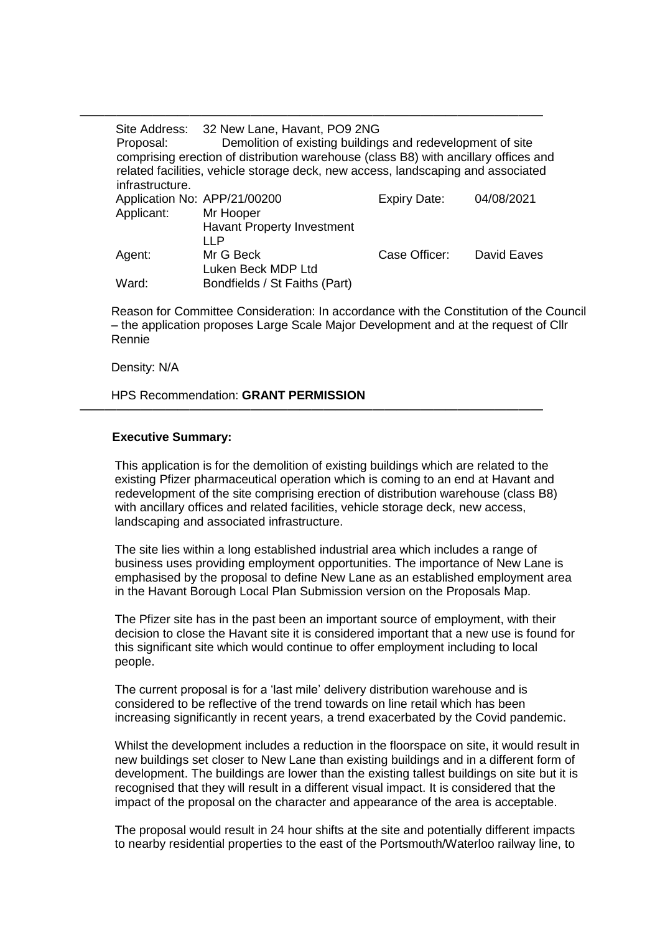—————————————————————————————————————— Site Address: 32 New Lane, Havant, PO9 2NG Proposal: Demolition of existing buildings and redevelopment of site comprising erection of distribution warehouse (class B8) with ancillary offices and related facilities, vehicle storage deck, new access, landscaping and associated infrastructure. Application No: APP/21/00200 Expiry Date: 04/08/2021 Applicant: Mr Hooper Havant Property Investment LLP Agent: Mr G Beck Luken Beck MDP Ltd Case Officer: David Eaves Ward: Bondfields / St Faiths (Part)

Reason for Committee Consideration: In accordance with the Constitution of the Council – the application proposes Large Scale Major Development and at the request of Cllr Rennie

Density: N/A

HPS Recommendation: **GRANT PERMISSION**

### **Executive Summary:**

This application is for the demolition of existing buildings which are related to the existing Pfizer pharmaceutical operation which is coming to an end at Havant and redevelopment of the site comprising erection of distribution warehouse (class B8) with ancillary offices and related facilities, vehicle storage deck, new access, landscaping and associated infrastructure.

——————————————————————————————————————

The site lies within a long established industrial area which includes a range of business uses providing employment opportunities. The importance of New Lane is emphasised by the proposal to define New Lane as an established employment area in the Havant Borough Local Plan Submission version on the Proposals Map.

The Pfizer site has in the past been an important source of employment, with their decision to close the Havant site it is considered important that a new use is found for this significant site which would continue to offer employment including to local people.

The current proposal is for a 'last mile' delivery distribution warehouse and is considered to be reflective of the trend towards on line retail which has been increasing significantly in recent years, a trend exacerbated by the Covid pandemic.

Whilst the development includes a reduction in the floorspace on site, it would result in new buildings set closer to New Lane than existing buildings and in a different form of development. The buildings are lower than the existing tallest buildings on site but it is recognised that they will result in a different visual impact. It is considered that the impact of the proposal on the character and appearance of the area is acceptable.

The proposal would result in 24 hour shifts at the site and potentially different impacts to nearby residential properties to the east of the Portsmouth/Waterloo railway line, to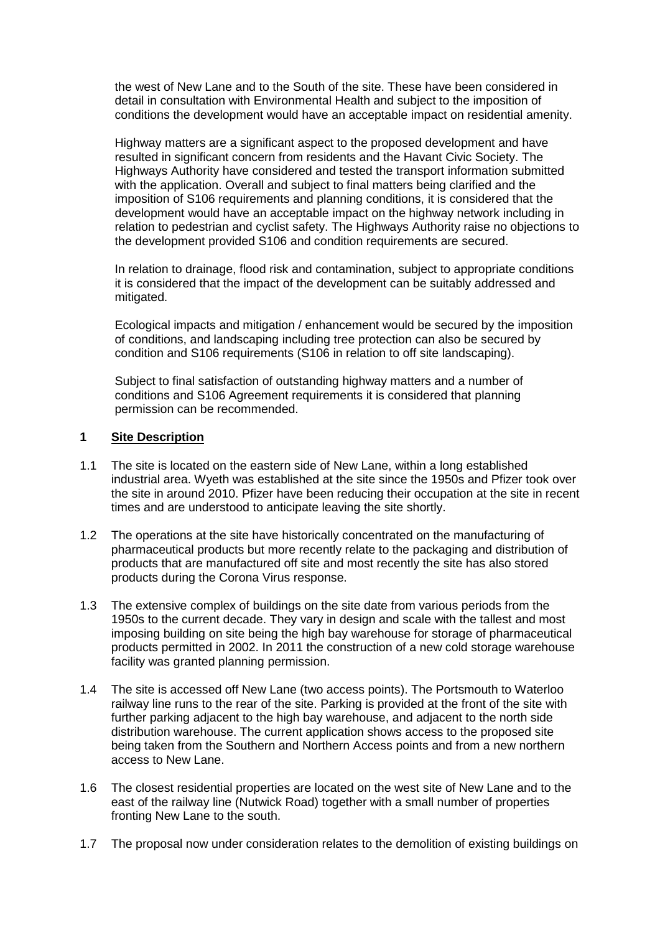the west of New Lane and to the South of the site. These have been considered in detail in consultation with Environmental Health and subject to the imposition of conditions the development would have an acceptable impact on residential amenity.

Highway matters are a significant aspect to the proposed development and have resulted in significant concern from residents and the Havant Civic Society. The Highways Authority have considered and tested the transport information submitted with the application. Overall and subject to final matters being clarified and the imposition of S106 requirements and planning conditions, it is considered that the development would have an acceptable impact on the highway network including in relation to pedestrian and cyclist safety. The Highways Authority raise no objections to the development provided S106 and condition requirements are secured.

In relation to drainage, flood risk and contamination, subject to appropriate conditions it is considered that the impact of the development can be suitably addressed and mitigated.

Ecological impacts and mitigation / enhancement would be secured by the imposition of conditions, and landscaping including tree protection can also be secured by condition and S106 requirements (S106 in relation to off site landscaping).

Subject to final satisfaction of outstanding highway matters and a number of conditions and S106 Agreement requirements it is considered that planning permission can be recommended.

## **1 Site Description**

- 1.1 The site is located on the eastern side of New Lane, within a long established industrial area. Wyeth was established at the site since the 1950s and Pfizer took over the site in around 2010. Pfizer have been reducing their occupation at the site in recent times and are understood to anticipate leaving the site shortly.
- 1.2 The operations at the site have historically concentrated on the manufacturing of pharmaceutical products but more recently relate to the packaging and distribution of products that are manufactured off site and most recently the site has also stored products during the Corona Virus response.
- 1.3 The extensive complex of buildings on the site date from various periods from the 1950s to the current decade. They vary in design and scale with the tallest and most imposing building on site being the high bay warehouse for storage of pharmaceutical products permitted in 2002. In 2011 the construction of a new cold storage warehouse facility was granted planning permission.
- 1.4 The site is accessed off New Lane (two access points). The Portsmouth to Waterloo railway line runs to the rear of the site. Parking is provided at the front of the site with further parking adjacent to the high bay warehouse, and adjacent to the north side distribution warehouse. The current application shows access to the proposed site being taken from the Southern and Northern Access points and from a new northern access to New Lane.
- 1.6 The closest residential properties are located on the west site of New Lane and to the east of the railway line (Nutwick Road) together with a small number of properties fronting New Lane to the south.
- 1.7 The proposal now under consideration relates to the demolition of existing buildings on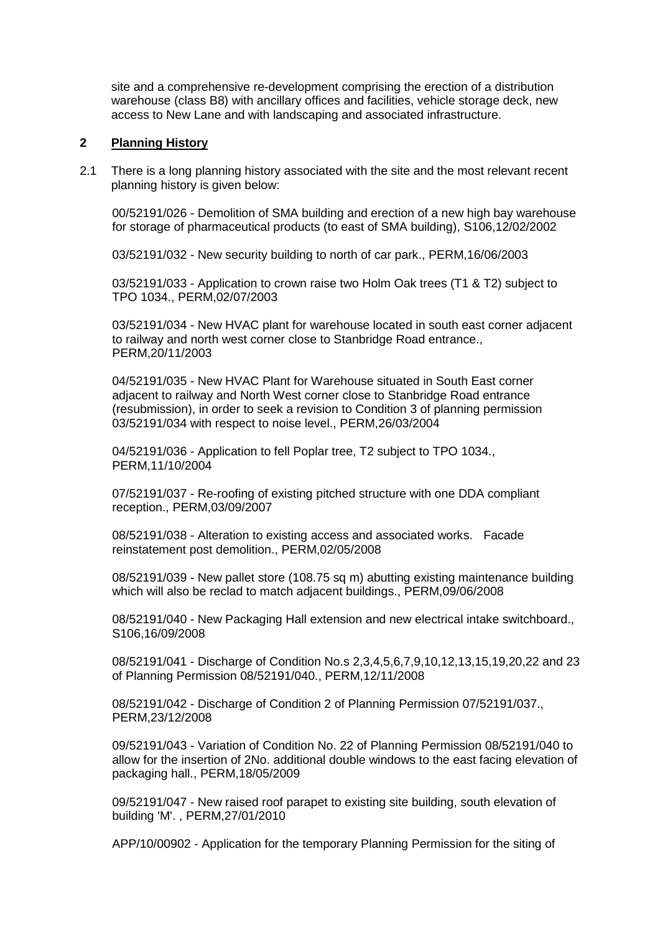site and a comprehensive re-development comprising the erection of a distribution warehouse (class B8) with ancillary offices and facilities, vehicle storage deck, new access to New Lane and with landscaping and associated infrastructure.

# **2 Planning History**

2.1 There is a long planning history associated with the site and the most relevant recent planning history is given below:

00/52191/026 - Demolition of SMA building and erection of a new high bay warehouse for storage of pharmaceutical products (to east of SMA building), S106,12/02/2002

03/52191/032 - New security building to north of car park., PERM,16/06/2003

03/52191/033 - Application to crown raise two Holm Oak trees (T1 & T2) subject to TPO 1034., PERM,02/07/2003

03/52191/034 - New HVAC plant for warehouse located in south east corner adjacent to railway and north west corner close to Stanbridge Road entrance., PERM,20/11/2003

04/52191/035 - New HVAC Plant for Warehouse situated in South East corner adjacent to railway and North West corner close to Stanbridge Road entrance (resubmission), in order to seek a revision to Condition 3 of planning permission 03/52191/034 with respect to noise level., PERM,26/03/2004

04/52191/036 - Application to fell Poplar tree, T2 subject to TPO 1034., PERM,11/10/2004

07/52191/037 - Re-roofing of existing pitched structure with one DDA compliant reception., PERM,03/09/2007

08/52191/038 - Alteration to existing access and associated works. Facade reinstatement post demolition., PERM,02/05/2008

08/52191/039 - New pallet store (108.75 sq m) abutting existing maintenance building which will also be reclad to match adjacent buildings., PERM,09/06/2008

08/52191/040 - New Packaging Hall extension and new electrical intake switchboard., S106,16/09/2008

08/52191/041 - Discharge of Condition No.s 2,3,4,5,6,7,9,10,12,13,15,19,20,22 and 23 of Planning Permission 08/52191/040., PERM,12/11/2008

08/52191/042 - Discharge of Condition 2 of Planning Permission 07/52191/037., PERM,23/12/2008

09/52191/043 - Variation of Condition No. 22 of Planning Permission 08/52191/040 to allow for the insertion of 2No. additional double windows to the east facing elevation of packaging hall., PERM,18/05/2009

09/52191/047 - New raised roof parapet to existing site building, south elevation of building 'M'. , PERM,27/01/2010

APP/10/00902 - Application for the temporary Planning Permission for the siting of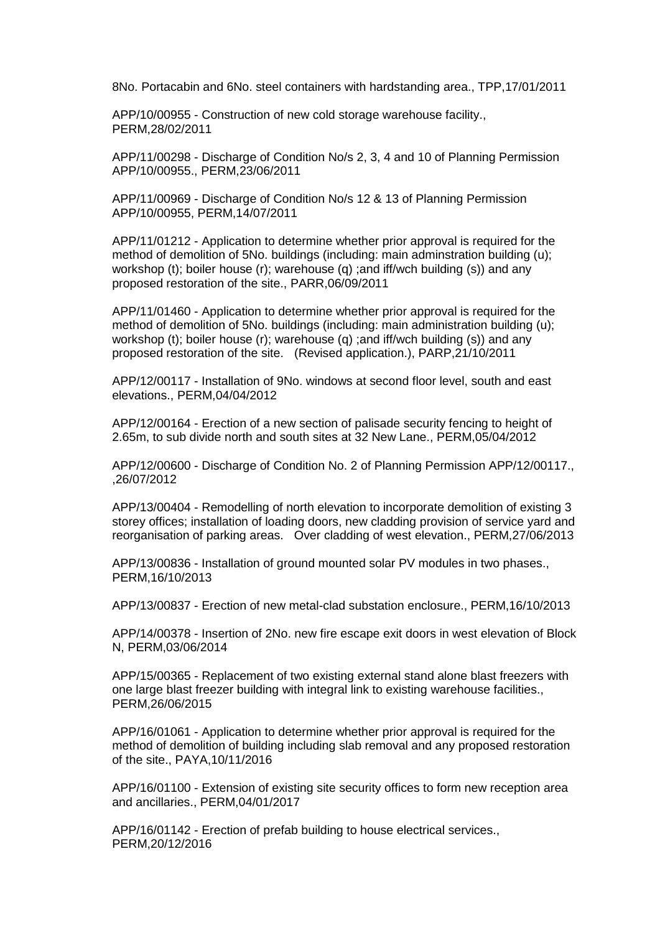8No. Portacabin and 6No. steel containers with hardstanding area., TPP,17/01/2011

APP/10/00955 - Construction of new cold storage warehouse facility., PERM,28/02/2011

APP/11/00298 - Discharge of Condition No/s 2, 3, 4 and 10 of Planning Permission APP/10/00955., PERM,23/06/2011

APP/11/00969 - Discharge of Condition No/s 12 & 13 of Planning Permission APP/10/00955, PERM,14/07/2011

APP/11/01212 - Application to determine whether prior approval is required for the method of demolition of 5No. buildings (including: main adminstration building (u); workshop (t); boiler house (r); warehouse (q) ;and iff/wch building (s)) and any proposed restoration of the site., PARR,06/09/2011

APP/11/01460 - Application to determine whether prior approval is required for the method of demolition of 5No. buildings (including: main administration building (u); workshop (t); boiler house (r); warehouse (q) ;and iff/wch building (s)) and any proposed restoration of the site. (Revised application.), PARP,21/10/2011

APP/12/00117 - Installation of 9No. windows at second floor level, south and east elevations., PERM,04/04/2012

APP/12/00164 - Erection of a new section of palisade security fencing to height of 2.65m, to sub divide north and south sites at 32 New Lane., PERM,05/04/2012

APP/12/00600 - Discharge of Condition No. 2 of Planning Permission APP/12/00117., ,26/07/2012

APP/13/00404 - Remodelling of north elevation to incorporate demolition of existing 3 storey offices; installation of loading doors, new cladding provision of service yard and reorganisation of parking areas. Over cladding of west elevation., PERM,27/06/2013

APP/13/00836 - Installation of ground mounted solar PV modules in two phases., PERM,16/10/2013

APP/13/00837 - Erection of new metal-clad substation enclosure., PERM,16/10/2013

APP/14/00378 - Insertion of 2No. new fire escape exit doors in west elevation of Block N, PERM,03/06/2014

APP/15/00365 - Replacement of two existing external stand alone blast freezers with one large blast freezer building with integral link to existing warehouse facilities., PERM,26/06/2015

APP/16/01061 - Application to determine whether prior approval is required for the method of demolition of building including slab removal and any proposed restoration of the site., PAYA,10/11/2016

APP/16/01100 - Extension of existing site security offices to form new reception area and ancillaries., PERM,04/01/2017

APP/16/01142 - Erection of prefab building to house electrical services., PERM,20/12/2016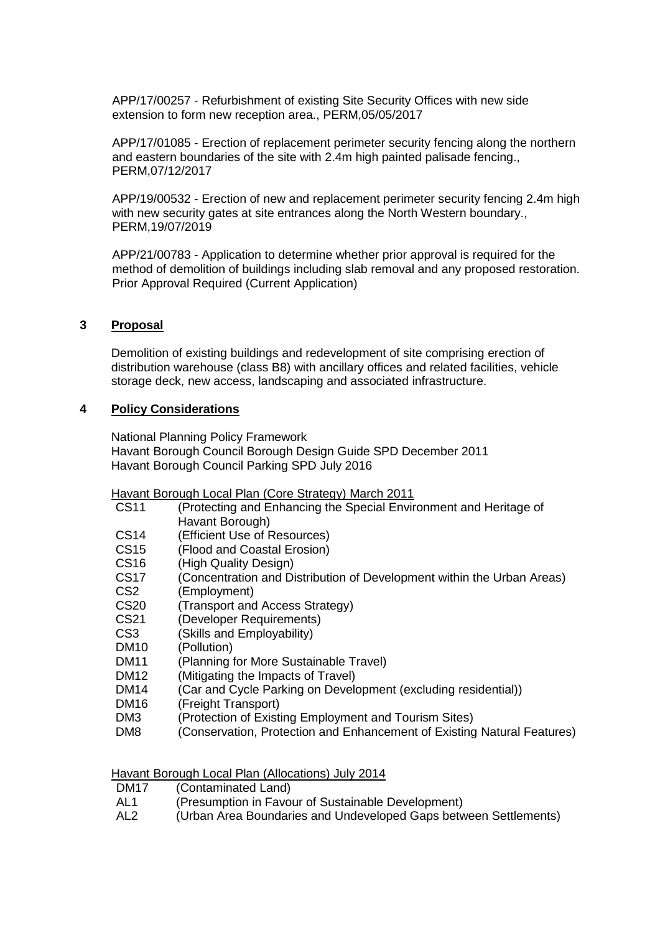APP/17/00257 - Refurbishment of existing Site Security Offices with new side extension to form new reception area., PERM,05/05/2017

APP/17/01085 - Erection of replacement perimeter security fencing along the northern and eastern boundaries of the site with 2.4m high painted palisade fencing., PERM,07/12/2017

APP/19/00532 - Erection of new and replacement perimeter security fencing 2.4m high with new security gates at site entrances along the North Western boundary., PERM,19/07/2019

APP/21/00783 - Application to determine whether prior approval is required for the method of demolition of buildings including slab removal and any proposed restoration. Prior Approval Required (Current Application)

# **3 Proposal**

Demolition of existing buildings and redevelopment of site comprising erection of distribution warehouse (class B8) with ancillary offices and related facilities, vehicle storage deck, new access, landscaping and associated infrastructure.

# **4 Policy Considerations**

National Planning Policy Framework Havant Borough Council Borough Design Guide SPD December 2011 Havant Borough Council Parking SPD July 2016

Havant Borough Local Plan (Core Strategy) March 2011

| <b>CS11</b> | (Protecting and Enhancing the Special Environment and Heritage of       |
|-------------|-------------------------------------------------------------------------|
|             | Havant Borough)                                                         |
| <b>CS14</b> | (Efficient Use of Resources)                                            |
| CS15        | (Flood and Coastal Erosion)                                             |
| CS16        | (High Quality Design)                                                   |
| CS17        | (Concentration and Distribution of Development within the Urban Areas)  |
| CS2         | (Employment)                                                            |
| <b>CS20</b> | (Transport and Access Strategy)                                         |
| <b>CS21</b> | (Developer Requirements)                                                |
| CS3         | (Skills and Employability)                                              |
| DM10        | (Pollution)                                                             |
| DM11        | (Planning for More Sustainable Travel)                                  |
| DM12        | (Mitigating the Impacts of Travel)                                      |
| DM14        | (Car and Cycle Parking on Development (excluding residential))          |
| DM16        | (Freight Transport)                                                     |
| DM3         | (Protection of Existing Employment and Tourism Sites)                   |
| DM8         | (Conservation, Protection and Enhancement of Existing Natural Features) |
|             |                                                                         |

Havant Borough Local Plan (Allocations) July 2014

| DM <sub>17</sub> | (Contaminated Land) |
|------------------|---------------------|
|------------------|---------------------|

- AL1 (Presumption in Favour of Sustainable Development)
- AL2 (Urban Area Boundaries and Undeveloped Gaps between Settlements)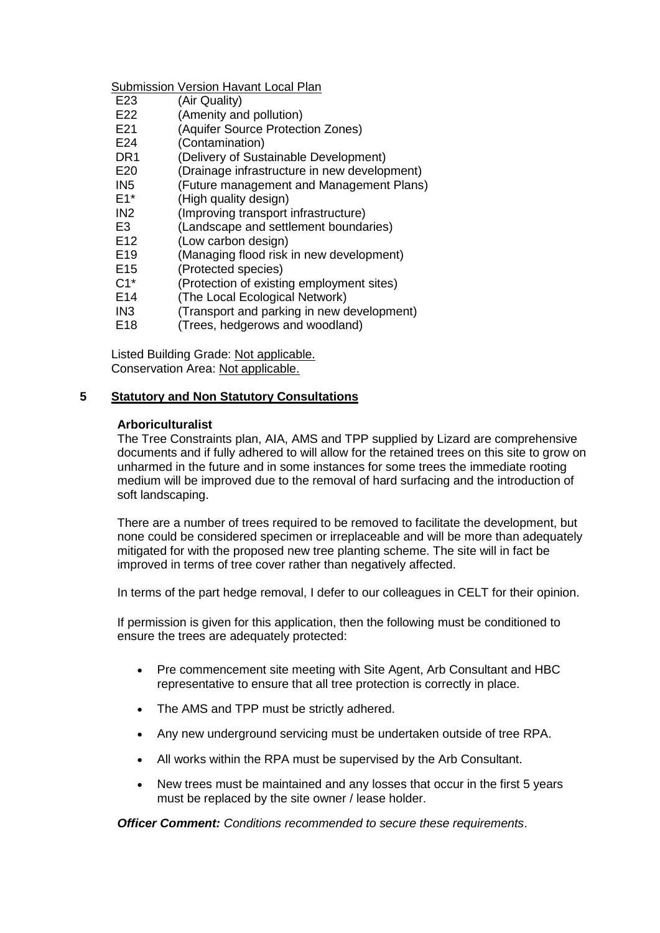Submission Version Havant Local Plan

- E23 (Air Quality)
- E22 (Amenity and pollution)
- E21 (Aquifer Source Protection Zones)
- E24 (Contamination)
- DR1 (Delivery of Sustainable Development)
- E20 (Drainage infrastructure in new development)
- IN5 (Future management and Management Plans)
- E1\* (High quality design)
- IN2 (Improving transport infrastructure)
- E3 (Landscape and settlement boundaries)
- E12 (Low carbon design)
- E19 (Managing flood risk in new development)
- E15 (Protected species)
- C1\* (Protection of existing employment sites)
- E14 (The Local Ecological Network)
- IN3 (Transport and parking in new development)
- E18 (Trees, hedgerows and woodland)

Listed Building Grade: Not applicable. Conservation Area: Not applicable.

# **5 Statutory and Non Statutory Consultations**

## **Arboriculturalist**

The Tree Constraints plan, AIA, AMS and TPP supplied by Lizard are comprehensive documents and if fully adhered to will allow for the retained trees on this site to grow on unharmed in the future and in some instances for some trees the immediate rooting medium will be improved due to the removal of hard surfacing and the introduction of soft landscaping.

There are a number of trees required to be removed to facilitate the development, but none could be considered specimen or irreplaceable and will be more than adequately mitigated for with the proposed new tree planting scheme. The site will in fact be improved in terms of tree cover rather than negatively affected.

In terms of the part hedge removal, I defer to our colleagues in CELT for their opinion.

If permission is given for this application, then the following must be conditioned to ensure the trees are adequately protected:

- Pre commencement site meeting with Site Agent, Arb Consultant and HBC representative to ensure that all tree protection is correctly in place.
- The AMS and TPP must be strictly adhered.
- Any new underground servicing must be undertaken outside of tree RPA.
- All works within the RPA must be supervised by the Arb Consultant.
- New trees must be maintained and any losses that occur in the first 5 years must be replaced by the site owner / lease holder.

*Officer Comment: Conditions recommended to secure these requirements*.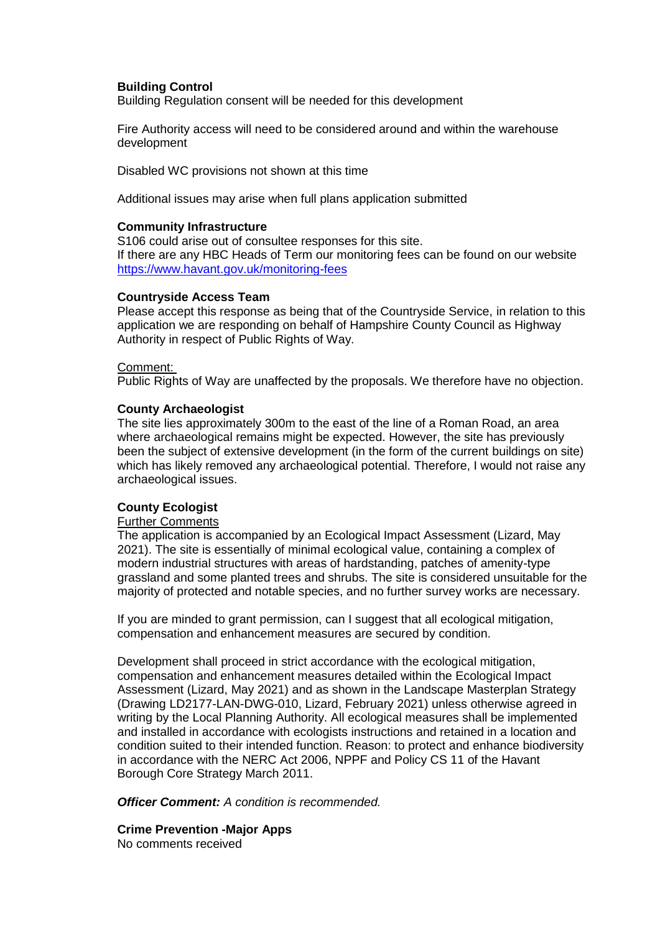## **Building Control**

Building Regulation consent will be needed for this development

Fire Authority access will need to be considered around and within the warehouse development

Disabled WC provisions not shown at this time

Additional issues may arise when full plans application submitted

### **Community Infrastructure**

S106 could arise out of consultee responses for this site. If there are any HBC Heads of Term our monitoring fees can be found on our website https://www.havant.gov.uk/monitoring-fees

### **Countryside Access Team**

Please accept this response as being that of the Countryside Service, in relation to this application we are responding on behalf of Hampshire County Council as Highway Authority in respect of Public Rights of Way.

### Comment:

Public Rights of Way are unaffected by the proposals. We therefore have no objection.

### **County Archaeologist**

The site lies approximately 300m to the east of the line of a Roman Road, an area where archaeological remains might be expected. However, the site has previously been the subject of extensive development (in the form of the current buildings on site) which has likely removed any archaeological potential. Therefore, I would not raise any archaeological issues.

### **County Ecologist**

## Further Comments

The application is accompanied by an Ecological Impact Assessment (Lizard, May 2021). The site is essentially of minimal ecological value, containing a complex of modern industrial structures with areas of hardstanding, patches of amenity-type grassland and some planted trees and shrubs. The site is considered unsuitable for the majority of protected and notable species, and no further survey works are necessary.

If you are minded to grant permission, can I suggest that all ecological mitigation, compensation and enhancement measures are secured by condition.

Development shall proceed in strict accordance with the ecological mitigation, compensation and enhancement measures detailed within the Ecological Impact Assessment (Lizard, May 2021) and as shown in the Landscape Masterplan Strategy (Drawing LD2177-LAN-DWG-010, Lizard, February 2021) unless otherwise agreed in writing by the Local Planning Authority. All ecological measures shall be implemented and installed in accordance with ecologists instructions and retained in a location and condition suited to their intended function. Reason: to protect and enhance biodiversity in accordance with the NERC Act 2006, NPPF and Policy CS 11 of the Havant Borough Core Strategy March 2011.

*Officer Comment: A condition is recommended.*

## **Crime Prevention -Major Apps**

No comments received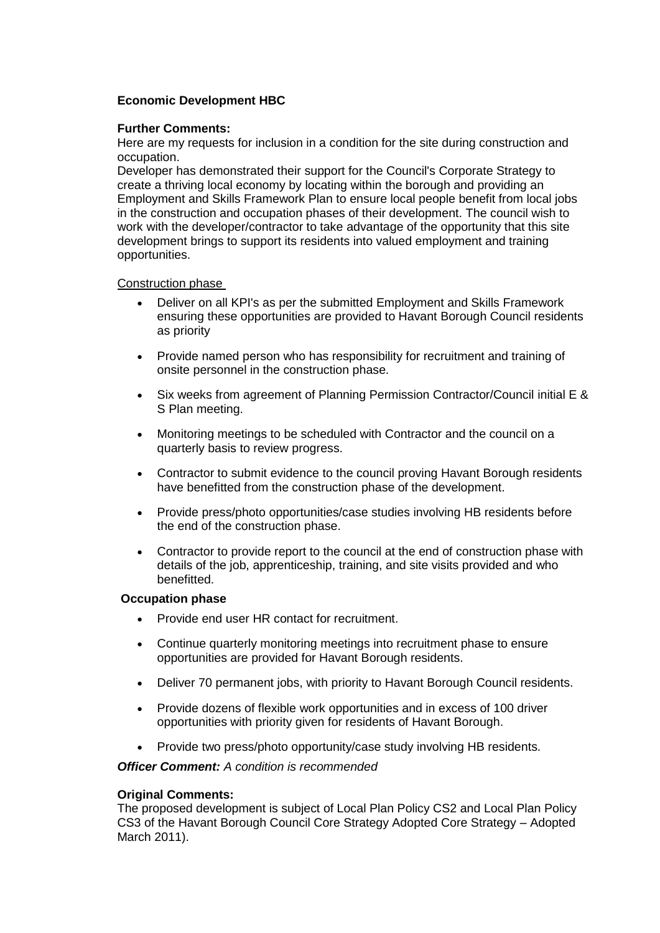# **Economic Development HBC**

# **Further Comments:**

Here are my requests for inclusion in a condition for the site during construction and occupation.

Developer has demonstrated their support for the Council's Corporate Strategy to create a thriving local economy by locating within the borough and providing an Employment and Skills Framework Plan to ensure local people benefit from local jobs in the construction and occupation phases of their development. The council wish to work with the developer/contractor to take advantage of the opportunity that this site development brings to support its residents into valued employment and training opportunities.

## Construction phase

- Deliver on all KPI's as per the submitted Employment and Skills Framework ensuring these opportunities are provided to Havant Borough Council residents as priority
- Provide named person who has responsibility for recruitment and training of onsite personnel in the construction phase.
- Six weeks from agreement of Planning Permission Contractor/Council initial E & S Plan meeting.
- Monitoring meetings to be scheduled with Contractor and the council on a quarterly basis to review progress.
- Contractor to submit evidence to the council proving Havant Borough residents have benefitted from the construction phase of the development.
- Provide press/photo opportunities/case studies involving HB residents before the end of the construction phase.
- Contractor to provide report to the council at the end of construction phase with details of the job, apprenticeship, training, and site visits provided and who benefitted.

### **Occupation phase**

- Provide end user HR contact for recruitment.
- Continue quarterly monitoring meetings into recruitment phase to ensure opportunities are provided for Havant Borough residents.
- Deliver 70 permanent jobs, with priority to Havant Borough Council residents.
- Provide dozens of flexible work opportunities and in excess of 100 driver opportunities with priority given for residents of Havant Borough.
- Provide two press/photo opportunity/case study involving HB residents.

*Officer Comment: A condition is recommended* 

### **Original Comments:**

The proposed development is subject of Local Plan Policy CS2 and Local Plan Policy CS3 of the Havant Borough Council Core Strategy Adopted Core Strategy – Adopted March 2011).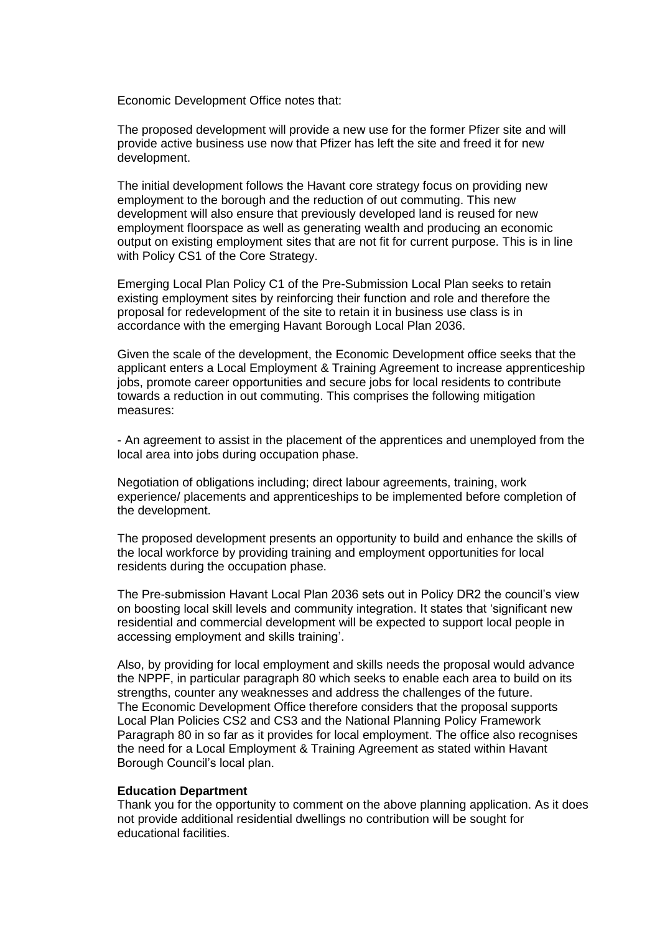Economic Development Office notes that:

The proposed development will provide a new use for the former Pfizer site and will provide active business use now that Pfizer has left the site and freed it for new development.

The initial development follows the Havant core strategy focus on providing new employment to the borough and the reduction of out commuting. This new development will also ensure that previously developed land is reused for new employment floorspace as well as generating wealth and producing an economic output on existing employment sites that are not fit for current purpose. This is in line with Policy CS1 of the Core Strategy.

Emerging Local Plan Policy C1 of the Pre-Submission Local Plan seeks to retain existing employment sites by reinforcing their function and role and therefore the proposal for redevelopment of the site to retain it in business use class is in accordance with the emerging Havant Borough Local Plan 2036.

Given the scale of the development, the Economic Development office seeks that the applicant enters a Local Employment & Training Agreement to increase apprenticeship jobs, promote career opportunities and secure jobs for local residents to contribute towards a reduction in out commuting. This comprises the following mitigation measures:

- An agreement to assist in the placement of the apprentices and unemployed from the local area into jobs during occupation phase.

Negotiation of obligations including; direct labour agreements, training, work experience/ placements and apprenticeships to be implemented before completion of the development.

The proposed development presents an opportunity to build and enhance the skills of the local workforce by providing training and employment opportunities for local residents during the occupation phase.

The Pre-submission Havant Local Plan 2036 sets out in Policy DR2 the council's view on boosting local skill levels and community integration. It states that 'significant new residential and commercial development will be expected to support local people in accessing employment and skills training'.

Also, by providing for local employment and skills needs the proposal would advance the NPPF, in particular paragraph 80 which seeks to enable each area to build on its strengths, counter any weaknesses and address the challenges of the future. The Economic Development Office therefore considers that the proposal supports Local Plan Policies CS2 and CS3 and the National Planning Policy Framework Paragraph 80 in so far as it provides for local employment. The office also recognises the need for a Local Employment & Training Agreement as stated within Havant Borough Council's local plan.

### **Education Department**

Thank you for the opportunity to comment on the above planning application. As it does not provide additional residential dwellings no contribution will be sought for educational facilities.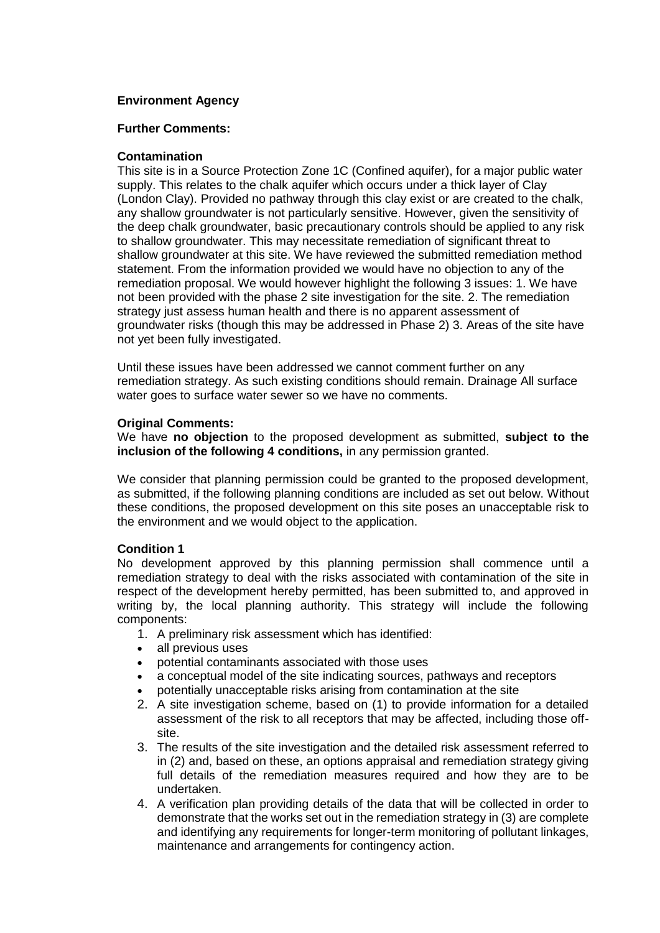# **Environment Agency**

## **Further Comments:**

## **Contamination**

This site is in a Source Protection Zone 1C (Confined aquifer), for a major public water supply. This relates to the chalk aquifer which occurs under a thick layer of Clay (London Clay). Provided no pathway through this clay exist or are created to the chalk, any shallow groundwater is not particularly sensitive. However, given the sensitivity of the deep chalk groundwater, basic precautionary controls should be applied to any risk to shallow groundwater. This may necessitate remediation of significant threat to shallow groundwater at this site. We have reviewed the submitted remediation method statement. From the information provided we would have no objection to any of the remediation proposal. We would however highlight the following 3 issues: 1. We have not been provided with the phase 2 site investigation for the site. 2. The remediation strategy just assess human health and there is no apparent assessment of groundwater risks (though this may be addressed in Phase 2) 3. Areas of the site have not yet been fully investigated.

Until these issues have been addressed we cannot comment further on any remediation strategy. As such existing conditions should remain. Drainage All surface water goes to surface water sewer so we have no comments.

## **Original Comments:**

We have **no objection** to the proposed development as submitted, **subject to the inclusion of the following 4 conditions,** in any permission granted.

We consider that planning permission could be granted to the proposed development, as submitted, if the following planning conditions are included as set out below. Without these conditions, the proposed development on this site poses an unacceptable risk to the environment and we would object to the application.

### **Condition 1**

No development approved by this planning permission shall commence until a remediation strategy to deal with the risks associated with contamination of the site in respect of the development hereby permitted, has been submitted to, and approved in writing by, the local planning authority. This strategy will include the following components:

- 1. A preliminary risk assessment which has identified:
- all previous uses
- potential contaminants associated with those uses
- a conceptual model of the site indicating sources, pathways and receptors
- potentially unacceptable risks arising from contamination at the site
- 2. A site investigation scheme, based on (1) to provide information for a detailed assessment of the risk to all receptors that may be affected, including those offsite.
- 3. The results of the site investigation and the detailed risk assessment referred to in (2) and, based on these, an options appraisal and remediation strategy giving full details of the remediation measures required and how they are to be undertaken.
- 4. A verification plan providing details of the data that will be collected in order to demonstrate that the works set out in the remediation strategy in (3) are complete and identifying any requirements for longer-term monitoring of pollutant linkages, maintenance and arrangements for contingency action.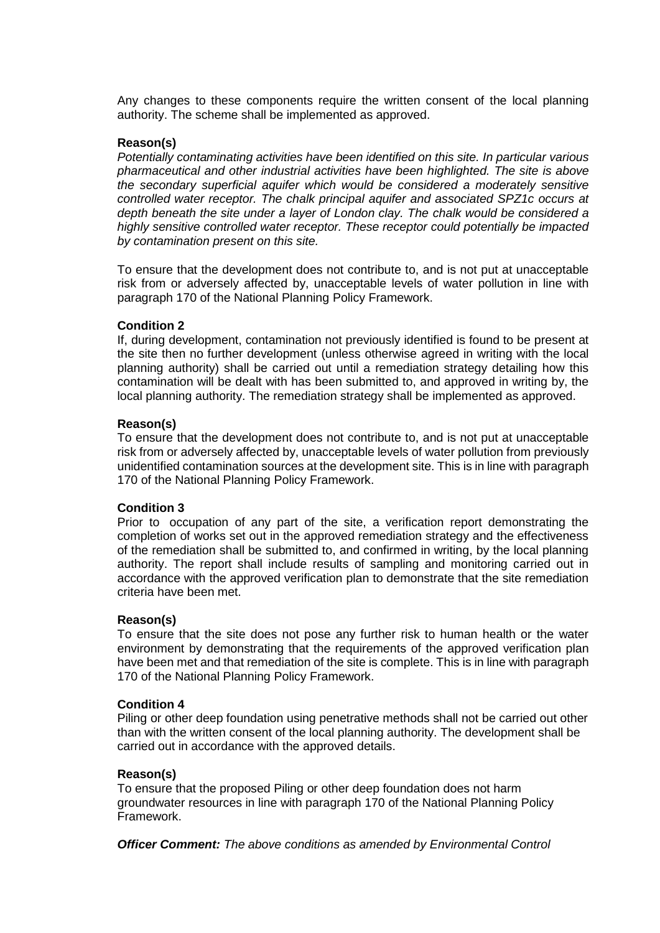Any changes to these components require the written consent of the local planning authority. The scheme shall be implemented as approved.

## **Reason(s)**

*Potentially contaminating activities have been identified on this site. In particular various pharmaceutical and other industrial activities have been highlighted. The site is above the secondary superficial aquifer which would be considered a moderately sensitive controlled water receptor. The chalk principal aquifer and associated SPZ1c occurs at*  depth beneath the site under a layer of London clay. The chalk would be considered a *highly sensitive controlled water receptor. These receptor could potentially be impacted by contamination present on this site.*

To ensure that the development does not contribute to, and is not put at unacceptable risk from or adversely affected by, unacceptable levels of water pollution in line with paragraph 170 of the National Planning Policy Framework.

### **Condition 2**

If, during development, contamination not previously identified is found to be present at the site then no further development (unless otherwise agreed in writing with the local planning authority) shall be carried out until a remediation strategy detailing how this contamination will be dealt with has been submitted to, and approved in writing by, the local planning authority. The remediation strategy shall be implemented as approved.

### **Reason(s)**

To ensure that the development does not contribute to, and is not put at unacceptable risk from or adversely affected by, unacceptable levels of water pollution from previously unidentified contamination sources at the development site. This is in line with paragraph 170 of the National Planning Policy Framework.

### **Condition 3**

Prior to occupation of any part of the site, a verification report demonstrating the completion of works set out in the approved remediation strategy and the effectiveness of the remediation shall be submitted to, and confirmed in writing, by the local planning authority. The report shall include results of sampling and monitoring carried out in accordance with the approved verification plan to demonstrate that the site remediation criteria have been met.

# **Reason(s)**

To ensure that the site does not pose any further risk to human health or the water environment by demonstrating that the requirements of the approved verification plan have been met and that remediation of the site is complete. This is in line with paragraph 170 of the National Planning Policy Framework.

### **Condition 4**

Piling or other deep foundation using penetrative methods shall not be carried out other than with the written consent of the local planning authority. The development shall be carried out in accordance with the approved details.

### **Reason(s)**

To ensure that the proposed Piling or other deep foundation does not harm groundwater resources in line with paragraph 170 of the National Planning Policy Framework.

*Officer Comment: The above conditions as amended by Environmental Control*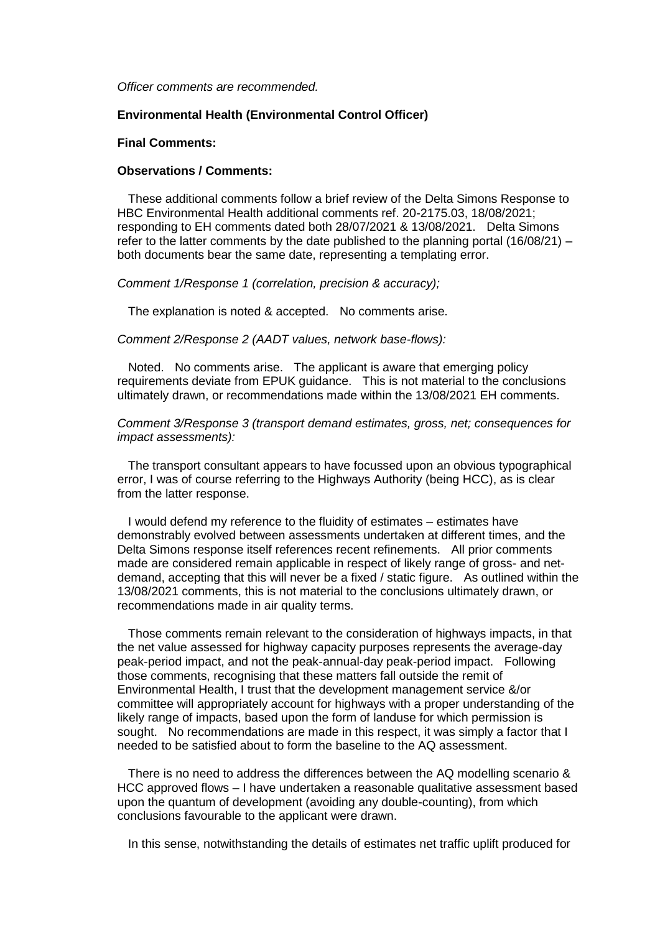*Officer comments are recommended.*

### **Environmental Health (Environmental Control Officer)**

#### **Final Comments:**

#### **Observations / Comments:**

 These additional comments follow a brief review of the Delta Simons Response to HBC Environmental Health additional comments ref. 20-2175.03, 18/08/2021; responding to EH comments dated both 28/07/2021 & 13/08/2021. Delta Simons refer to the latter comments by the date published to the planning portal  $(16/08/21)$  – both documents bear the same date, representing a templating error.

*Comment 1/Response 1 (correlation, precision & accuracy);* 

The explanation is noted & accepted. No comments arise.

*Comment 2/Response 2 (AADT values, network base-flows):* 

 Noted. No comments arise. The applicant is aware that emerging policy requirements deviate from EPUK guidance. This is not material to the conclusions ultimately drawn, or recommendations made within the 13/08/2021 EH comments.

*Comment 3/Response 3 (transport demand estimates, gross, net; consequences for impact assessments):* 

 The transport consultant appears to have focussed upon an obvious typographical error, I was of course referring to the Highways Authority (being HCC), as is clear from the latter response.

 I would defend my reference to the fluidity of estimates – estimates have demonstrably evolved between assessments undertaken at different times, and the Delta Simons response itself references recent refinements. All prior comments made are considered remain applicable in respect of likely range of gross- and netdemand, accepting that this will never be a fixed / static figure. As outlined within the 13/08/2021 comments, this is not material to the conclusions ultimately drawn, or recommendations made in air quality terms.

 Those comments remain relevant to the consideration of highways impacts, in that the net value assessed for highway capacity purposes represents the average-day peak-period impact, and not the peak-annual-day peak-period impact. Following those comments, recognising that these matters fall outside the remit of Environmental Health, I trust that the development management service &/or committee will appropriately account for highways with a proper understanding of the likely range of impacts, based upon the form of landuse for which permission is sought. No recommendations are made in this respect, it was simply a factor that I needed to be satisfied about to form the baseline to the AQ assessment.

 There is no need to address the differences between the AQ modelling scenario & HCC approved flows – I have undertaken a reasonable qualitative assessment based upon the quantum of development (avoiding any double-counting), from which conclusions favourable to the applicant were drawn.

In this sense, notwithstanding the details of estimates net traffic uplift produced for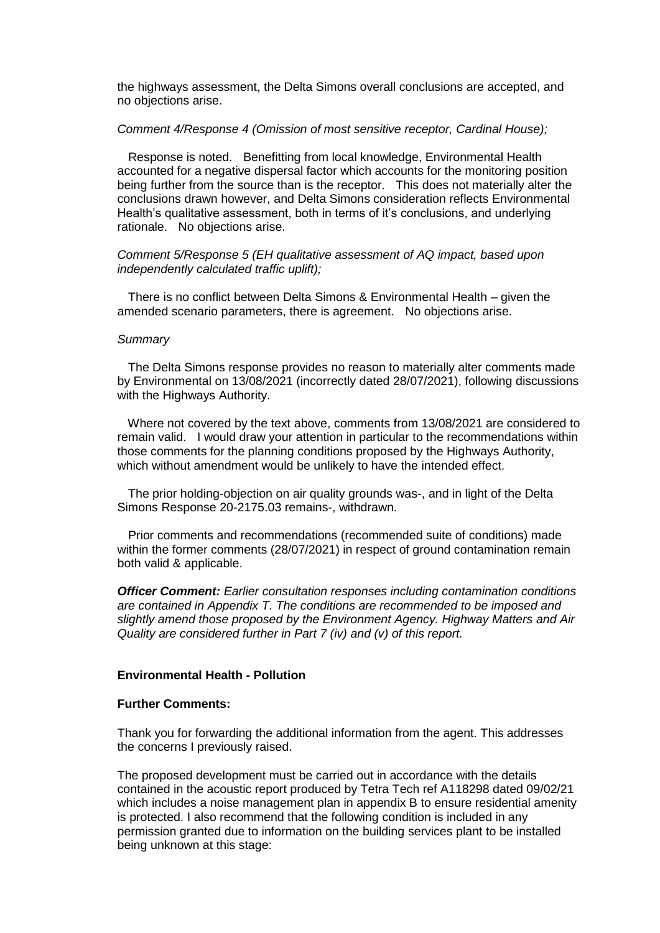the highways assessment, the Delta Simons overall conclusions are accepted, and no objections arise.

### *Comment 4/Response 4 (Omission of most sensitive receptor, Cardinal House);*

 Response is noted. Benefitting from local knowledge, Environmental Health accounted for a negative dispersal factor which accounts for the monitoring position being further from the source than is the receptor. This does not materially alter the conclusions drawn however, and Delta Simons consideration reflects Environmental Health's qualitative assessment, both in terms of it's conclusions, and underlying rationale. No objections arise.

### *Comment 5/Response 5 (EH qualitative assessment of AQ impact, based upon independently calculated traffic uplift);*

 There is no conflict between Delta Simons & Environmental Health – given the amended scenario parameters, there is agreement. No objections arise.

### *Summary*

 The Delta Simons response provides no reason to materially alter comments made by Environmental on 13/08/2021 (incorrectly dated 28/07/2021), following discussions with the Highways Authority.

 Where not covered by the text above, comments from 13/08/2021 are considered to remain valid. I would draw your attention in particular to the recommendations within those comments for the planning conditions proposed by the Highways Authority, which without amendment would be unlikely to have the intended effect.

 The prior holding-objection on air quality grounds was-, and in light of the Delta Simons Response 20-2175.03 remains-, withdrawn.

 Prior comments and recommendations (recommended suite of conditions) made within the former comments (28/07/2021) in respect of ground contamination remain both valid & applicable.

*Officer Comment: Earlier consultation responses including contamination conditions are contained in Appendix T. The conditions are recommended to be imposed and slightly amend those proposed by the Environment Agency. Highway Matters and Air Quality are considered further in Part 7 (iv) and (v) of this report.* 

### **Environmental Health - Pollution**

### **Further Comments:**

Thank you for forwarding the additional information from the agent. This addresses the concerns I previously raised.

The proposed development must be carried out in accordance with the details contained in the acoustic report produced by Tetra Tech ref A118298 dated 09/02/21 which includes a noise management plan in appendix B to ensure residential amenity is protected. I also recommend that the following condition is included in any permission granted due to information on the building services plant to be installed being unknown at this stage: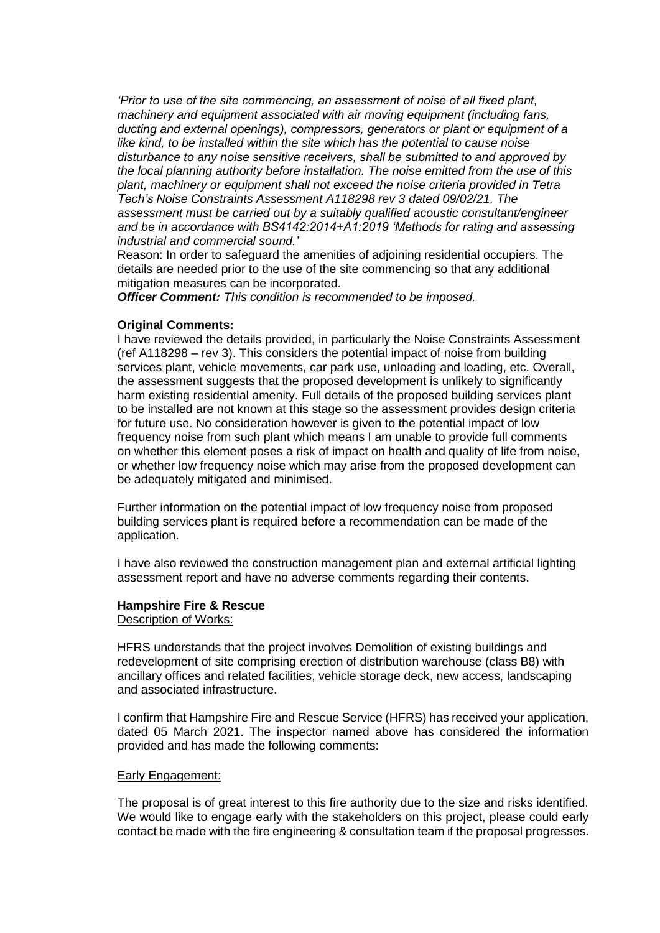*'Prior to use of the site commencing, an assessment of noise of all fixed plant, machinery and equipment associated with air moving equipment (including fans, ducting and external openings), compressors, generators or plant or equipment of a like kind, to be installed within the site which has the potential to cause noise disturbance to any noise sensitive receivers, shall be submitted to and approved by the local planning authority before installation. The noise emitted from the use of this plant, machinery or equipment shall not exceed the noise criteria provided in Tetra Tech's Noise Constraints Assessment A118298 rev 3 dated 09/02/21. The assessment must be carried out by a suitably qualified acoustic consultant/engineer and be in accordance with BS4142:2014+A1:2019 'Methods for rating and assessing industrial and commercial sound.'* 

Reason: In order to safeguard the amenities of adjoining residential occupiers. The details are needed prior to the use of the site commencing so that any additional mitigation measures can be incorporated.

*Officer Comment: This condition is recommended to be imposed.*

## **Original Comments:**

I have reviewed the details provided, in particularly the Noise Constraints Assessment (ref A118298 – rev 3). This considers the potential impact of noise from building services plant, vehicle movements, car park use, unloading and loading, etc. Overall, the assessment suggests that the proposed development is unlikely to significantly harm existing residential amenity. Full details of the proposed building services plant to be installed are not known at this stage so the assessment provides design criteria for future use. No consideration however is given to the potential impact of low frequency noise from such plant which means I am unable to provide full comments on whether this element poses a risk of impact on health and quality of life from noise, or whether low frequency noise which may arise from the proposed development can be adequately mitigated and minimised.

Further information on the potential impact of low frequency noise from proposed building services plant is required before a recommendation can be made of the application.

I have also reviewed the construction management plan and external artificial lighting assessment report and have no adverse comments regarding their contents.

# **Hampshire Fire & Rescue**

Description of Works:

HFRS understands that the project involves Demolition of existing buildings and redevelopment of site comprising erection of distribution warehouse (class B8) with ancillary offices and related facilities, vehicle storage deck, new access, landscaping and associated infrastructure.

I confirm that Hampshire Fire and Rescue Service (HFRS) has received your application, dated 05 March 2021. The inspector named above has considered the information provided and has made the following comments:

### Early Engagement:

The proposal is of great interest to this fire authority due to the size and risks identified. We would like to engage early with the stakeholders on this project, please could early contact be made with the fire engineering & consultation team if the proposal progresses.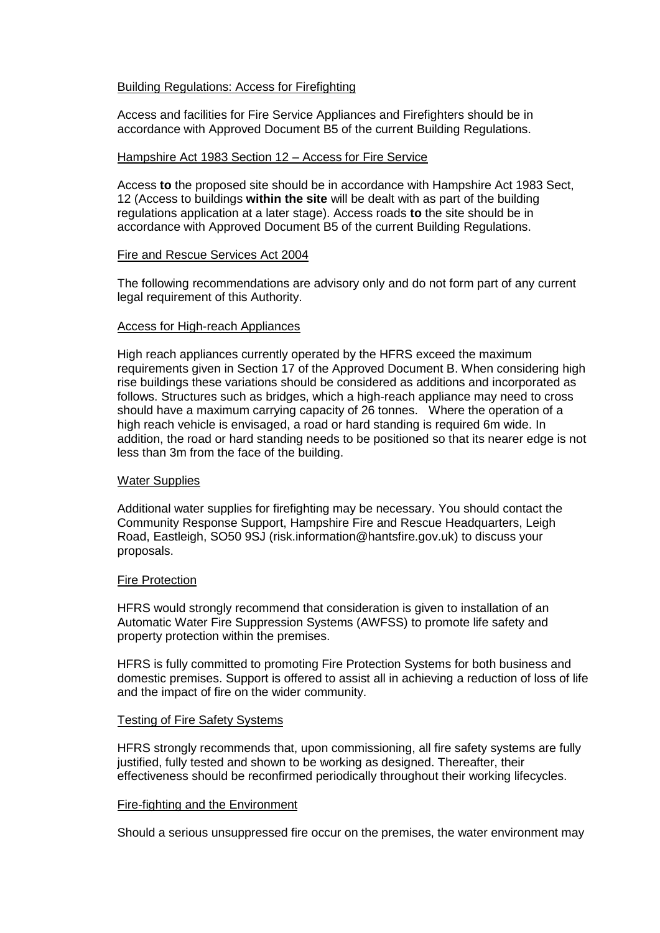## Building Regulations: Access for Firefighting

Access and facilities for Fire Service Appliances and Firefighters should be in accordance with Approved Document B5 of the current Building Regulations.

### Hampshire Act 1983 Section 12 – Access for Fire Service

Access **to** the proposed site should be in accordance with Hampshire Act 1983 Sect, 12 (Access to buildings **within the site** will be dealt with as part of the building regulations application at a later stage). Access roads **to** the site should be in accordance with Approved Document B5 of the current Building Regulations.

### Fire and Rescue Services Act 2004

The following recommendations are advisory only and do not form part of any current legal requirement of this Authority.

## Access for High-reach Appliances

High reach appliances currently operated by the HFRS exceed the maximum requirements given in Section 17 of the Approved Document B. When considering high rise buildings these variations should be considered as additions and incorporated as follows. Structures such as bridges, which a high-reach appliance may need to cross should have a maximum carrying capacity of 26 tonnes. Where the operation of a high reach vehicle is envisaged, a road or hard standing is required 6m wide. In addition, the road or hard standing needs to be positioned so that its nearer edge is not less than 3m from the face of the building.

### Water Supplies

Additional water supplies for firefighting may be necessary. You should contact the Community Response Support, Hampshire Fire and Rescue Headquarters, Leigh Road, Eastleigh, SO50 9SJ (risk.information@hantsfire.gov.uk) to discuss your proposals.

### Fire Protection

HFRS would strongly recommend that consideration is given to installation of an Automatic Water Fire Suppression Systems (AWFSS) to promote life safety and property protection within the premises.

HFRS is fully committed to promoting Fire Protection Systems for both business and domestic premises. Support is offered to assist all in achieving a reduction of loss of life and the impact of fire on the wider community.

### Testing of Fire Safety Systems

HFRS strongly recommends that, upon commissioning, all fire safety systems are fully justified, fully tested and shown to be working as designed. Thereafter, their effectiveness should be reconfirmed periodically throughout their working lifecycles.

### Fire-fighting and the Environment

Should a serious unsuppressed fire occur on the premises, the water environment may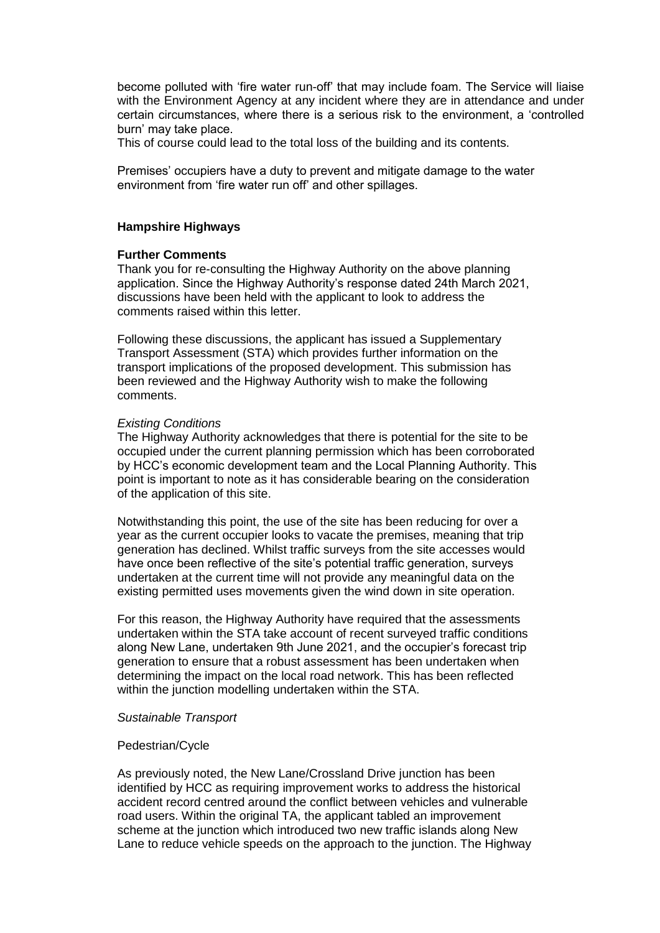become polluted with 'fire water run-off' that may include foam. The Service will liaise with the Environment Agency at any incident where they are in attendance and under certain circumstances, where there is a serious risk to the environment, a 'controlled burn' may take place.

This of course could lead to the total loss of the building and its contents.

Premises' occupiers have a duty to prevent and mitigate damage to the water environment from 'fire water run off' and other spillages.

### **Hampshire Highways**

### **Further Comments**

Thank you for re-consulting the Highway Authority on the above planning application. Since the Highway Authority's response dated 24th March 2021, discussions have been held with the applicant to look to address the comments raised within this letter.

Following these discussions, the applicant has issued a Supplementary Transport Assessment (STA) which provides further information on the transport implications of the proposed development. This submission has been reviewed and the Highway Authority wish to make the following comments.

#### *Existing Conditions*

The Highway Authority acknowledges that there is potential for the site to be occupied under the current planning permission which has been corroborated by HCC's economic development team and the Local Planning Authority. This point is important to note as it has considerable bearing on the consideration of the application of this site.

Notwithstanding this point, the use of the site has been reducing for over a year as the current occupier looks to vacate the premises, meaning that trip generation has declined. Whilst traffic surveys from the site accesses would have once been reflective of the site's potential traffic generation, surveys undertaken at the current time will not provide any meaningful data on the existing permitted uses movements given the wind down in site operation.

For this reason, the Highway Authority have required that the assessments undertaken within the STA take account of recent surveyed traffic conditions along New Lane, undertaken 9th June 2021, and the occupier's forecast trip generation to ensure that a robust assessment has been undertaken when determining the impact on the local road network. This has been reflected within the junction modelling undertaken within the STA.

#### *Sustainable Transport*

#### Pedestrian/Cycle

As previously noted, the New Lane/Crossland Drive junction has been identified by HCC as requiring improvement works to address the historical accident record centred around the conflict between vehicles and vulnerable road users. Within the original TA, the applicant tabled an improvement scheme at the junction which introduced two new traffic islands along New Lane to reduce vehicle speeds on the approach to the junction. The Highway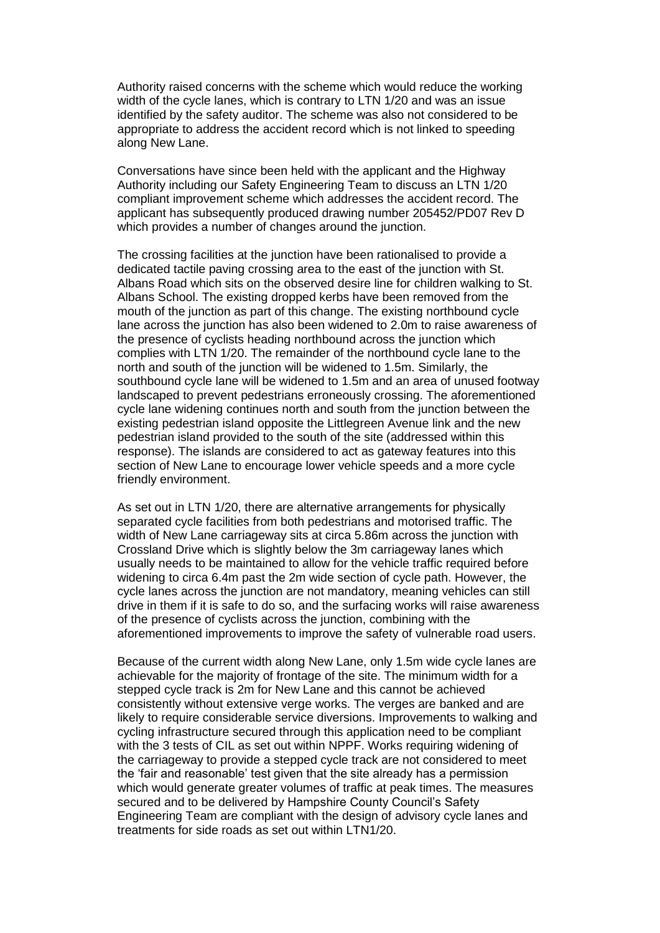Authority raised concerns with the scheme which would reduce the working width of the cycle lanes, which is contrary to LTN 1/20 and was an issue identified by the safety auditor. The scheme was also not considered to be appropriate to address the accident record which is not linked to speeding along New Lane.

Conversations have since been held with the applicant and the Highway Authority including our Safety Engineering Team to discuss an LTN 1/20 compliant improvement scheme which addresses the accident record. The applicant has subsequently produced drawing number 205452/PD07 Rev D which provides a number of changes around the junction.

The crossing facilities at the junction have been rationalised to provide a dedicated tactile paving crossing area to the east of the junction with St. Albans Road which sits on the observed desire line for children walking to St. Albans School. The existing dropped kerbs have been removed from the mouth of the junction as part of this change. The existing northbound cycle lane across the junction has also been widened to 2.0m to raise awareness of the presence of cyclists heading northbound across the junction which complies with LTN 1/20. The remainder of the northbound cycle lane to the north and south of the junction will be widened to 1.5m. Similarly, the southbound cycle lane will be widened to 1.5m and an area of unused footway landscaped to prevent pedestrians erroneously crossing. The aforementioned cycle lane widening continues north and south from the junction between the existing pedestrian island opposite the Littlegreen Avenue link and the new pedestrian island provided to the south of the site (addressed within this response). The islands are considered to act as gateway features into this section of New Lane to encourage lower vehicle speeds and a more cycle friendly environment.

As set out in LTN 1/20, there are alternative arrangements for physically separated cycle facilities from both pedestrians and motorised traffic. The width of New Lane carriageway sits at circa 5.86m across the junction with Crossland Drive which is slightly below the 3m carriageway lanes which usually needs to be maintained to allow for the vehicle traffic required before widening to circa 6.4m past the 2m wide section of cycle path. However, the cycle lanes across the junction are not mandatory, meaning vehicles can still drive in them if it is safe to do so, and the surfacing works will raise awareness of the presence of cyclists across the junction, combining with the aforementioned improvements to improve the safety of vulnerable road users.

Because of the current width along New Lane, only 1.5m wide cycle lanes are achievable for the majority of frontage of the site. The minimum width for a stepped cycle track is 2m for New Lane and this cannot be achieved consistently without extensive verge works. The verges are banked and are likely to require considerable service diversions. Improvements to walking and cycling infrastructure secured through this application need to be compliant with the 3 tests of CIL as set out within NPPF. Works requiring widening of the carriageway to provide a stepped cycle track are not considered to meet the 'fair and reasonable' test given that the site already has a permission which would generate greater volumes of traffic at peak times. The measures secured and to be delivered by Hampshire County Council's Safety Engineering Team are compliant with the design of advisory cycle lanes and treatments for side roads as set out within LTN1/20.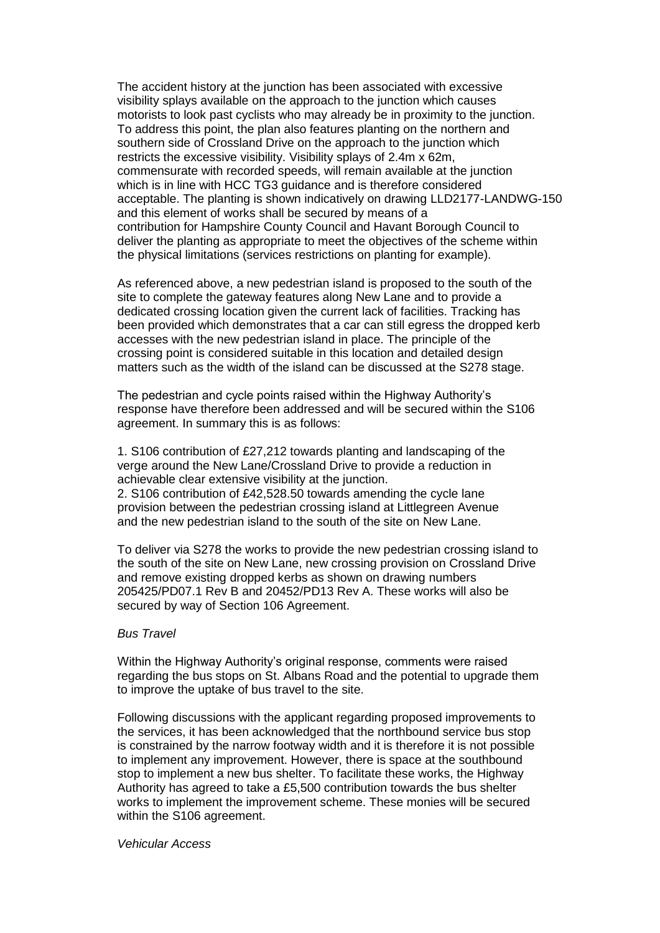The accident history at the junction has been associated with excessive visibility splays available on the approach to the junction which causes motorists to look past cyclists who may already be in proximity to the junction. To address this point, the plan also features planting on the northern and southern side of Crossland Drive on the approach to the junction which restricts the excessive visibility. Visibility splays of 2.4m x 62m, commensurate with recorded speeds, will remain available at the junction which is in line with HCC TG3 guidance and is therefore considered acceptable. The planting is shown indicatively on drawing LLD2177-LANDWG-150 and this element of works shall be secured by means of a contribution for Hampshire County Council and Havant Borough Council to deliver the planting as appropriate to meet the objectives of the scheme within the physical limitations (services restrictions on planting for example).

As referenced above, a new pedestrian island is proposed to the south of the site to complete the gateway features along New Lane and to provide a dedicated crossing location given the current lack of facilities. Tracking has been provided which demonstrates that a car can still egress the dropped kerb accesses with the new pedestrian island in place. The principle of the crossing point is considered suitable in this location and detailed design matters such as the width of the island can be discussed at the S278 stage.

The pedestrian and cycle points raised within the Highway Authority's response have therefore been addressed and will be secured within the S106 agreement. In summary this is as follows:

1. S106 contribution of £27,212 towards planting and landscaping of the verge around the New Lane/Crossland Drive to provide a reduction in achievable clear extensive visibility at the junction. 2. S106 contribution of £42,528.50 towards amending the cycle lane provision between the pedestrian crossing island at Littlegreen Avenue and the new pedestrian island to the south of the site on New Lane.

To deliver via S278 the works to provide the new pedestrian crossing island to the south of the site on New Lane, new crossing provision on Crossland Drive and remove existing dropped kerbs as shown on drawing numbers 205425/PD07.1 Rev B and 20452/PD13 Rev A. These works will also be secured by way of Section 106 Agreement.

### *Bus Travel*

Within the Highway Authority's original response, comments were raised regarding the bus stops on St. Albans Road and the potential to upgrade them to improve the uptake of bus travel to the site.

Following discussions with the applicant regarding proposed improvements to the services, it has been acknowledged that the northbound service bus stop is constrained by the narrow footway width and it is therefore it is not possible to implement any improvement. However, there is space at the southbound stop to implement a new bus shelter. To facilitate these works, the Highway Authority has agreed to take a £5,500 contribution towards the bus shelter works to implement the improvement scheme. These monies will be secured within the S106 agreement.

*Vehicular Access*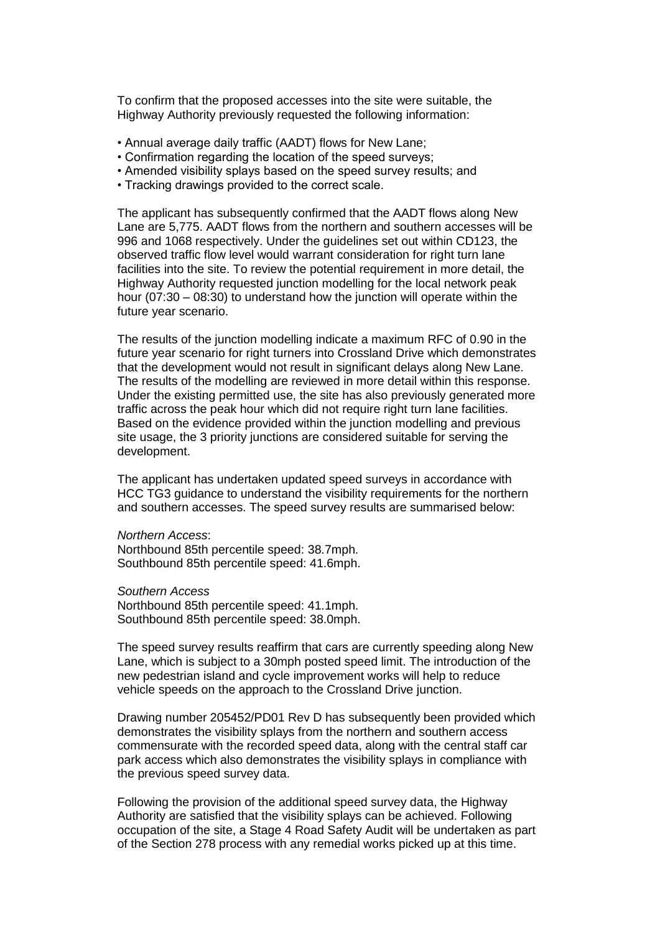To confirm that the proposed accesses into the site were suitable, the Highway Authority previously requested the following information:

- Annual average daily traffic (AADT) flows for New Lane;
- Confirmation regarding the location of the speed surveys;
- Amended visibility splays based on the speed survey results; and
- Tracking drawings provided to the correct scale.

The applicant has subsequently confirmed that the AADT flows along New Lane are 5,775. AADT flows from the northern and southern accesses will be 996 and 1068 respectively. Under the guidelines set out within CD123, the observed traffic flow level would warrant consideration for right turn lane facilities into the site. To review the potential requirement in more detail, the Highway Authority requested junction modelling for the local network peak hour (07:30 – 08:30) to understand how the junction will operate within the future year scenario.

The results of the junction modelling indicate a maximum RFC of 0.90 in the future year scenario for right turners into Crossland Drive which demonstrates that the development would not result in significant delays along New Lane. The results of the modelling are reviewed in more detail within this response. Under the existing permitted use, the site has also previously generated more traffic across the peak hour which did not require right turn lane facilities. Based on the evidence provided within the junction modelling and previous site usage, the 3 priority junctions are considered suitable for serving the development.

The applicant has undertaken updated speed surveys in accordance with HCC TG3 guidance to understand the visibility requirements for the northern and southern accesses. The speed survey results are summarised below:

#### *Northern Access*:

Northbound 85th percentile speed: 38.7mph. Southbound 85th percentile speed: 41.6mph.

*Southern Access* Northbound 85th percentile speed: 41.1mph. Southbound 85th percentile speed: 38.0mph.

The speed survey results reaffirm that cars are currently speeding along New Lane, which is subject to a 30mph posted speed limit. The introduction of the new pedestrian island and cycle improvement works will help to reduce vehicle speeds on the approach to the Crossland Drive junction.

Drawing number 205452/PD01 Rev D has subsequently been provided which demonstrates the visibility splays from the northern and southern access commensurate with the recorded speed data, along with the central staff car park access which also demonstrates the visibility splays in compliance with the previous speed survey data.

Following the provision of the additional speed survey data, the Highway Authority are satisfied that the visibility splays can be achieved. Following occupation of the site, a Stage 4 Road Safety Audit will be undertaken as part of the Section 278 process with any remedial works picked up at this time.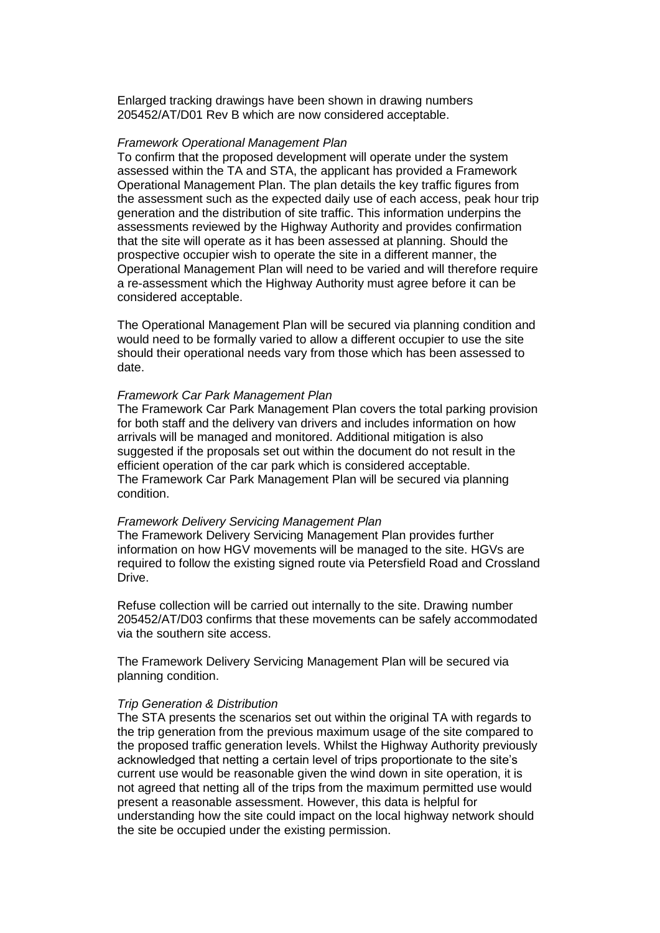Enlarged tracking drawings have been shown in drawing numbers 205452/AT/D01 Rev B which are now considered acceptable.

#### *Framework Operational Management Plan*

To confirm that the proposed development will operate under the system assessed within the TA and STA, the applicant has provided a Framework Operational Management Plan. The plan details the key traffic figures from the assessment such as the expected daily use of each access, peak hour trip generation and the distribution of site traffic. This information underpins the assessments reviewed by the Highway Authority and provides confirmation that the site will operate as it has been assessed at planning. Should the prospective occupier wish to operate the site in a different manner, the Operational Management Plan will need to be varied and will therefore require a re-assessment which the Highway Authority must agree before it can be considered acceptable.

The Operational Management Plan will be secured via planning condition and would need to be formally varied to allow a different occupier to use the site should their operational needs vary from those which has been assessed to date.

#### *Framework Car Park Management Plan*

The Framework Car Park Management Plan covers the total parking provision for both staff and the delivery van drivers and includes information on how arrivals will be managed and monitored. Additional mitigation is also suggested if the proposals set out within the document do not result in the efficient operation of the car park which is considered acceptable. The Framework Car Park Management Plan will be secured via planning condition.

#### *Framework Delivery Servicing Management Plan*

The Framework Delivery Servicing Management Plan provides further information on how HGV movements will be managed to the site. HGVs are required to follow the existing signed route via Petersfield Road and Crossland Drive.

Refuse collection will be carried out internally to the site. Drawing number 205452/AT/D03 confirms that these movements can be safely accommodated via the southern site access.

The Framework Delivery Servicing Management Plan will be secured via planning condition.

### *Trip Generation & Distribution*

The STA presents the scenarios set out within the original TA with regards to the trip generation from the previous maximum usage of the site compared to the proposed traffic generation levels. Whilst the Highway Authority previously acknowledged that netting a certain level of trips proportionate to the site's current use would be reasonable given the wind down in site operation, it is not agreed that netting all of the trips from the maximum permitted use would present a reasonable assessment. However, this data is helpful for understanding how the site could impact on the local highway network should the site be occupied under the existing permission.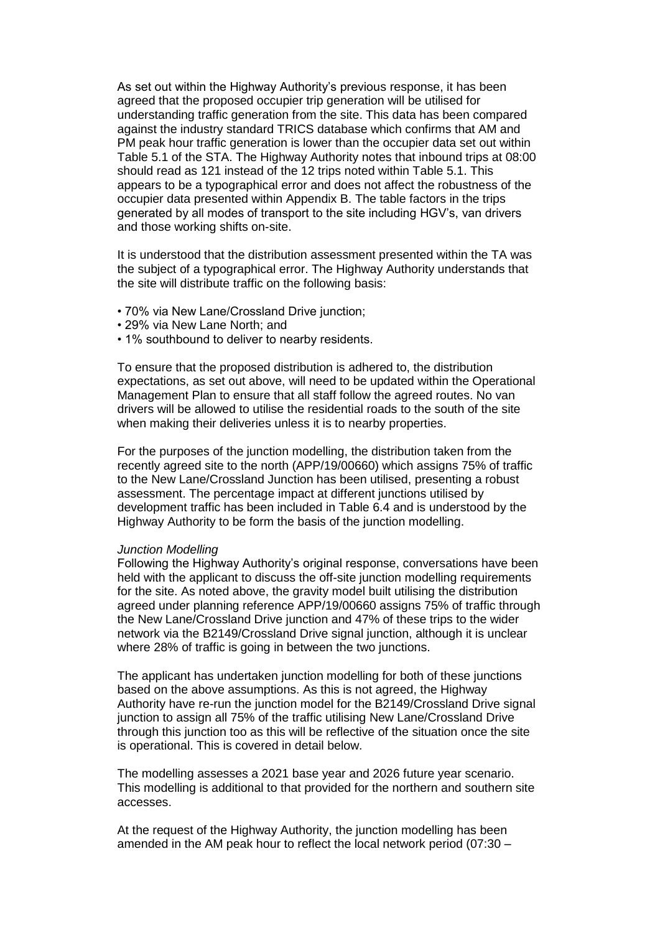As set out within the Highway Authority's previous response, it has been agreed that the proposed occupier trip generation will be utilised for understanding traffic generation from the site. This data has been compared against the industry standard TRICS database which confirms that AM and PM peak hour traffic generation is lower than the occupier data set out within Table 5.1 of the STA. The Highway Authority notes that inbound trips at 08:00 should read as 121 instead of the 12 trips noted within Table 5.1. This appears to be a typographical error and does not affect the robustness of the occupier data presented within Appendix B. The table factors in the trips generated by all modes of transport to the site including HGV's, van drivers and those working shifts on-site.

It is understood that the distribution assessment presented within the TA was the subject of a typographical error. The Highway Authority understands that the site will distribute traffic on the following basis:

- 70% via New Lane/Crossland Drive junction;
- 29% via New Lane North; and
- 1% southbound to deliver to nearby residents.

To ensure that the proposed distribution is adhered to, the distribution expectations, as set out above, will need to be updated within the Operational Management Plan to ensure that all staff follow the agreed routes. No van drivers will be allowed to utilise the residential roads to the south of the site when making their deliveries unless it is to nearby properties.

For the purposes of the junction modelling, the distribution taken from the recently agreed site to the north (APP/19/00660) which assigns 75% of traffic to the New Lane/Crossland Junction has been utilised, presenting a robust assessment. The percentage impact at different junctions utilised by development traffic has been included in Table 6.4 and is understood by the Highway Authority to be form the basis of the junction modelling.

#### *Junction Modelling*

Following the Highway Authority's original response, conversations have been held with the applicant to discuss the off-site junction modelling requirements for the site. As noted above, the gravity model built utilising the distribution agreed under planning reference APP/19/00660 assigns 75% of traffic through the New Lane/Crossland Drive junction and 47% of these trips to the wider network via the B2149/Crossland Drive signal junction, although it is unclear where 28% of traffic is going in between the two junctions.

The applicant has undertaken junction modelling for both of these junctions based on the above assumptions. As this is not agreed, the Highway Authority have re-run the junction model for the B2149/Crossland Drive signal junction to assign all 75% of the traffic utilising New Lane/Crossland Drive through this junction too as this will be reflective of the situation once the site is operational. This is covered in detail below.

The modelling assesses a 2021 base year and 2026 future year scenario. This modelling is additional to that provided for the northern and southern site accesses.

At the request of the Highway Authority, the junction modelling has been amended in the AM peak hour to reflect the local network period (07:30 –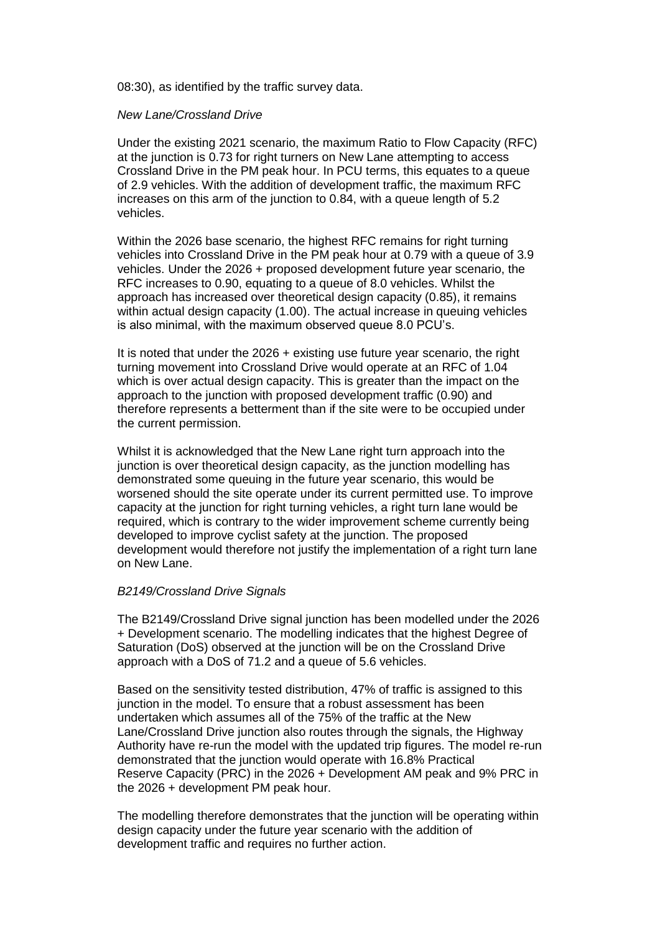08:30), as identified by the traffic survey data.

### *New Lane/Crossland Drive*

Under the existing 2021 scenario, the maximum Ratio to Flow Capacity (RFC) at the junction is 0.73 for right turners on New Lane attempting to access Crossland Drive in the PM peak hour. In PCU terms, this equates to a queue of 2.9 vehicles. With the addition of development traffic, the maximum RFC increases on this arm of the junction to 0.84, with a queue length of 5.2 vehicles.

Within the 2026 base scenario, the highest RFC remains for right turning vehicles into Crossland Drive in the PM peak hour at 0.79 with a queue of 3.9 vehicles. Under the 2026 + proposed development future year scenario, the RFC increases to 0.90, equating to a queue of 8.0 vehicles. Whilst the approach has increased over theoretical design capacity (0.85), it remains within actual design capacity (1.00). The actual increase in queuing vehicles is also minimal, with the maximum observed queue 8.0 PCU's.

It is noted that under the 2026 + existing use future year scenario, the right turning movement into Crossland Drive would operate at an RFC of 1.04 which is over actual design capacity. This is greater than the impact on the approach to the junction with proposed development traffic (0.90) and therefore represents a betterment than if the site were to be occupied under the current permission.

Whilst it is acknowledged that the New Lane right turn approach into the junction is over theoretical design capacity, as the junction modelling has demonstrated some queuing in the future year scenario, this would be worsened should the site operate under its current permitted use. To improve capacity at the junction for right turning vehicles, a right turn lane would be required, which is contrary to the wider improvement scheme currently being developed to improve cyclist safety at the junction. The proposed development would therefore not justify the implementation of a right turn lane on New Lane.

### *B2149/Crossland Drive Signals*

The B2149/Crossland Drive signal junction has been modelled under the 2026 + Development scenario. The modelling indicates that the highest Degree of Saturation (DoS) observed at the junction will be on the Crossland Drive approach with a DoS of 71.2 and a queue of 5.6 vehicles.

Based on the sensitivity tested distribution, 47% of traffic is assigned to this junction in the model. To ensure that a robust assessment has been undertaken which assumes all of the 75% of the traffic at the New Lane/Crossland Drive junction also routes through the signals, the Highway Authority have re-run the model with the updated trip figures. The model re-run demonstrated that the junction would operate with 16.8% Practical Reserve Capacity (PRC) in the 2026 + Development AM peak and 9% PRC in the 2026 + development PM peak hour.

The modelling therefore demonstrates that the junction will be operating within design capacity under the future year scenario with the addition of development traffic and requires no further action.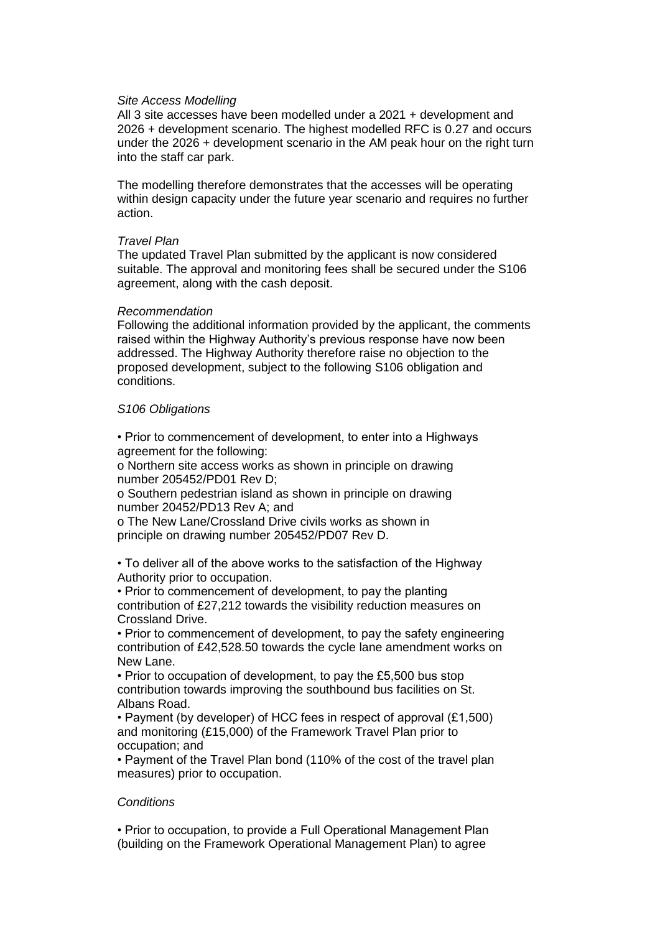### *Site Access Modelling*

All 3 site accesses have been modelled under a 2021 + development and 2026 + development scenario. The highest modelled RFC is 0.27 and occurs under the 2026 + development scenario in the AM peak hour on the right turn into the staff car park.

The modelling therefore demonstrates that the accesses will be operating within design capacity under the future year scenario and requires no further action.

#### *Travel Plan*

The updated Travel Plan submitted by the applicant is now considered suitable. The approval and monitoring fees shall be secured under the S106 agreement, along with the cash deposit.

#### *Recommendation*

Following the additional information provided by the applicant, the comments raised within the Highway Authority's previous response have now been addressed. The Highway Authority therefore raise no objection to the proposed development, subject to the following S106 obligation and conditions.

### *S106 Obligations*

• Prior to commencement of development, to enter into a Highways agreement for the following:

o Northern site access works as shown in principle on drawing number 205452/PD01 Rev D;

o Southern pedestrian island as shown in principle on drawing number 20452/PD13 Rev A; and

o The New Lane/Crossland Drive civils works as shown in principle on drawing number 205452/PD07 Rev D.

• To deliver all of the above works to the satisfaction of the Highway Authority prior to occupation.

• Prior to commencement of development, to pay the planting contribution of £27,212 towards the visibility reduction measures on Crossland Drive.

• Prior to commencement of development, to pay the safety engineering contribution of £42,528.50 towards the cycle lane amendment works on New Lane.

• Prior to occupation of development, to pay the £5,500 bus stop contribution towards improving the southbound bus facilities on St. Albans Road.

• Payment (by developer) of HCC fees in respect of approval (£1,500) and monitoring (£15,000) of the Framework Travel Plan prior to occupation; and

• Payment of the Travel Plan bond (110% of the cost of the travel plan measures) prior to occupation.

## *Conditions*

• Prior to occupation, to provide a Full Operational Management Plan (building on the Framework Operational Management Plan) to agree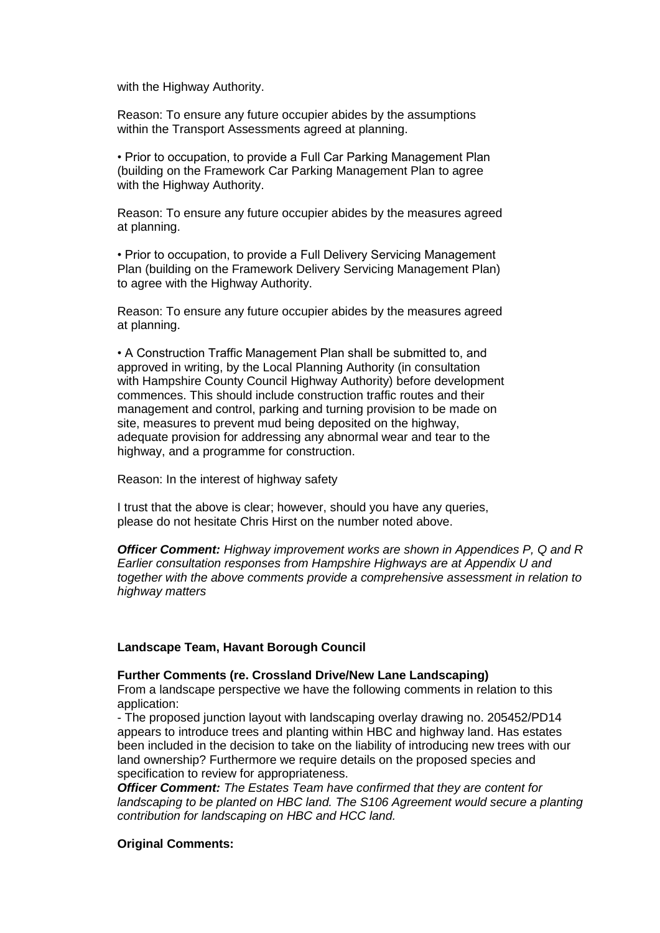with the Highway Authority.

Reason: To ensure any future occupier abides by the assumptions within the Transport Assessments agreed at planning.

• Prior to occupation, to provide a Full Car Parking Management Plan (building on the Framework Car Parking Management Plan to agree with the Highway Authority.

Reason: To ensure any future occupier abides by the measures agreed at planning.

• Prior to occupation, to provide a Full Delivery Servicing Management Plan (building on the Framework Delivery Servicing Management Plan) to agree with the Highway Authority.

Reason: To ensure any future occupier abides by the measures agreed at planning.

• A Construction Traffic Management Plan shall be submitted to, and approved in writing, by the Local Planning Authority (in consultation with Hampshire County Council Highway Authority) before development commences. This should include construction traffic routes and their management and control, parking and turning provision to be made on site, measures to prevent mud being deposited on the highway, adequate provision for addressing any abnormal wear and tear to the highway, and a programme for construction.

Reason: In the interest of highway safety

I trust that the above is clear; however, should you have any queries, please do not hesitate Chris Hirst on the number noted above.

*Officer Comment: Highway improvement works are shown in Appendices P, Q and R Earlier consultation responses from Hampshire Highways are at Appendix U and together with the above comments provide a comprehensive assessment in relation to highway matters*

### **Landscape Team, Havant Borough Council**

### **Further Comments (re. Crossland Drive/New Lane Landscaping)**

From a landscape perspective we have the following comments in relation to this application:

- The proposed junction layout with landscaping overlay drawing no. 205452/PD14 appears to introduce trees and planting within HBC and highway land. Has estates been included in the decision to take on the liability of introducing new trees with our land ownership? Furthermore we require details on the proposed species and specification to review for appropriateness.

*Officer Comment: The Estates Team have confirmed that they are content for*  landscaping to be planted on HBC land. The S106 Agreement would secure a planting *contribution for landscaping on HBC and HCC land.*

### **Original Comments:**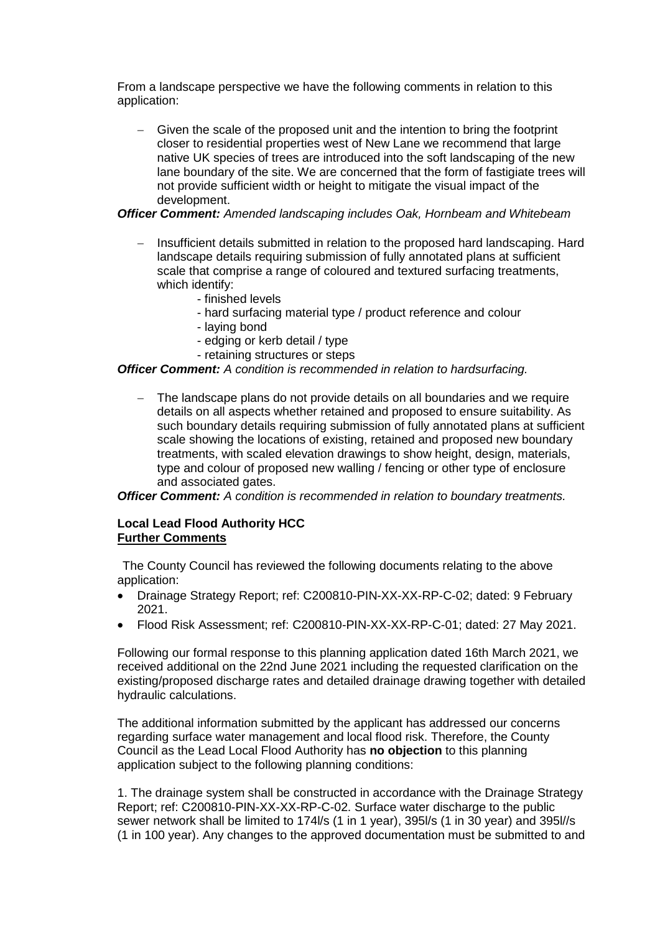From a landscape perspective we have the following comments in relation to this application:

 Given the scale of the proposed unit and the intention to bring the footprint closer to residential properties west of New Lane we recommend that large native UK species of trees are introduced into the soft landscaping of the new lane boundary of the site. We are concerned that the form of fastigiate trees will not provide sufficient width or height to mitigate the visual impact of the development.

# *Officer Comment: Amended landscaping includes Oak, Hornbeam and Whitebeam*

- Insufficient details submitted in relation to the proposed hard landscaping. Hard landscape details requiring submission of fully annotated plans at sufficient scale that comprise a range of coloured and textured surfacing treatments, which identify:
	- finished levels
	- hard surfacing material type / product reference and colour
	- laying bond
	- edging or kerb detail / type
	- retaining structures or steps

# *Officer Comment: A condition is recommended in relation to hardsurfacing.*

 The landscape plans do not provide details on all boundaries and we require details on all aspects whether retained and proposed to ensure suitability. As such boundary details requiring submission of fully annotated plans at sufficient scale showing the locations of existing, retained and proposed new boundary treatments, with scaled elevation drawings to show height, design, materials, type and colour of proposed new walling / fencing or other type of enclosure and associated gates.

*Officer Comment: A condition is recommended in relation to boundary treatments.*

# **Local Lead Flood Authority HCC Further Comments**

The County Council has reviewed the following documents relating to the above application:

- Drainage Strategy Report; ref: C200810-PIN-XX-XX-RP-C-02; dated: 9 February 2021.
- Flood Risk Assessment; ref: C200810-PIN-XX-XX-RP-C-01; dated: 27 May 2021.

Following our formal response to this planning application dated 16th March 2021, we received additional on the 22nd June 2021 including the requested clarification on the existing/proposed discharge rates and detailed drainage drawing together with detailed hydraulic calculations.

The additional information submitted by the applicant has addressed our concerns regarding surface water management and local flood risk. Therefore, the County Council as the Lead Local Flood Authority has **no objection** to this planning application subject to the following planning conditions:

1. The drainage system shall be constructed in accordance with the Drainage Strategy Report; ref: C200810-PIN-XX-XX-RP-C-02. Surface water discharge to the public sewer network shall be limited to 174l/s (1 in 1 year), 395l/s (1 in 30 year) and 395l//s (1 in 100 year). Any changes to the approved documentation must be submitted to and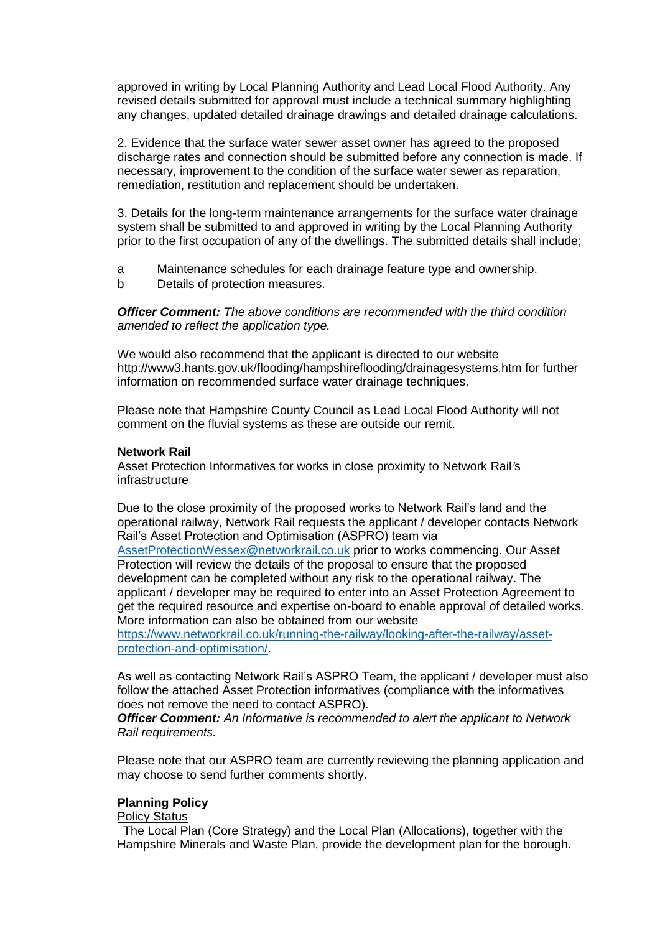approved in writing by Local Planning Authority and Lead Local Flood Authority. Any revised details submitted for approval must include a technical summary highlighting any changes, updated detailed drainage drawings and detailed drainage calculations.

2. Evidence that the surface water sewer asset owner has agreed to the proposed discharge rates and connection should be submitted before any connection is made. If necessary, improvement to the condition of the surface water sewer as reparation, remediation, restitution and replacement should be undertaken.

3. Details for the long-term maintenance arrangements for the surface water drainage system shall be submitted to and approved in writing by the Local Planning Authority prior to the first occupation of any of the dwellings. The submitted details shall include;

- a Maintenance schedules for each drainage feature type and ownership.
- b Details of protection measures.

*Officer Comment: The above conditions are recommended with the third condition amended to reflect the application type.*

We would also recommend that the applicant is directed to our website http://www3.hants.gov.uk/flooding/hampshireflooding/drainagesystems.htm for further information on recommended surface water drainage techniques.

Please note that Hampshire County Council as Lead Local Flood Authority will not comment on the fluvial systems as these are outside our remit.

#### **Network Rail**

Asset Protection Informatives for works in close proximity to Network Rail*'*s infrastructure

Due to the close proximity of the proposed works to Network Rail's land and the operational railway, Network Rail requests the applicant / developer contacts Network Rail's Asset Protection and Optimisation (ASPRO) team via AssetProtectionWessex@networkrail.co.uk prior to works commencing. Our Asset Protection will review the details of the proposal to ensure that the proposed development can be completed without any risk to the operational railway. The applicant / developer may be required to enter into an Asset Protection Agreement to get the required resource and expertise on-board to enable approval of detailed works. More information can also be obtained from our website https://www.networkrail.co.uk/running-the-railway/looking-after-the-railway/asset-

protection-and-optimisation/.

As well as contacting Network Rail's ASPRO Team, the applicant / developer must also follow the attached Asset Protection informatives (compliance with the informatives does not remove the need to contact ASPRO).

*Officer Comment: An Informative is recommended to alert the applicant to Network Rail requirements.*

Please note that our ASPRO team are currently reviewing the planning application and may choose to send further comments shortly.

## **Planning Policy**

### Policy Status

The Local Plan (Core Strategy) and the Local Plan (Allocations), together with the Hampshire Minerals and Waste Plan, provide the development plan for the borough.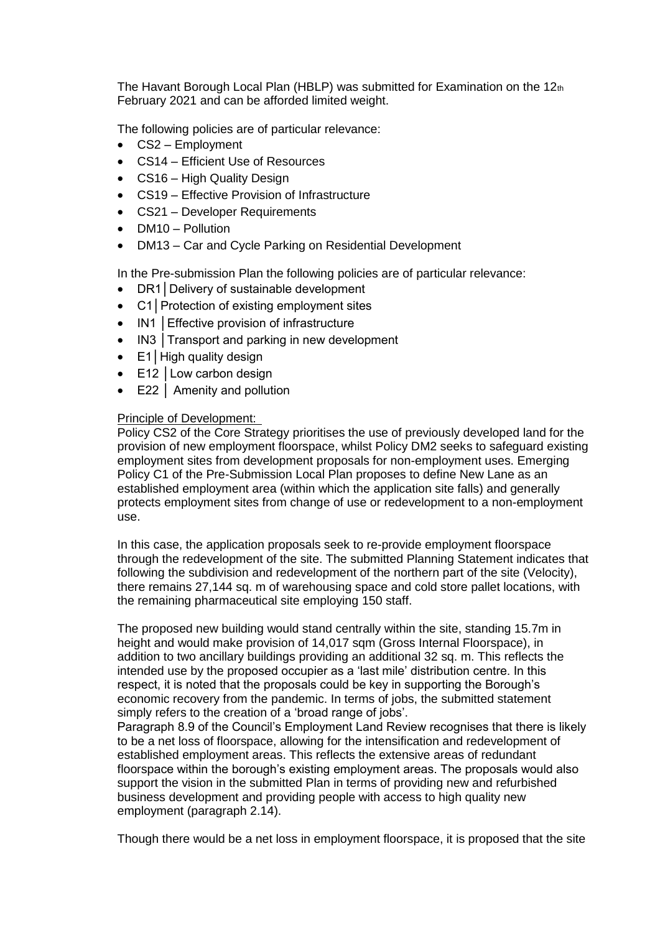The Havant Borough Local Plan (HBLP) was submitted for Examination on the 12th February 2021 and can be afforded limited weight.

The following policies are of particular relevance:

- CS2 Employment
- CS14 Efficient Use of Resources
- CS16 High Quality Design
- CS19 Effective Provision of Infrastructure
- CS21 Developer Requirements
- DM10 Pollution
- DM13 Car and Cycle Parking on Residential Development

In the Pre-submission Plan the following policies are of particular relevance:

- DR1│Delivery of sustainable development
- C1│Protection of existing employment sites
- IN1 | Effective provision of infrastructure
- IN3 Transport and parking in new development
- E1│High quality design
- E12 Low carbon design
- E22 │ Amenity and pollution

## Principle of Development:

Policy CS2 of the Core Strategy prioritises the use of previously developed land for the provision of new employment floorspace, whilst Policy DM2 seeks to safeguard existing employment sites from development proposals for non-employment uses. Emerging Policy C1 of the Pre-Submission Local Plan proposes to define New Lane as an established employment area (within which the application site falls) and generally protects employment sites from change of use or redevelopment to a non-employment use.

In this case, the application proposals seek to re-provide employment floorspace through the redevelopment of the site. The submitted Planning Statement indicates that following the subdivision and redevelopment of the northern part of the site (Velocity), there remains 27,144 sq. m of warehousing space and cold store pallet locations, with the remaining pharmaceutical site employing 150 staff.

The proposed new building would stand centrally within the site, standing 15.7m in height and would make provision of 14,017 sqm (Gross Internal Floorspace), in addition to two ancillary buildings providing an additional 32 sq. m. This reflects the intended use by the proposed occupier as a 'last mile' distribution centre. In this respect, it is noted that the proposals could be key in supporting the Borough's economic recovery from the pandemic. In terms of jobs, the submitted statement simply refers to the creation of a 'broad range of jobs'.

Paragraph 8.9 of the Council's Employment Land Review recognises that there is likely to be a net loss of floorspace, allowing for the intensification and redevelopment of established employment areas. This reflects the extensive areas of redundant floorspace within the borough's existing employment areas. The proposals would also support the vision in the submitted Plan in terms of providing new and refurbished business development and providing people with access to high quality new employment (paragraph 2.14).

Though there would be a net loss in employment floorspace, it is proposed that the site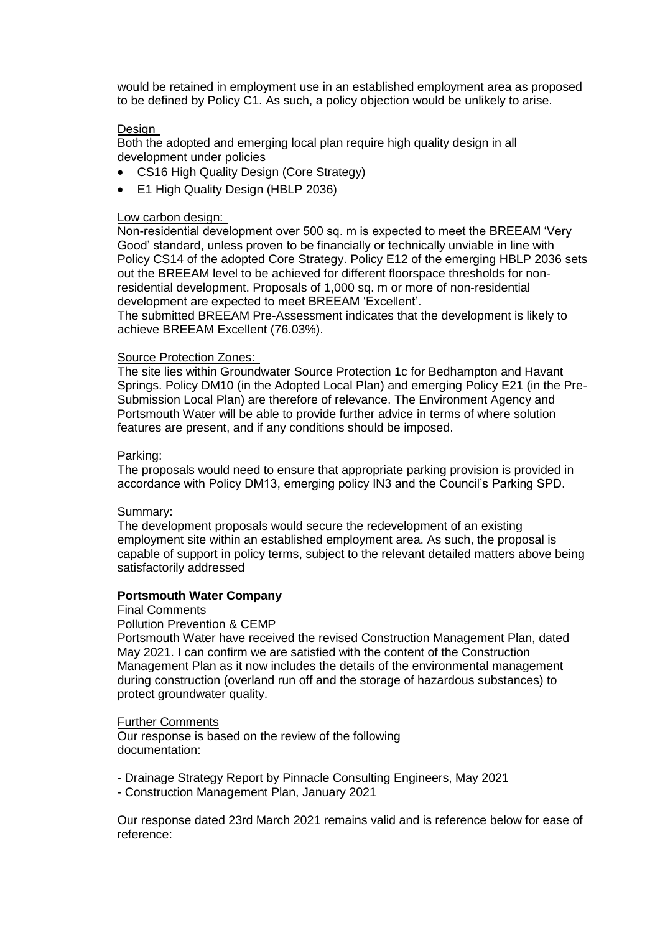would be retained in employment use in an established employment area as proposed to be defined by Policy C1. As such, a policy objection would be unlikely to arise.

### Design

Both the adopted and emerging local plan require high quality design in all development under policies

- CS16 High Quality Design (Core Strategy)
- E1 High Quality Design (HBLP 2036)

### Low carbon design:

Non-residential development over 500 sq. m is expected to meet the BREEAM 'Very Good' standard, unless proven to be financially or technically unviable in line with Policy CS14 of the adopted Core Strategy. Policy E12 of the emerging HBLP 2036 sets out the BREEAM level to be achieved for different floorspace thresholds for nonresidential development. Proposals of 1,000 sq. m or more of non-residential development are expected to meet BREEAM 'Excellent'.

The submitted BREEAM Pre-Assessment indicates that the development is likely to achieve BREEAM Excellent (76.03%).

### Source Protection Zones:

The site lies within Groundwater Source Protection 1c for Bedhampton and Havant Springs. Policy DM10 (in the Adopted Local Plan) and emerging Policy E21 (in the Pre-Submission Local Plan) are therefore of relevance. The Environment Agency and Portsmouth Water will be able to provide further advice in terms of where solution features are present, and if any conditions should be imposed.

### Parking:

The proposals would need to ensure that appropriate parking provision is provided in accordance with Policy DM13, emerging policy IN3 and the Council's Parking SPD.

#### Summary:

The development proposals would secure the redevelopment of an existing employment site within an established employment area. As such, the proposal is capable of support in policy terms, subject to the relevant detailed matters above being satisfactorily addressed

# **Portsmouth Water Company**

#### Final Comments

### Pollution Prevention & CEMP

Portsmouth Water have received the revised Construction Management Plan, dated May 2021. I can confirm we are satisfied with the content of the Construction Management Plan as it now includes the details of the environmental management during construction (overland run off and the storage of hazardous substances) to protect groundwater quality.

### Further Comments

Our response is based on the review of the following documentation:

- Drainage Strategy Report by Pinnacle Consulting Engineers, May 2021
- Construction Management Plan, January 2021

Our response dated 23rd March 2021 remains valid and is reference below for ease of reference: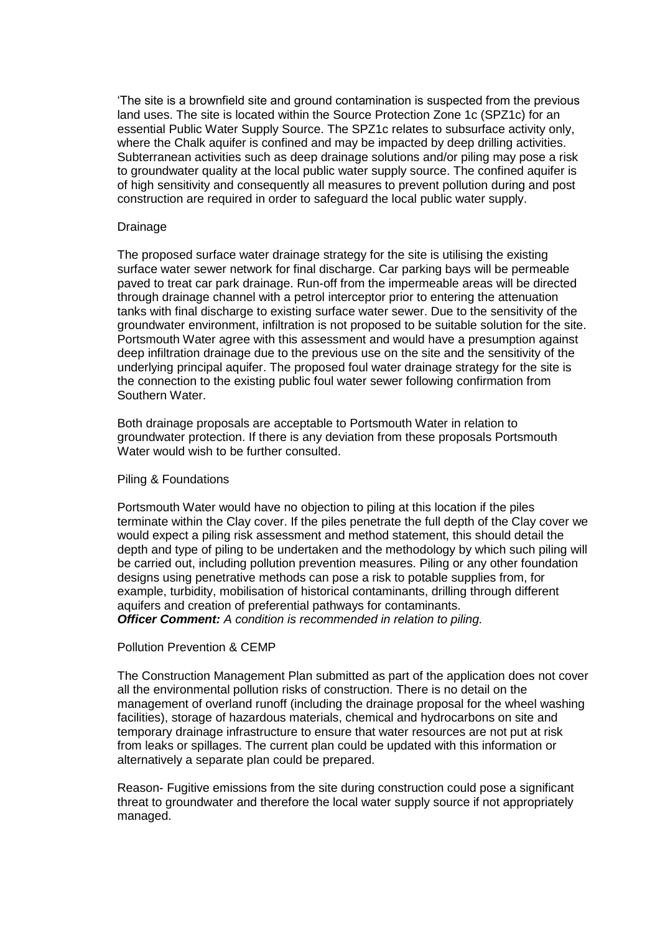'The site is a brownfield site and ground contamination is suspected from the previous land uses. The site is located within the Source Protection Zone 1c (SPZ1c) for an essential Public Water Supply Source. The SPZ1c relates to subsurface activity only, where the Chalk aquifer is confined and may be impacted by deep drilling activities. Subterranean activities such as deep drainage solutions and/or piling may pose a risk to groundwater quality at the local public water supply source. The confined aquifer is of high sensitivity and consequently all measures to prevent pollution during and post construction are required in order to safeguard the local public water supply.

### Drainage

The proposed surface water drainage strategy for the site is utilising the existing surface water sewer network for final discharge. Car parking bays will be permeable paved to treat car park drainage. Run-off from the impermeable areas will be directed through drainage channel with a petrol interceptor prior to entering the attenuation tanks with final discharge to existing surface water sewer. Due to the sensitivity of the groundwater environment, infiltration is not proposed to be suitable solution for the site. Portsmouth Water agree with this assessment and would have a presumption against deep infiltration drainage due to the previous use on the site and the sensitivity of the underlying principal aquifer. The proposed foul water drainage strategy for the site is the connection to the existing public foul water sewer following confirmation from Southern Water.

Both drainage proposals are acceptable to Portsmouth Water in relation to groundwater protection. If there is any deviation from these proposals Portsmouth Water would wish to be further consulted.

#### Piling & Foundations

Portsmouth Water would have no objection to piling at this location if the piles terminate within the Clay cover. If the piles penetrate the full depth of the Clay cover we would expect a piling risk assessment and method statement, this should detail the depth and type of piling to be undertaken and the methodology by which such piling will be carried out, including pollution prevention measures. Piling or any other foundation designs using penetrative methods can pose a risk to potable supplies from, for example, turbidity, mobilisation of historical contaminants, drilling through different aquifers and creation of preferential pathways for contaminants. *Officer Comment: A condition is recommended in relation to piling.*

## Pollution Prevention & CEMP

The Construction Management Plan submitted as part of the application does not cover all the environmental pollution risks of construction. There is no detail on the management of overland runoff (including the drainage proposal for the wheel washing facilities), storage of hazardous materials, chemical and hydrocarbons on site and temporary drainage infrastructure to ensure that water resources are not put at risk from leaks or spillages. The current plan could be updated with this information or alternatively a separate plan could be prepared.

Reason- Fugitive emissions from the site during construction could pose a significant threat to groundwater and therefore the local water supply source if not appropriately managed.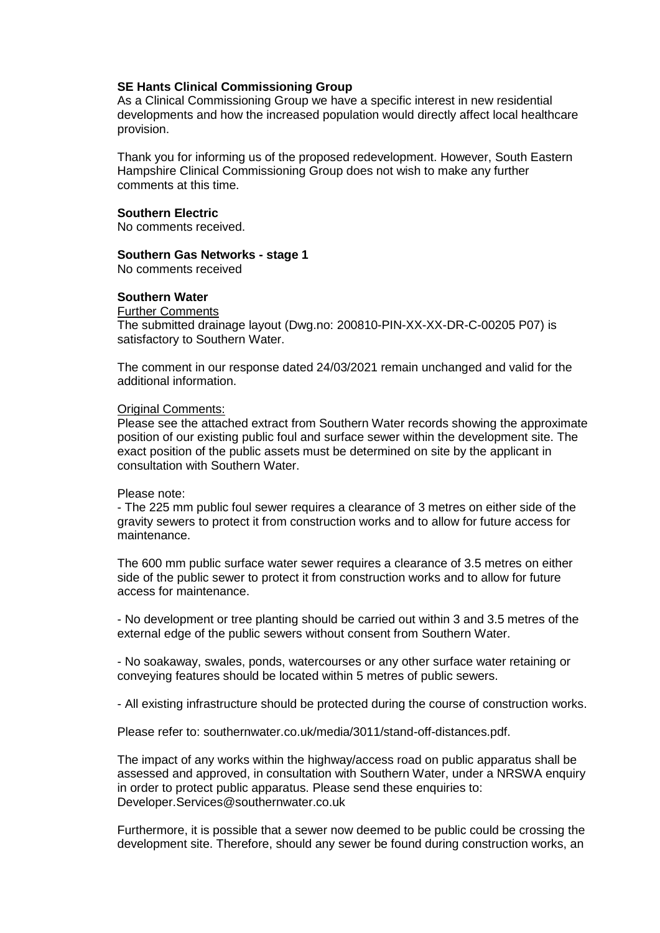## **SE Hants Clinical Commissioning Group**

As a Clinical Commissioning Group we have a specific interest in new residential developments and how the increased population would directly affect local healthcare provision.

Thank you for informing us of the proposed redevelopment. However, South Eastern Hampshire Clinical Commissioning Group does not wish to make any further comments at this time.

### **Southern Electric**

No comments received.

### **Southern Gas Networks - stage 1**

No comments received

## **Southern Water**

#### Further Comments

The submitted drainage layout (Dwg.no: 200810-PIN-XX-XX-DR-C-00205 P07) is satisfactory to Southern Water.

The comment in our response dated 24/03/2021 remain unchanged and valid for the additional information.

## **Original Comments:**

Please see the attached extract from Southern Water records showing the approximate position of our existing public foul and surface sewer within the development site. The exact position of the public assets must be determined on site by the applicant in consultation with Southern Water.

#### Please note:

- The 225 mm public foul sewer requires a clearance of 3 metres on either side of the gravity sewers to protect it from construction works and to allow for future access for maintenance.

The 600 mm public surface water sewer requires a clearance of 3.5 metres on either side of the public sewer to protect it from construction works and to allow for future access for maintenance.

- No development or tree planting should be carried out within 3 and 3.5 metres of the external edge of the public sewers without consent from Southern Water.

- No soakaway, swales, ponds, watercourses or any other surface water retaining or conveying features should be located within 5 metres of public sewers.

- All existing infrastructure should be protected during the course of construction works.

Please refer to: southernwater.co.uk/media/3011/stand-off-distances.pdf.

The impact of any works within the highway/access road on public apparatus shall be assessed and approved, in consultation with Southern Water, under a NRSWA enquiry in order to protect public apparatus. Please send these enquiries to: Developer.Services@southernwater.co.uk

Furthermore, it is possible that a sewer now deemed to be public could be crossing the development site. Therefore, should any sewer be found during construction works, an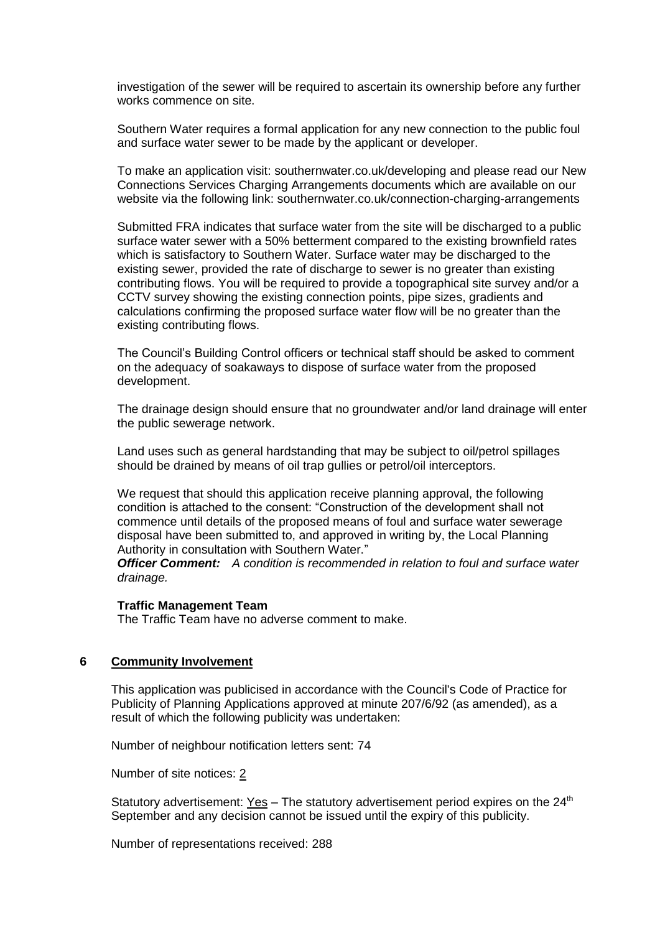investigation of the sewer will be required to ascertain its ownership before any further works commence on site.

Southern Water requires a formal application for any new connection to the public foul and surface water sewer to be made by the applicant or developer.

To make an application visit: southernwater.co.uk/developing and please read our New Connections Services Charging Arrangements documents which are available on our website via the following link: southernwater.co.uk/connection-charging-arrangements

Submitted FRA indicates that surface water from the site will be discharged to a public surface water sewer with a 50% betterment compared to the existing brownfield rates which is satisfactory to Southern Water. Surface water may be discharged to the existing sewer, provided the rate of discharge to sewer is no greater than existing contributing flows. You will be required to provide a topographical site survey and/or a CCTV survey showing the existing connection points, pipe sizes, gradients and calculations confirming the proposed surface water flow will be no greater than the existing contributing flows.

The Council's Building Control officers or technical staff should be asked to comment on the adequacy of soakaways to dispose of surface water from the proposed development.

The drainage design should ensure that no groundwater and/or land drainage will enter the public sewerage network.

Land uses such as general hardstanding that may be subject to oil/petrol spillages should be drained by means of oil trap gullies or petrol/oil interceptors.

We request that should this application receive planning approval, the following condition is attached to the consent: "Construction of the development shall not commence until details of the proposed means of foul and surface water sewerage disposal have been submitted to, and approved in writing by, the Local Planning Authority in consultation with Southern Water."

*Officer Comment: A condition is recommended in relation to foul and surface water drainage.*

### **Traffic Management Team**

The Traffic Team have no adverse comment to make.

### **6 Community Involvement**

This application was publicised in accordance with the Council's Code of Practice for Publicity of Planning Applications approved at minute 207/6/92 (as amended), as a result of which the following publicity was undertaken:

Number of neighbour notification letters sent: 74

Number of site notices: 2

Statutory advertisement:  $Yes - The statutory advertisement period expires on the 24<sup>th</sup>$ </u> September and any decision cannot be issued until the expiry of this publicity.

Number of representations received: 288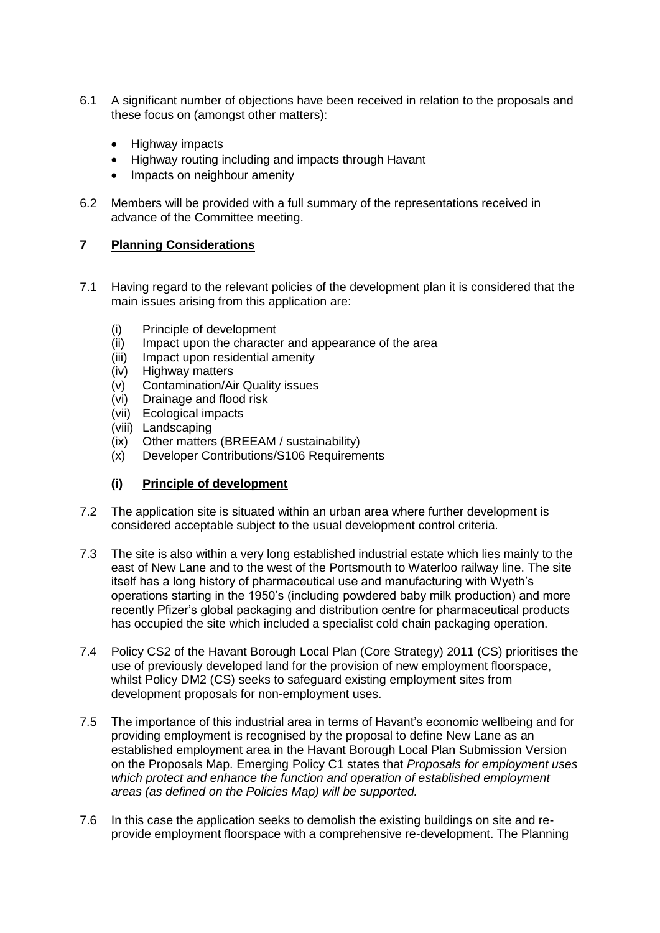- 6.1 A significant number of objections have been received in relation to the proposals and these focus on (amongst other matters):
	- Highway impacts
	- Highway routing including and impacts through Havant
	- Impacts on neighbour amenity
- 6.2 Members will be provided with a full summary of the representations received in advance of the Committee meeting.

# **7 Planning Considerations**

- 7.1 Having regard to the relevant policies of the development plan it is considered that the main issues arising from this application are:
	- (i) Principle of development
	- (ii) Impact upon the character and appearance of the area
	- (iii) Impact upon residential amenity
	- (iv) Highway matters
	- (v) Contamination/Air Quality issues
	- (vi) Drainage and flood risk
	- (vii) Ecological impacts
	- (viii) Landscaping
	- (ix) Other matters (BREEAM / sustainability)
	- (x) Developer Contributions/S106 Requirements

# **(i) Principle of development**

- 7.2 The application site is situated within an urban area where further development is considered acceptable subject to the usual development control criteria.
- 7.3 The site is also within a very long established industrial estate which lies mainly to the east of New Lane and to the west of the Portsmouth to Waterloo railway line. The site itself has a long history of pharmaceutical use and manufacturing with Wyeth's operations starting in the 1950's (including powdered baby milk production) and more recently Pfizer's global packaging and distribution centre for pharmaceutical products has occupied the site which included a specialist cold chain packaging operation.
- 7.4 Policy CS2 of the Havant Borough Local Plan (Core Strategy) 2011 (CS) prioritises the use of previously developed land for the provision of new employment floorspace, whilst Policy DM2 (CS) seeks to safeguard existing employment sites from development proposals for non-employment uses.
- 7.5 The importance of this industrial area in terms of Havant's economic wellbeing and for providing employment is recognised by the proposal to define New Lane as an established employment area in the Havant Borough Local Plan Submission Version on the Proposals Map. Emerging Policy C1 states that *Proposals for employment uses which protect and enhance the function and operation of established employment areas (as defined on the Policies Map) will be supported.*
- 7.6 In this case the application seeks to demolish the existing buildings on site and reprovide employment floorspace with a comprehensive re-development. The Planning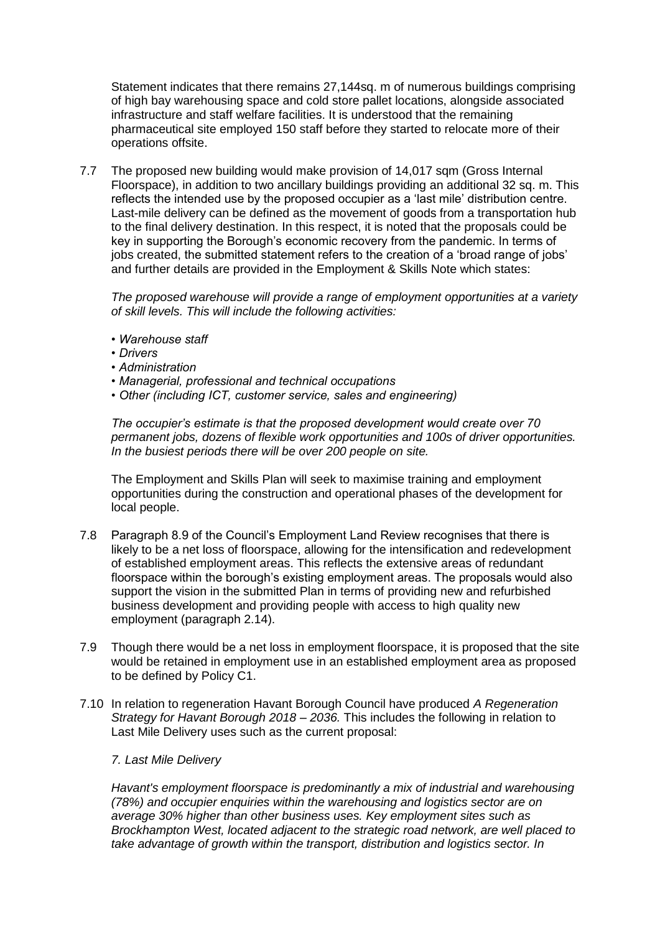Statement indicates that there remains 27,144sq. m of numerous buildings comprising of high bay warehousing space and cold store pallet locations, alongside associated infrastructure and staff welfare facilities. It is understood that the remaining pharmaceutical site employed 150 staff before they started to relocate more of their operations offsite.

7.7 The proposed new building would make provision of 14,017 sqm (Gross Internal Floorspace), in addition to two ancillary buildings providing an additional 32 sq. m. This reflects the intended use by the proposed occupier as a 'last mile' distribution centre. Last-mile delivery can be defined as the movement of goods from a transportation hub to the final delivery destination. In this respect, it is noted that the proposals could be key in supporting the Borough's economic recovery from the pandemic. In terms of jobs created, the submitted statement refers to the creation of a 'broad range of jobs' and further details are provided in the Employment & Skills Note which states:

*The proposed warehouse will provide a range of employment opportunities at a variety of skill levels. This will include the following activities:* 

- *Warehouse staff*
- *Drivers*
- *Administration*
- *Managerial, professional and technical occupations*
- *Other (including ICT, customer service, sales and engineering)*

*The occupier's estimate is that the proposed development would create over 70 permanent jobs, dozens of flexible work opportunities and 100s of driver opportunities. In the busiest periods there will be over 200 people on site.*

The Employment and Skills Plan will seek to maximise training and employment opportunities during the construction and operational phases of the development for local people.

- 7.8 Paragraph 8.9 of the Council's Employment Land Review recognises that there is likely to be a net loss of floorspace, allowing for the intensification and redevelopment of established employment areas. This reflects the extensive areas of redundant floorspace within the borough's existing employment areas. The proposals would also support the vision in the submitted Plan in terms of providing new and refurbished business development and providing people with access to high quality new employment (paragraph 2.14).
- 7.9 Though there would be a net loss in employment floorspace, it is proposed that the site would be retained in employment use in an established employment area as proposed to be defined by Policy C1.
- 7.10 In relation to regeneration Havant Borough Council have produced *A Regeneration Strategy for Havant Borough 2018 – 2036.* This includes the following in relation to Last Mile Delivery uses such as the current proposal:

### *7. Last Mile Delivery*

*Havant's employment floorspace is predominantly a mix of industrial and warehousing (78%) and occupier enquiries within the warehousing and logistics sector are on average 30% higher than other business uses. Key employment sites such as Brockhampton West, located adjacent to the strategic road network, are well placed to take advantage of growth within the transport, distribution and logistics sector. In*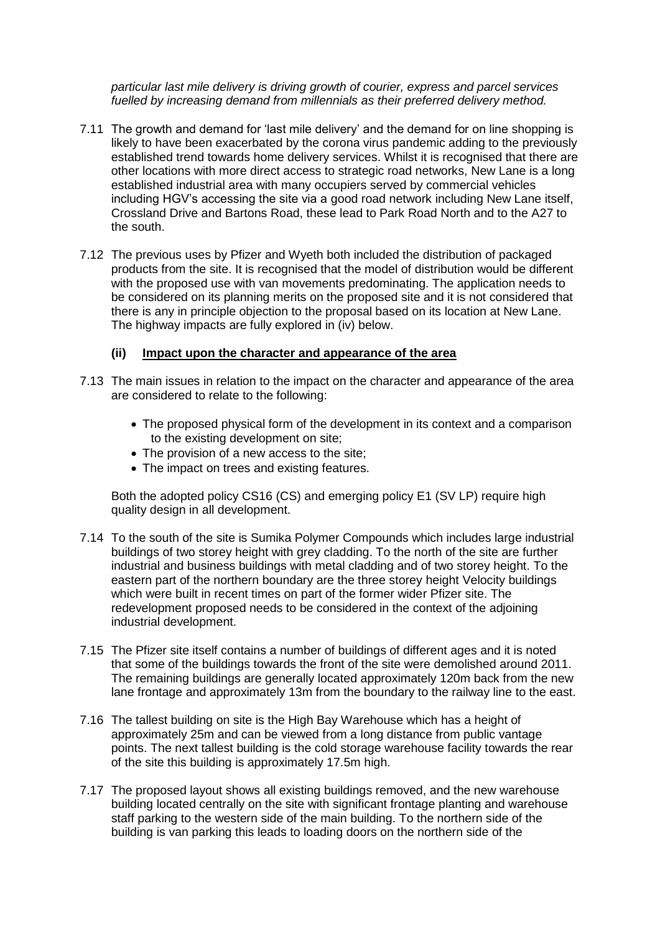*particular last mile delivery is driving growth of courier, express and parcel services fuelled by increasing demand from millennials as their preferred delivery method.*

- 7.11 The growth and demand for 'last mile delivery' and the demand for on line shopping is likely to have been exacerbated by the corona virus pandemic adding to the previously established trend towards home delivery services. Whilst it is recognised that there are other locations with more direct access to strategic road networks, New Lane is a long established industrial area with many occupiers served by commercial vehicles including HGV's accessing the site via a good road network including New Lane itself, Crossland Drive and Bartons Road, these lead to Park Road North and to the A27 to the south.
- 7.12 The previous uses by Pfizer and Wyeth both included the distribution of packaged products from the site. It is recognised that the model of distribution would be different with the proposed use with van movements predominating. The application needs to be considered on its planning merits on the proposed site and it is not considered that there is any in principle objection to the proposal based on its location at New Lane. The highway impacts are fully explored in (iv) below.

# **(ii) Impact upon the character and appearance of the area**

- 7.13 The main issues in relation to the impact on the character and appearance of the area are considered to relate to the following:
	- The proposed physical form of the development in its context and a comparison to the existing development on site;
	- The provision of a new access to the site;
	- The impact on trees and existing features.

Both the adopted policy CS16 (CS) and emerging policy E1 (SV LP) require high quality design in all development.

- 7.14 To the south of the site is Sumika Polymer Compounds which includes large industrial buildings of two storey height with grey cladding. To the north of the site are further industrial and business buildings with metal cladding and of two storey height. To the eastern part of the northern boundary are the three storey height Velocity buildings which were built in recent times on part of the former wider Pfizer site. The redevelopment proposed needs to be considered in the context of the adjoining industrial development.
- 7.15 The Pfizer site itself contains a number of buildings of different ages and it is noted that some of the buildings towards the front of the site were demolished around 2011. The remaining buildings are generally located approximately 120m back from the new lane frontage and approximately 13m from the boundary to the railway line to the east.
- 7.16 The tallest building on site is the High Bay Warehouse which has a height of approximately 25m and can be viewed from a long distance from public vantage points. The next tallest building is the cold storage warehouse facility towards the rear of the site this building is approximately 17.5m high.
- 7.17 The proposed layout shows all existing buildings removed, and the new warehouse building located centrally on the site with significant frontage planting and warehouse staff parking to the western side of the main building. To the northern side of the building is van parking this leads to loading doors on the northern side of the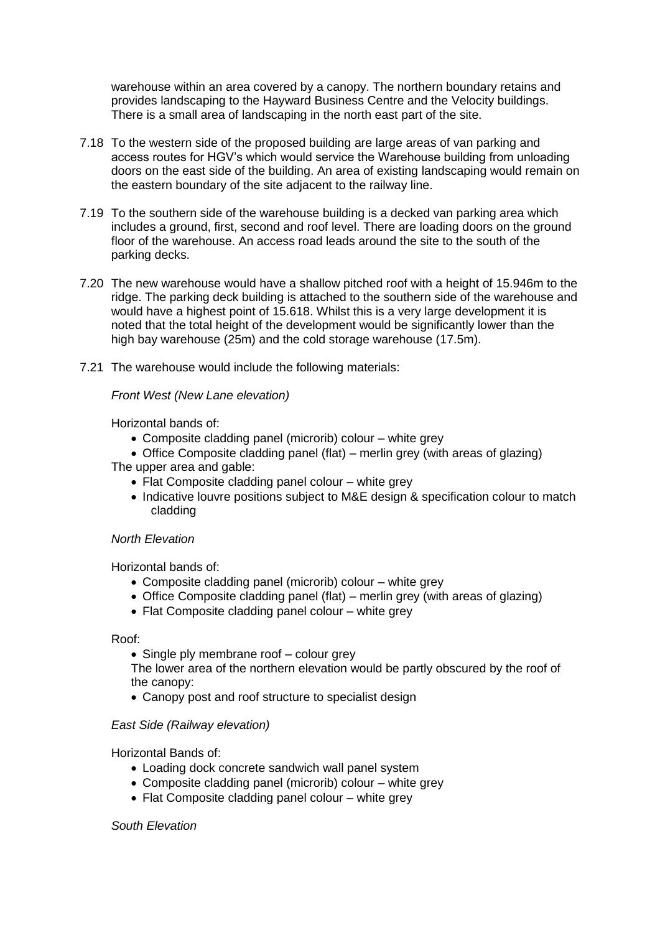warehouse within an area covered by a canopy. The northern boundary retains and provides landscaping to the Hayward Business Centre and the Velocity buildings. There is a small area of landscaping in the north east part of the site.

- 7.18 To the western side of the proposed building are large areas of van parking and access routes for HGV's which would service the Warehouse building from unloading doors on the east side of the building. An area of existing landscaping would remain on the eastern boundary of the site adjacent to the railway line.
- 7.19 To the southern side of the warehouse building is a decked van parking area which includes a ground, first, second and roof level. There are loading doors on the ground floor of the warehouse. An access road leads around the site to the south of the parking decks.
- 7.20 The new warehouse would have a shallow pitched roof with a height of 15.946m to the ridge. The parking deck building is attached to the southern side of the warehouse and would have a highest point of 15.618. Whilst this is a very large development it is noted that the total height of the development would be significantly lower than the high bay warehouse (25m) and the cold storage warehouse (17.5m).
- 7.21 The warehouse would include the following materials:

# *Front West (New Lane elevation)*

Horizontal bands of:

- Composite cladding panel (microrib) colour white grey
- Office Composite cladding panel (flat) merlin grey (with areas of glazing) The upper area and gable:
	- Flat Composite cladding panel colour white grey
	- Indicative louvre positions subject to M&E design & specification colour to match cladding

## *North Elevation*

Horizontal bands of:

- Composite cladding panel (microrib) colour white grey
- Office Composite cladding panel (flat) merlin grey (with areas of glazing)
- Flat Composite cladding panel colour white grey

Roof:

• Single ply membrane roof – colour grey

The lower area of the northern elevation would be partly obscured by the roof of the canopy:

• Canopy post and roof structure to specialist design

### *East Side (Railway elevation)*

Horizontal Bands of:

- Loading dock concrete sandwich wall panel system
- Composite cladding panel (microrib) colour white grey
- Flat Composite cladding panel colour white grey

### *South Elevation*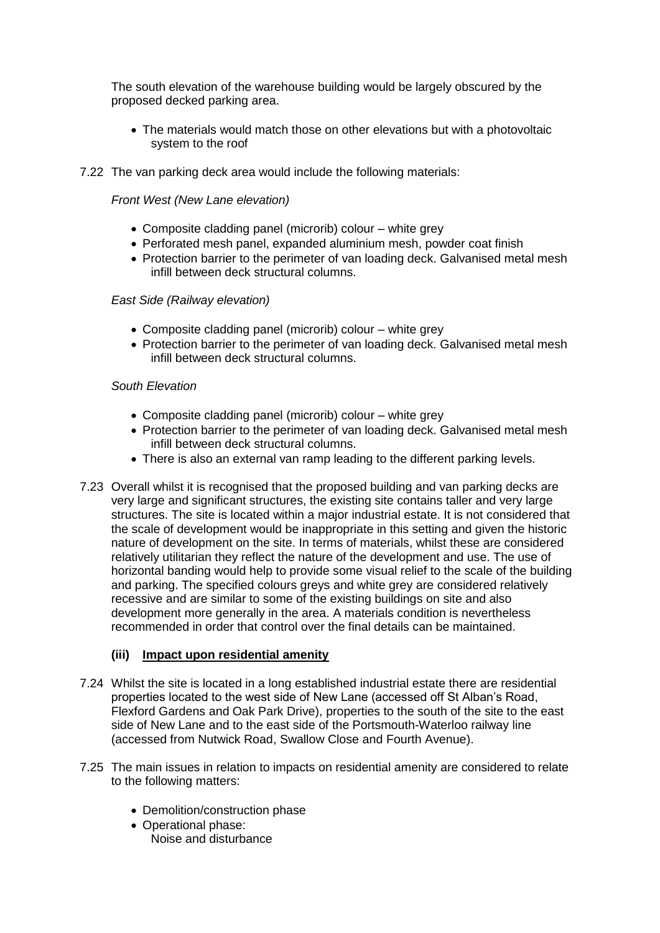The south elevation of the warehouse building would be largely obscured by the proposed decked parking area.

- The materials would match those on other elevations but with a photovoltaic system to the roof
- 7.22 The van parking deck area would include the following materials:

*Front West (New Lane elevation)*

- Composite cladding panel (microrib) colour white grey
- Perforated mesh panel, expanded aluminium mesh, powder coat finish
- Protection barrier to the perimeter of van loading deck. Galvanised metal mesh infill between deck structural columns.

# *East Side (Railway elevation)*

- Composite cladding panel (microrib) colour white grey
- Protection barrier to the perimeter of van loading deck. Galvanised metal mesh infill between deck structural columns.

# *South Elevation*

- Composite cladding panel (microrib) colour white grey
- Protection barrier to the perimeter of van loading deck. Galvanised metal mesh infill between deck structural columns.
- There is also an external van ramp leading to the different parking levels.
- 7.23 Overall whilst it is recognised that the proposed building and van parking decks are very large and significant structures, the existing site contains taller and very large structures. The site is located within a major industrial estate. It is not considered that the scale of development would be inappropriate in this setting and given the historic nature of development on the site. In terms of materials, whilst these are considered relatively utilitarian they reflect the nature of the development and use. The use of horizontal banding would help to provide some visual relief to the scale of the building and parking. The specified colours greys and white grey are considered relatively recessive and are similar to some of the existing buildings on site and also development more generally in the area. A materials condition is nevertheless recommended in order that control over the final details can be maintained.

# **(iii) Impact upon residential amenity**

- 7.24 Whilst the site is located in a long established industrial estate there are residential properties located to the west side of New Lane (accessed off St Alban's Road, Flexford Gardens and Oak Park Drive), properties to the south of the site to the east side of New Lane and to the east side of the Portsmouth-Waterloo railway line (accessed from Nutwick Road, Swallow Close and Fourth Avenue).
- 7.25 The main issues in relation to impacts on residential amenity are considered to relate to the following matters:
	- Demolition/construction phase
	- Operational phase: Noise and disturbance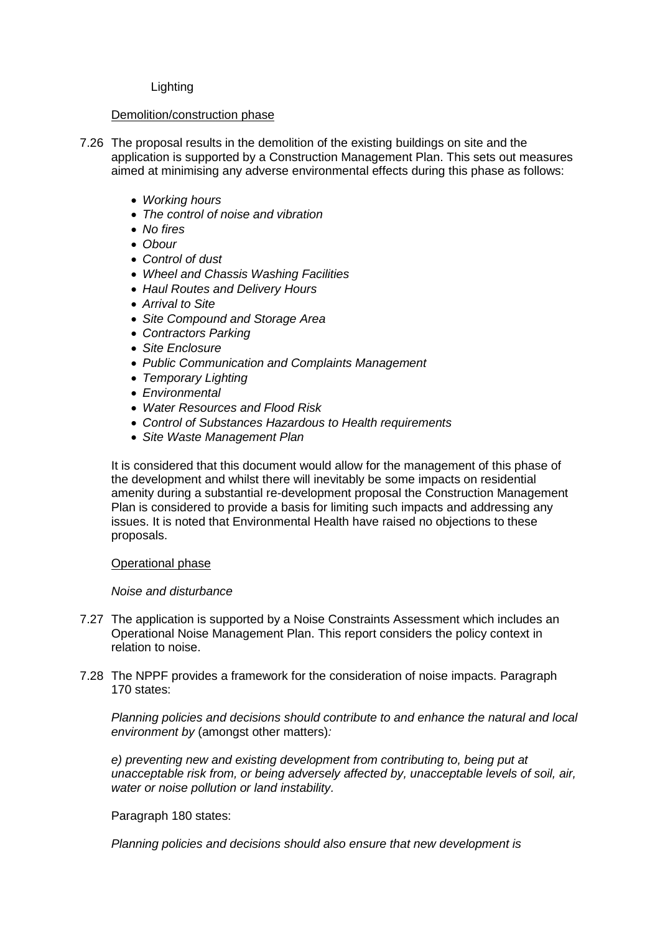## Lighting

## Demolition/construction phase

- 7.26 The proposal results in the demolition of the existing buildings on site and the application is supported by a Construction Management Plan. This sets out measures aimed at minimising any adverse environmental effects during this phase as follows:
	- *Working hours*
	- *The control of noise and vibration*
	- *No fires*
	- *Obour*
	- *Control of dust*
	- *Wheel and Chassis Washing Facilities*
	- *Haul Routes and Delivery Hours*
	- *Arrival to Site*
	- *Site Compound and Storage Area*
	- *Contractors Parking*
	- *Site Enclosure*
	- *Public Communication and Complaints Management*
	- *Temporary Lighting*
	- *Environmental*
	- *Water Resources and Flood Risk*
	- *Control of Substances Hazardous to Health requirements*
	- *Site Waste Management Plan*

It is considered that this document would allow for the management of this phase of the development and whilst there will inevitably be some impacts on residential amenity during a substantial re-development proposal the Construction Management Plan is considered to provide a basis for limiting such impacts and addressing any issues. It is noted that Environmental Health have raised no objections to these proposals.

# Operational phase

# *Noise and disturbance*

- 7.27 The application is supported by a Noise Constraints Assessment which includes an Operational Noise Management Plan. This report considers the policy context in relation to noise.
- 7.28 The NPPF provides a framework for the consideration of noise impacts. Paragraph 170 states:

*Planning policies and decisions should contribute to and enhance the natural and local environment by* (amongst other matters)*:*

*e) preventing new and existing development from contributing to, being put at unacceptable risk from, or being adversely affected by, unacceptable levels of soil, air, water or noise pollution or land instability.*

Paragraph 180 states:

*Planning policies and decisions should also ensure that new development is*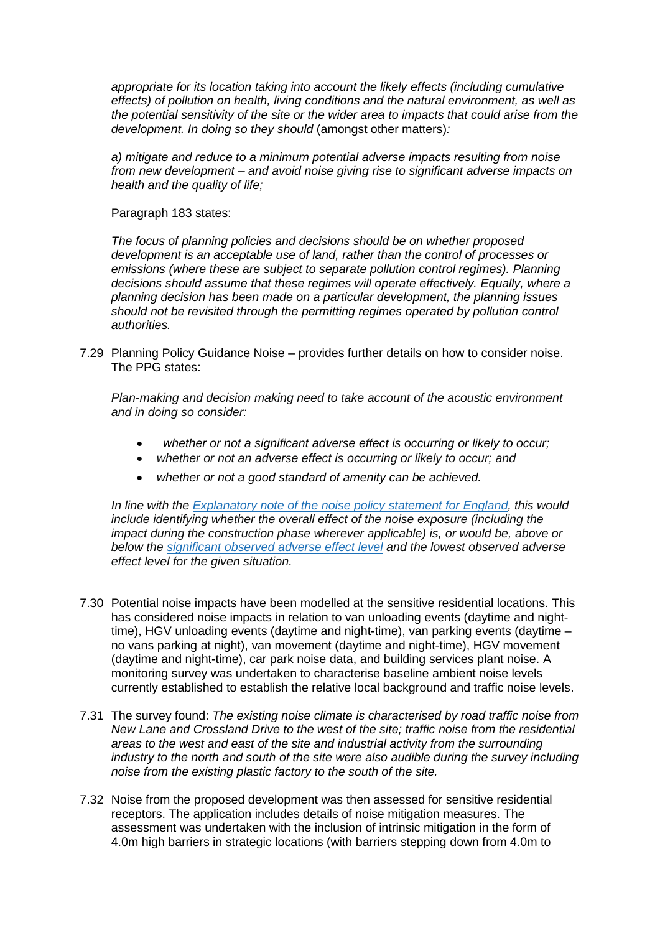*appropriate for its location taking into account the likely effects (including cumulative effects) of pollution on health, living conditions and the natural environment, as well as the potential sensitivity of the site or the wider area to impacts that could arise from the development. In doing so they should* (amongst other matters)*:*

*a) mitigate and reduce to a minimum potential adverse impacts resulting from noise from new development – and avoid noise giving rise to significant adverse impacts on health and the quality of life;* 

Paragraph 183 states:

*The focus of planning policies and decisions should be on whether proposed development is an acceptable use of land, rather than the control of processes or emissions (where these are subject to separate pollution control regimes). Planning decisions should assume that these regimes will operate effectively. Equally, where a planning decision has been made on a particular development, the planning issues should not be revisited through the permitting regimes operated by pollution control authorities.*

7.29 Planning Policy Guidance Noise – provides further details on how to consider noise. The PPG states:

*Plan-making and decision making need to take account of the acoustic environment and in doing so consider:*

- *whether or not a significant adverse effect is occurring or likely to occur;*
- *whether or not an adverse effect is occurring or likely to occur; and*
- *whether or not a good standard of amenity can be achieved.*

*In line with the [Explanatory](https://www.gov.uk/government/publications/noise-policy-statement-for-england) note of the noise policy statement for England, this would include identifying whether the overall effect of the noise exposure (including the impact during the construction phase wherever applicable) is, or would be, above or below the [significant](https://www.gov.uk/guidance/noise--2#significant-observed-adverse-effect-level) observed adverse effect level and the lowest observed adverse effect level for the given situation.*

- 7.30 Potential noise impacts have been modelled at the sensitive residential locations. This has considered noise impacts in relation to van unloading events (daytime and nighttime), HGV unloading events (daytime and night-time), van parking events (daytime – no vans parking at night), van movement (daytime and night-time), HGV movement (daytime and night-time), car park noise data, and building services plant noise. A monitoring survey was undertaken to characterise baseline ambient noise levels currently established to establish the relative local background and traffic noise levels.
- 7.31 The survey found: *The existing noise climate is characterised by road traffic noise from New Lane and Crossland Drive to the west of the site; traffic noise from the residential areas to the west and east of the site and industrial activity from the surrounding industry to the north and south of the site were also audible during the survey including noise from the existing plastic factory to the south of the site.*
- 7.32 Noise from the proposed development was then assessed for sensitive residential receptors. The application includes details of noise mitigation measures. The assessment was undertaken with the inclusion of intrinsic mitigation in the form of 4.0m high barriers in strategic locations (with barriers stepping down from 4.0m to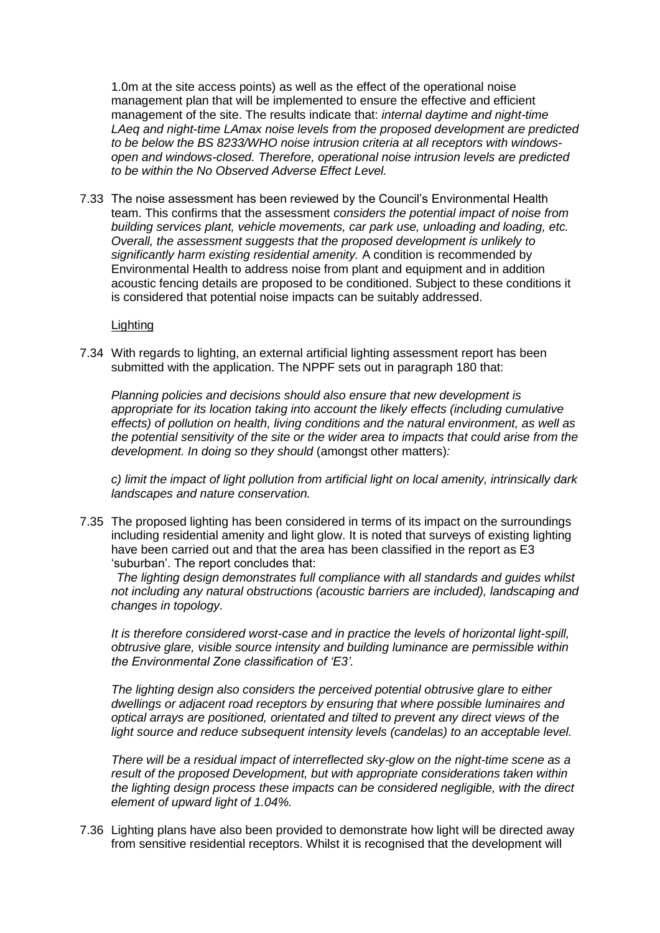1.0m at the site access points) as well as the effect of the operational noise management plan that will be implemented to ensure the effective and efficient management of the site. The results indicate that: *internal daytime and night-time LAeq and night-time LAmax noise levels from the proposed development are predicted to be below the BS 8233/WHO noise intrusion criteria at all receptors with windowsopen and windows-closed. Therefore, operational noise intrusion levels are predicted to be within the No Observed Adverse Effect Level.* 

7.33 The noise assessment has been reviewed by the Council's Environmental Health team. This confirms that the assessment *considers the potential impact of noise from building services plant, vehicle movements, car park use, unloading and loading, etc. Overall, the assessment suggests that the proposed development is unlikely to significantly harm existing residential amenity.* A condition is recommended by Environmental Health to address noise from plant and equipment and in addition acoustic fencing details are proposed to be conditioned. Subject to these conditions it is considered that potential noise impacts can be suitably addressed.

### Lighting

7.34 With regards to lighting, an external artificial lighting assessment report has been submitted with the application. The NPPF sets out in paragraph 180 that:

*Planning policies and decisions should also ensure that new development is appropriate for its location taking into account the likely effects (including cumulative effects) of pollution on health, living conditions and the natural environment, as well as the potential sensitivity of the site or the wider area to impacts that could arise from the development. In doing so they should* (amongst other matters)*:*

*c) limit the impact of light pollution from artificial light on local amenity, intrinsically dark landscapes and nature conservation.*

7.35 The proposed lighting has been considered in terms of its impact on the surroundings including residential amenity and light glow. It is noted that surveys of existing lighting have been carried out and that the area has been classified in the report as E3 'suburban'. The report concludes that:

*The lighting design demonstrates full compliance with all standards and guides whilst not including any natural obstructions (acoustic barriers are included), landscaping and changes in topology.* 

*It is therefore considered worst-case and in practice the levels of horizontal light-spill, obtrusive glare, visible source intensity and building luminance are permissible within the Environmental Zone classification of 'E3'.* 

*The lighting design also considers the perceived potential obtrusive glare to either dwellings or adjacent road receptors by ensuring that where possible luminaires and optical arrays are positioned, orientated and tilted to prevent any direct views of the*  light source and reduce subsequent intensity levels (candelas) to an acceptable level.

*There will be a residual impact of interreflected sky-glow on the night-time scene as a result of the proposed Development, but with appropriate considerations taken within the lighting design process these impacts can be considered negligible, with the direct element of upward light of 1.04%.*

7.36 Lighting plans have also been provided to demonstrate how light will be directed away from sensitive residential receptors. Whilst it is recognised that the development will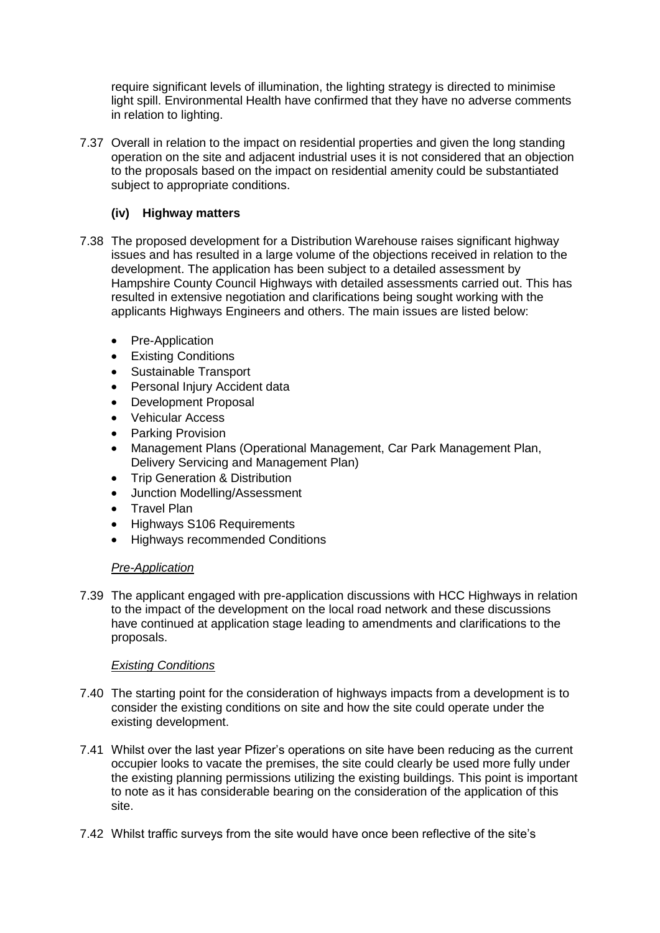require significant levels of illumination, the lighting strategy is directed to minimise light spill. Environmental Health have confirmed that they have no adverse comments in relation to lighting.

7.37 Overall in relation to the impact on residential properties and given the long standing operation on the site and adjacent industrial uses it is not considered that an objection to the proposals based on the impact on residential amenity could be substantiated subject to appropriate conditions.

# **(iv) Highway matters**

- 7.38 The proposed development for a Distribution Warehouse raises significant highway issues and has resulted in a large volume of the objections received in relation to the development. The application has been subject to a detailed assessment by Hampshire County Council Highways with detailed assessments carried out. This has resulted in extensive negotiation and clarifications being sought working with the applicants Highways Engineers and others. The main issues are listed below:
	- Pre-Application
	- Existing Conditions
	- Sustainable Transport
	- Personal Injury Accident data
	- Development Proposal
	- Vehicular Access
	- Parking Provision
	- Management Plans (Operational Management, Car Park Management Plan, Delivery Servicing and Management Plan)
	- Trip Generation & Distribution
	- Junction Modelling/Assessment
	- Travel Plan
	- Highways S106 Requirements
	- Highways recommended Conditions

# *Pre-Application*

7.39 The applicant engaged with pre-application discussions with HCC Highways in relation to the impact of the development on the local road network and these discussions have continued at application stage leading to amendments and clarifications to the proposals.

# *Existing Conditions*

- 7.40 The starting point for the consideration of highways impacts from a development is to consider the existing conditions on site and how the site could operate under the existing development.
- 7.41 Whilst over the last year Pfizer's operations on site have been reducing as the current occupier looks to vacate the premises, the site could clearly be used more fully under the existing planning permissions utilizing the existing buildings. This point is important to note as it has considerable bearing on the consideration of the application of this site.
- 7.42 Whilst traffic surveys from the site would have once been reflective of the site's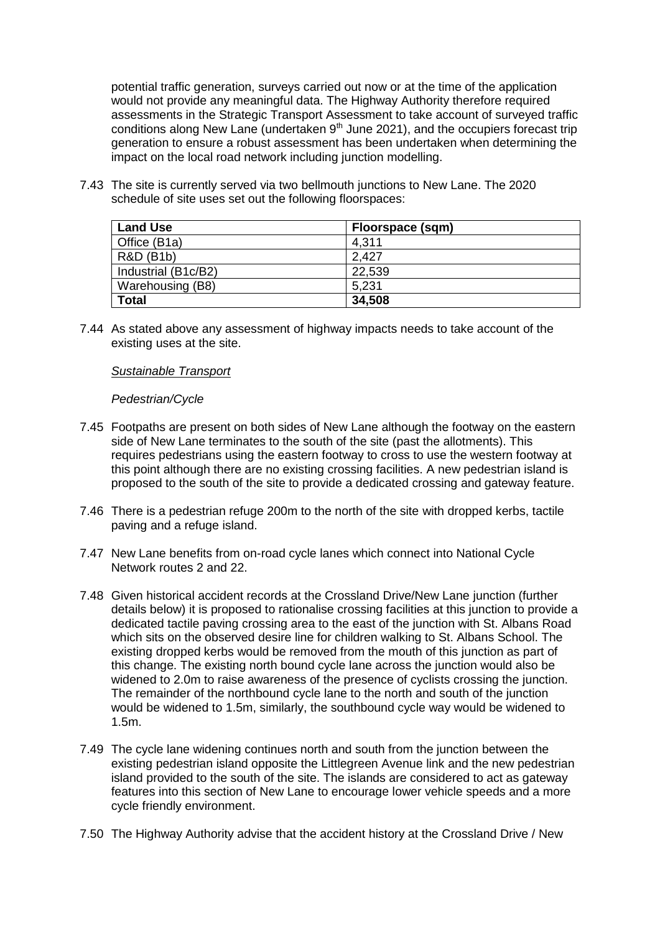potential traffic generation, surveys carried out now or at the time of the application would not provide any meaningful data. The Highway Authority therefore required assessments in the Strategic Transport Assessment to take account of surveyed traffic conditions along New Lane (undertaken  $9<sup>th</sup>$  June 2021), and the occupiers forecast trip generation to ensure a robust assessment has been undertaken when determining the impact on the local road network including junction modelling.

7.43 The site is currently served via two bellmouth junctions to New Lane. The 2020 schedule of site uses set out the following floorspaces:

| <b>Land Use</b>      | Floorspace (sqm) |
|----------------------|------------------|
| Office (B1a)         | 4,311            |
| <b>R&amp;D (B1b)</b> | 2.427            |
| Industrial (B1c/B2)  | 22,539           |
| Warehousing (B8)     | 5,231            |
| <b>Total</b>         | 34,508           |

7.44 As stated above any assessment of highway impacts needs to take account of the existing uses at the site.

## *Sustainable Transport*

## *Pedestrian/Cycle*

- 7.45 Footpaths are present on both sides of New Lane although the footway on the eastern side of New Lane terminates to the south of the site (past the allotments). This requires pedestrians using the eastern footway to cross to use the western footway at this point although there are no existing crossing facilities. A new pedestrian island is proposed to the south of the site to provide a dedicated crossing and gateway feature.
- 7.46 There is a pedestrian refuge 200m to the north of the site with dropped kerbs, tactile paving and a refuge island.
- 7.47 New Lane benefits from on-road cycle lanes which connect into National Cycle Network routes 2 and 22.
- 7.48 Given historical accident records at the Crossland Drive/New Lane junction (further details below) it is proposed to rationalise crossing facilities at this junction to provide a dedicated tactile paving crossing area to the east of the junction with St. Albans Road which sits on the observed desire line for children walking to St. Albans School. The existing dropped kerbs would be removed from the mouth of this junction as part of this change. The existing north bound cycle lane across the junction would also be widened to 2.0m to raise awareness of the presence of cyclists crossing the junction. The remainder of the northbound cycle lane to the north and south of the junction would be widened to 1.5m, similarly, the southbound cycle way would be widened to 1.5m.
- 7.49 The cycle lane widening continues north and south from the junction between the existing pedestrian island opposite the Littlegreen Avenue link and the new pedestrian island provided to the south of the site. The islands are considered to act as gateway features into this section of New Lane to encourage lower vehicle speeds and a more cycle friendly environment.
- 7.50 The Highway Authority advise that the accident history at the Crossland Drive / New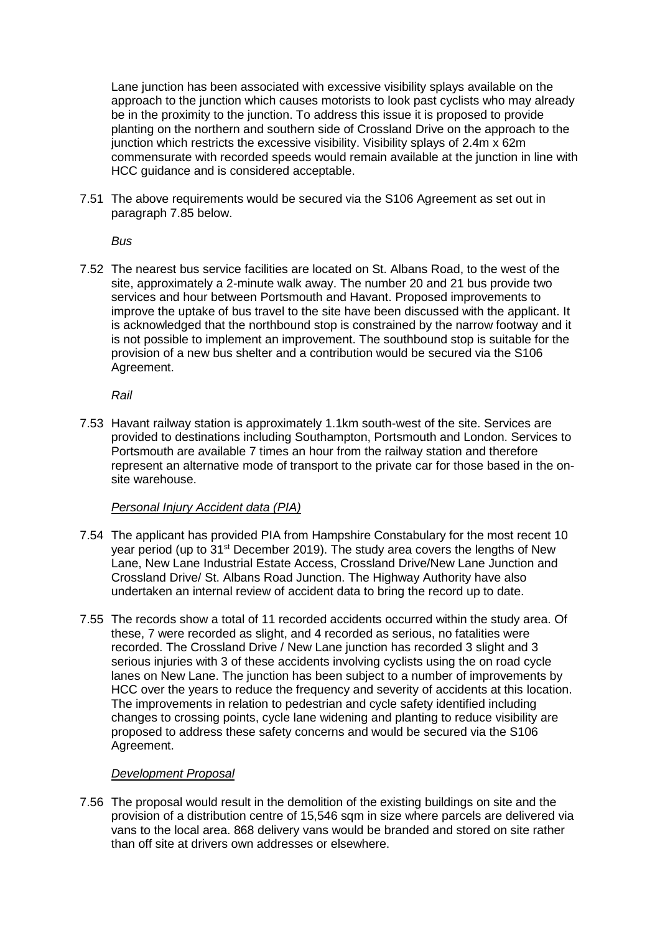Lane junction has been associated with excessive visibility splays available on the approach to the junction which causes motorists to look past cyclists who may already be in the proximity to the junction. To address this issue it is proposed to provide planting on the northern and southern side of Crossland Drive on the approach to the junction which restricts the excessive visibility. Visibility splays of 2.4m x 62m commensurate with recorded speeds would remain available at the junction in line with HCC guidance and is considered acceptable.

7.51 The above requirements would be secured via the S106 Agreement as set out in paragraph 7.85 below.

*Bus*

7.52 The nearest bus service facilities are located on St. Albans Road, to the west of the site, approximately a 2-minute walk away. The number 20 and 21 bus provide two services and hour between Portsmouth and Havant. Proposed improvements to improve the uptake of bus travel to the site have been discussed with the applicant. It is acknowledged that the northbound stop is constrained by the narrow footway and it is not possible to implement an improvement. The southbound stop is suitable for the provision of a new bus shelter and a contribution would be secured via the S106 Agreement.

*Rail*

7.53 Havant railway station is approximately 1.1km south-west of the site. Services are provided to destinations including Southampton, Portsmouth and London. Services to Portsmouth are available 7 times an hour from the railway station and therefore represent an alternative mode of transport to the private car for those based in the onsite warehouse.

# *Personal Injury Accident data (PIA)*

- 7.54 The applicant has provided PIA from Hampshire Constabulary for the most recent 10 year period (up to 31<sup>st</sup> December 2019). The study area covers the lengths of New Lane, New Lane Industrial Estate Access, Crossland Drive/New Lane Junction and Crossland Drive/ St. Albans Road Junction. The Highway Authority have also undertaken an internal review of accident data to bring the record up to date.
- 7.55 The records show a total of 11 recorded accidents occurred within the study area. Of these, 7 were recorded as slight, and 4 recorded as serious, no fatalities were recorded. The Crossland Drive / New Lane junction has recorded 3 slight and 3 serious injuries with 3 of these accidents involving cyclists using the on road cycle lanes on New Lane. The junction has been subject to a number of improvements by HCC over the years to reduce the frequency and severity of accidents at this location. The improvements in relation to pedestrian and cycle safety identified including changes to crossing points, cycle lane widening and planting to reduce visibility are proposed to address these safety concerns and would be secured via the S106 Agreement.

# *Development Proposal*

7.56 The proposal would result in the demolition of the existing buildings on site and the provision of a distribution centre of 15,546 sqm in size where parcels are delivered via vans to the local area. 868 delivery vans would be branded and stored on site rather than off site at drivers own addresses or elsewhere.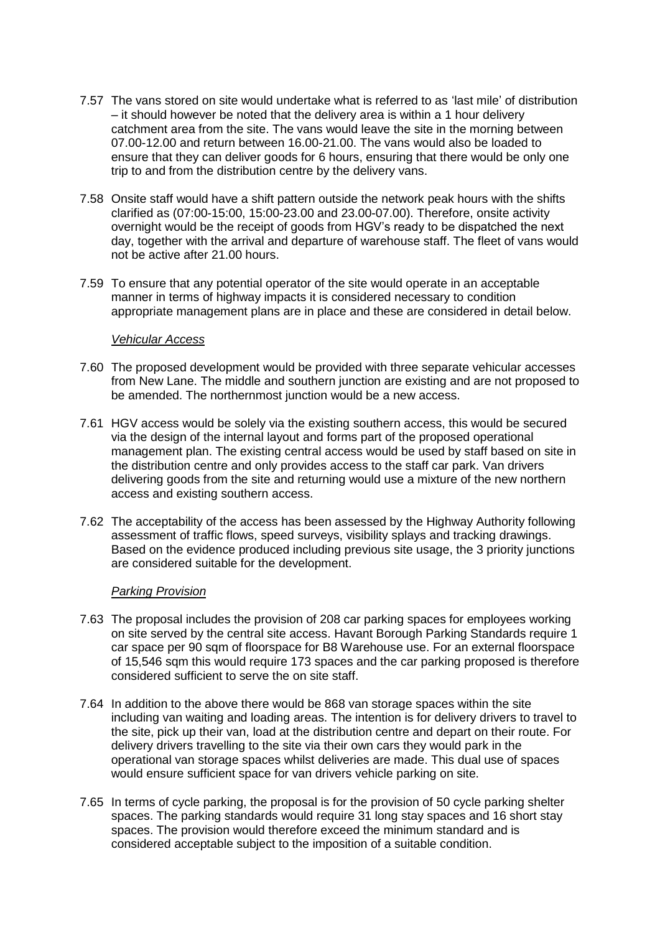- 7.57 The vans stored on site would undertake what is referred to as 'last mile' of distribution – it should however be noted that the delivery area is within a 1 hour delivery catchment area from the site. The vans would leave the site in the morning between 07.00-12.00 and return between 16.00-21.00. The vans would also be loaded to ensure that they can deliver goods for 6 hours, ensuring that there would be only one trip to and from the distribution centre by the delivery vans.
- 7.58 Onsite staff would have a shift pattern outside the network peak hours with the shifts clarified as (07:00-15:00, 15:00-23.00 and 23.00-07.00). Therefore, onsite activity overnight would be the receipt of goods from HGV's ready to be dispatched the next day, together with the arrival and departure of warehouse staff. The fleet of vans would not be active after 21.00 hours.
- 7.59 To ensure that any potential operator of the site would operate in an acceptable manner in terms of highway impacts it is considered necessary to condition appropriate management plans are in place and these are considered in detail below.

### *Vehicular Access*

- 7.60 The proposed development would be provided with three separate vehicular accesses from New Lane. The middle and southern junction are existing and are not proposed to be amended. The northernmost junction would be a new access.
- 7.61 HGV access would be solely via the existing southern access, this would be secured via the design of the internal layout and forms part of the proposed operational management plan. The existing central access would be used by staff based on site in the distribution centre and only provides access to the staff car park. Van drivers delivering goods from the site and returning would use a mixture of the new northern access and existing southern access.
- 7.62 The acceptability of the access has been assessed by the Highway Authority following assessment of traffic flows, speed surveys, visibility splays and tracking drawings. Based on the evidence produced including previous site usage, the 3 priority junctions are considered suitable for the development.

### *Parking Provision*

- 7.63 The proposal includes the provision of 208 car parking spaces for employees working on site served by the central site access. Havant Borough Parking Standards require 1 car space per 90 sqm of floorspace for B8 Warehouse use. For an external floorspace of 15,546 sqm this would require 173 spaces and the car parking proposed is therefore considered sufficient to serve the on site staff.
- 7.64 In addition to the above there would be 868 van storage spaces within the site including van waiting and loading areas. The intention is for delivery drivers to travel to the site, pick up their van, load at the distribution centre and depart on their route. For delivery drivers travelling to the site via their own cars they would park in the operational van storage spaces whilst deliveries are made. This dual use of spaces would ensure sufficient space for van drivers vehicle parking on site.
- 7.65 In terms of cycle parking, the proposal is for the provision of 50 cycle parking shelter spaces. The parking standards would require 31 long stay spaces and 16 short stay spaces. The provision would therefore exceed the minimum standard and is considered acceptable subject to the imposition of a suitable condition.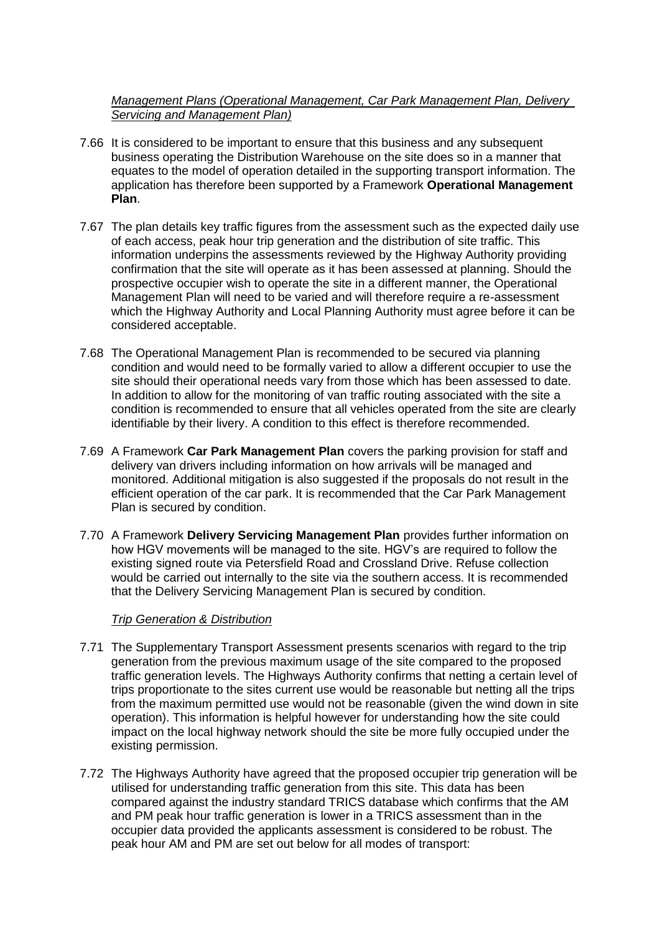# *Management Plans (Operational Management, Car Park Management Plan, Delivery Servicing and Management Plan)*

- 7.66 It is considered to be important to ensure that this business and any subsequent business operating the Distribution Warehouse on the site does so in a manner that equates to the model of operation detailed in the supporting transport information. The application has therefore been supported by a Framework **Operational Management Plan**.
- 7.67 The plan details key traffic figures from the assessment such as the expected daily use of each access, peak hour trip generation and the distribution of site traffic. This information underpins the assessments reviewed by the Highway Authority providing confirmation that the site will operate as it has been assessed at planning. Should the prospective occupier wish to operate the site in a different manner, the Operational Management Plan will need to be varied and will therefore require a re-assessment which the Highway Authority and Local Planning Authority must agree before it can be considered acceptable.
- 7.68 The Operational Management Plan is recommended to be secured via planning condition and would need to be formally varied to allow a different occupier to use the site should their operational needs vary from those which has been assessed to date. In addition to allow for the monitoring of van traffic routing associated with the site a condition is recommended to ensure that all vehicles operated from the site are clearly identifiable by their livery. A condition to this effect is therefore recommended.
- 7.69 A Framework **Car Park Management Plan** covers the parking provision for staff and delivery van drivers including information on how arrivals will be managed and monitored. Additional mitigation is also suggested if the proposals do not result in the efficient operation of the car park. It is recommended that the Car Park Management Plan is secured by condition.
- 7.70 A Framework **Delivery Servicing Management Plan** provides further information on how HGV movements will be managed to the site. HGV's are required to follow the existing signed route via Petersfield Road and Crossland Drive. Refuse collection would be carried out internally to the site via the southern access. It is recommended that the Delivery Servicing Management Plan is secured by condition.

# *Trip Generation & Distribution*

- 7.71 The Supplementary Transport Assessment presents scenarios with regard to the trip generation from the previous maximum usage of the site compared to the proposed traffic generation levels. The Highways Authority confirms that netting a certain level of trips proportionate to the sites current use would be reasonable but netting all the trips from the maximum permitted use would not be reasonable (given the wind down in site operation). This information is helpful however for understanding how the site could impact on the local highway network should the site be more fully occupied under the existing permission.
- 7.72 The Highways Authority have agreed that the proposed occupier trip generation will be utilised for understanding traffic generation from this site. This data has been compared against the industry standard TRICS database which confirms that the AM and PM peak hour traffic generation is lower in a TRICS assessment than in the occupier data provided the applicants assessment is considered to be robust. The peak hour AM and PM are set out below for all modes of transport: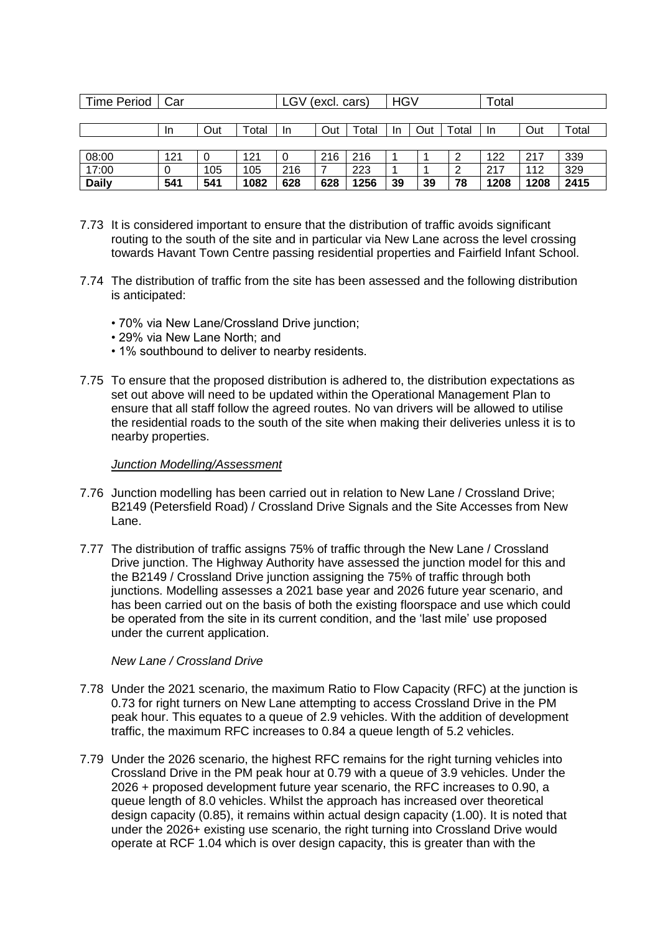| <b>Time Period</b> | Car       |     |       | (excl. cars)<br>LGV |     |       | <b>HGV</b> |     |       | Total |      |       |
|--------------------|-----------|-----|-------|---------------------|-----|-------|------------|-----|-------|-------|------|-------|
|                    |           |     |       |                     |     |       |            |     |       |       |      |       |
|                    | <u>In</u> | Out | Total | In                  | Out | ™otal | In.        | Out | ™otal | -In   | Out  | Total |
|                    |           |     |       |                     |     |       |            |     |       |       |      |       |
| 08:00              | 121       | 0   | 121   | 0                   | 216 | 216   |            |     | 2     | 122   | 217  | 339   |
| 17:00              | 0         | 105 | 105   | 216                 |     | 223   |            |     | ົ     | 217   | 112  | 329   |
| <b>Daily</b>       | 541       | 541 | 1082  | 628                 | 628 | 1256  | 39         | 39  | 78    | 1208  | 1208 | 2415  |

- 7.73 It is considered important to ensure that the distribution of traffic avoids significant routing to the south of the site and in particular via New Lane across the level crossing towards Havant Town Centre passing residential properties and Fairfield Infant School.
- 7.74 The distribution of traffic from the site has been assessed and the following distribution is anticipated:
	- 70% via New Lane/Crossland Drive junction;
	- 29% via New Lane North; and
	- 1% southbound to deliver to nearby residents.
- 7.75 To ensure that the proposed distribution is adhered to, the distribution expectations as set out above will need to be updated within the Operational Management Plan to ensure that all staff follow the agreed routes. No van drivers will be allowed to utilise the residential roads to the south of the site when making their deliveries unless it is to nearby properties.

### *Junction Modelling/Assessment*

- 7.76 Junction modelling has been carried out in relation to New Lane / Crossland Drive; B2149 (Petersfield Road) / Crossland Drive Signals and the Site Accesses from New Lane.
- 7.77 The distribution of traffic assigns 75% of traffic through the New Lane / Crossland Drive junction. The Highway Authority have assessed the junction model for this and the B2149 / Crossland Drive junction assigning the 75% of traffic through both junctions. Modelling assesses a 2021 base year and 2026 future year scenario, and has been carried out on the basis of both the existing floorspace and use which could be operated from the site in its current condition, and the 'last mile' use proposed under the current application.

### *New Lane / Crossland Drive*

- 7.78 Under the 2021 scenario, the maximum Ratio to Flow Capacity (RFC) at the junction is 0.73 for right turners on New Lane attempting to access Crossland Drive in the PM peak hour. This equates to a queue of 2.9 vehicles. With the addition of development traffic, the maximum RFC increases to 0.84 a queue length of 5.2 vehicles.
- 7.79 Under the 2026 scenario, the highest RFC remains for the right turning vehicles into Crossland Drive in the PM peak hour at 0.79 with a queue of 3.9 vehicles. Under the 2026 + proposed development future year scenario, the RFC increases to 0.90, a queue length of 8.0 vehicles. Whilst the approach has increased over theoretical design capacity (0.85), it remains within actual design capacity (1.00). It is noted that under the 2026+ existing use scenario, the right turning into Crossland Drive would operate at RCF 1.04 which is over design capacity, this is greater than with the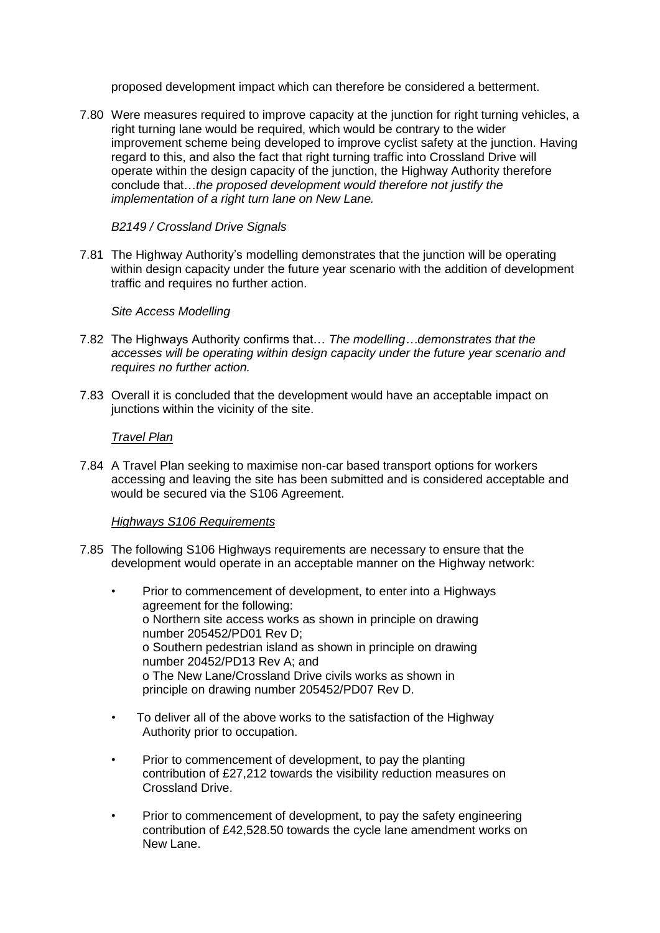proposed development impact which can therefore be considered a betterment.

7.80 Were measures required to improve capacity at the junction for right turning vehicles, a right turning lane would be required, which would be contrary to the wider improvement scheme being developed to improve cyclist safety at the junction. Having regard to this, and also the fact that right turning traffic into Crossland Drive will operate within the design capacity of the junction, the Highway Authority therefore conclude that…*the proposed development would therefore not justify the implementation of a right turn lane on New Lane.*

## *B2149 / Crossland Drive Signals*

7.81 The Highway Authority's modelling demonstrates that the junction will be operating within design capacity under the future year scenario with the addition of development traffic and requires no further action.

## *Site Access Modelling*

- 7.82 The Highways Authority confirms that… *The modelling…demonstrates that the accesses will be operating within design capacity under the future year scenario and requires no further action.*
- 7.83 Overall it is concluded that the development would have an acceptable impact on junctions within the vicinity of the site.

## *Travel Plan*

7.84 A Travel Plan seeking to maximise non-car based transport options for workers accessing and leaving the site has been submitted and is considered acceptable and would be secured via the S106 Agreement.

# *Highways S106 Requirements*

- 7.85 The following S106 Highways requirements are necessary to ensure that the development would operate in an acceptable manner on the Highway network:
	- Prior to commencement of development, to enter into a Highways agreement for the following: o Northern site access works as shown in principle on drawing number 205452/PD01 Rev D; o Southern pedestrian island as shown in principle on drawing number 20452/PD13 Rev A; and o The New Lane/Crossland Drive civils works as shown in principle on drawing number 205452/PD07 Rev D.
	- To deliver all of the above works to the satisfaction of the Highway Authority prior to occupation.
	- Prior to commencement of development, to pay the planting contribution of £27,212 towards the visibility reduction measures on Crossland Drive.
	- Prior to commencement of development, to pay the safety engineering contribution of £42,528.50 towards the cycle lane amendment works on New Lane.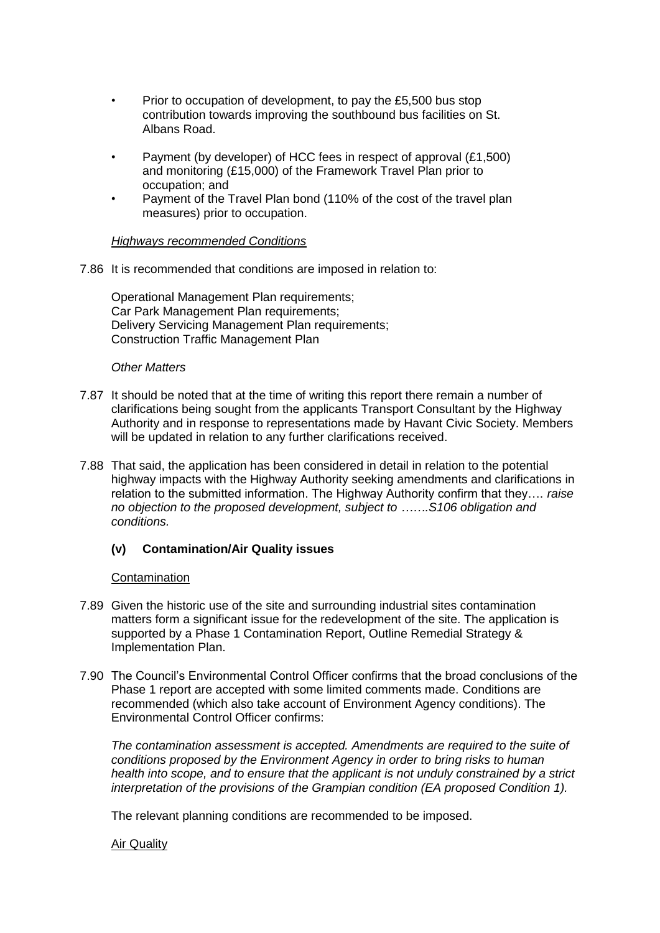- Prior to occupation of development, to pay the £5,500 bus stop contribution towards improving the southbound bus facilities on St. Albans Road.
- Payment (by developer) of HCC fees in respect of approval (£1,500) and monitoring (£15,000) of the Framework Travel Plan prior to occupation; and
- Payment of the Travel Plan bond (110% of the cost of the travel plan measures) prior to occupation.

## *Highways recommended Conditions*

7.86 It is recommended that conditions are imposed in relation to:

Operational Management Plan requirements; Car Park Management Plan requirements; Delivery Servicing Management Plan requirements; Construction Traffic Management Plan

## *Other Matters*

- 7.87 It should be noted that at the time of writing this report there remain a number of clarifications being sought from the applicants Transport Consultant by the Highway Authority and in response to representations made by Havant Civic Society. Members will be updated in relation to any further clarifications received.
- 7.88 That said, the application has been considered in detail in relation to the potential highway impacts with the Highway Authority seeking amendments and clarifications in relation to the submitted information. The Highway Authority confirm that they…. *raise no objection to the proposed development, subject to …….S106 obligation and conditions.*

# **(v) Contamination/Air Quality issues**

### Contamination

- 7.89 Given the historic use of the site and surrounding industrial sites contamination matters form a significant issue for the redevelopment of the site. The application is supported by a Phase 1 Contamination Report, Outline Remedial Strategy & Implementation Plan.
- 7.90 The Council's Environmental Control Officer confirms that the broad conclusions of the Phase 1 report are accepted with some limited comments made. Conditions are recommended (which also take account of Environment Agency conditions). The Environmental Control Officer confirms:

*The contamination assessment is accepted. Amendments are required to the suite of conditions proposed by the Environment Agency in order to bring risks to human health into scope, and to ensure that the applicant is not unduly constrained by a strict interpretation of the provisions of the Grampian condition (EA proposed Condition 1).*

The relevant planning conditions are recommended to be imposed.

### Air Quality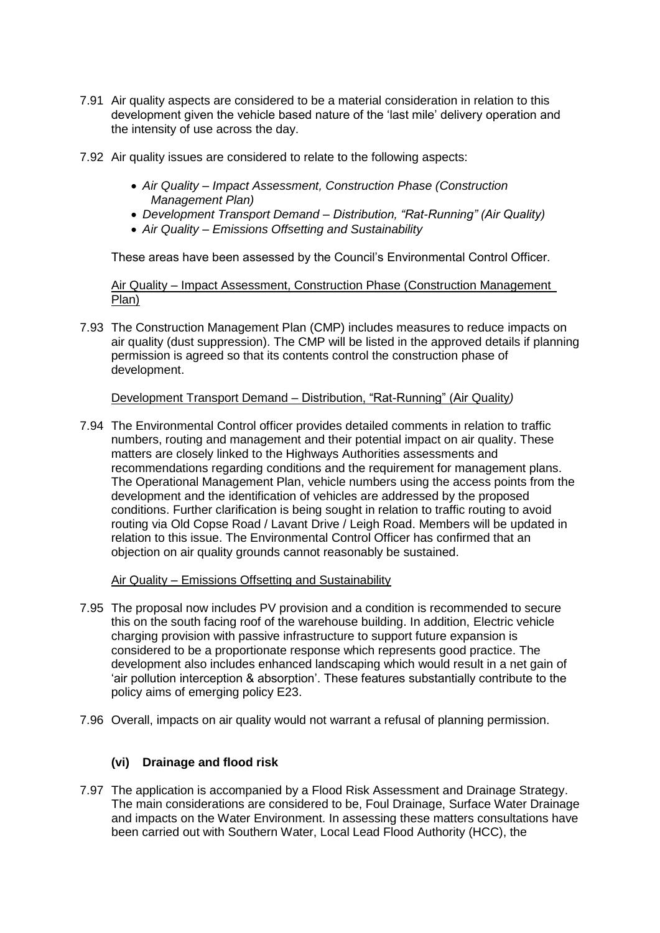- 7.91 Air quality aspects are considered to be a material consideration in relation to this development given the vehicle based nature of the 'last mile' delivery operation and the intensity of use across the day.
- 7.92 Air quality issues are considered to relate to the following aspects:
	- *Air Quality – Impact Assessment, Construction Phase (Construction Management Plan)*
	- *Development Transport Demand – Distribution, "Rat-Running" (Air Quality)*
	- *Air Quality – Emissions Offsetting and Sustainability*

These areas have been assessed by the Council's Environmental Control Officer.

Air Quality – Impact Assessment, Construction Phase (Construction Management Plan)

7.93 The Construction Management Plan (CMP) includes measures to reduce impacts on air quality (dust suppression). The CMP will be listed in the approved details if planning permission is agreed so that its contents control the construction phase of development.

# Development Transport Demand – Distribution, "Rat-Running" (Air Quality*)*

7.94 The Environmental Control officer provides detailed comments in relation to traffic numbers, routing and management and their potential impact on air quality. These matters are closely linked to the Highways Authorities assessments and recommendations regarding conditions and the requirement for management plans. The Operational Management Plan, vehicle numbers using the access points from the development and the identification of vehicles are addressed by the proposed conditions. Further clarification is being sought in relation to traffic routing to avoid routing via Old Copse Road / Lavant Drive / Leigh Road. Members will be updated in relation to this issue. The Environmental Control Officer has confirmed that an objection on air quality grounds cannot reasonably be sustained.

# Air Quality – Emissions Offsetting and Sustainability

- 7.95 The proposal now includes PV provision and a condition is recommended to secure this on the south facing roof of the warehouse building. In addition, Electric vehicle charging provision with passive infrastructure to support future expansion is considered to be a proportionate response which represents good practice. The development also includes enhanced landscaping which would result in a net gain of 'air pollution interception & absorption'. These features substantially contribute to the policy aims of emerging policy E23.
- 7.96 Overall, impacts on air quality would not warrant a refusal of planning permission.

# **(vi) Drainage and flood risk**

7.97 The application is accompanied by a Flood Risk Assessment and Drainage Strategy. The main considerations are considered to be, Foul Drainage, Surface Water Drainage and impacts on the Water Environment. In assessing these matters consultations have been carried out with Southern Water, Local Lead Flood Authority (HCC), the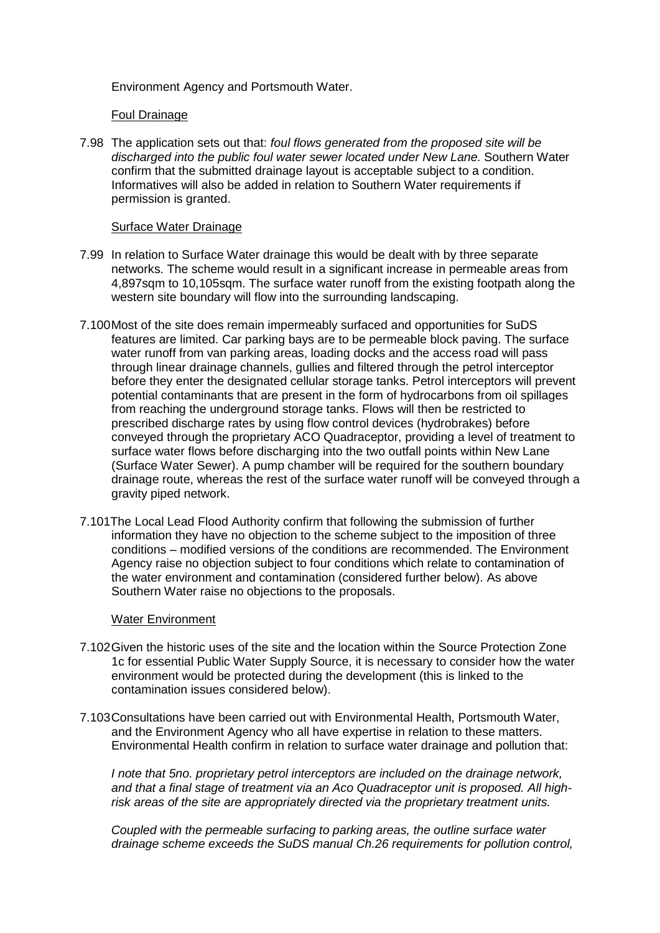Environment Agency and Portsmouth Water.

## Foul Drainage

7.98 The application sets out that: *foul flows generated from the proposed site will be discharged into the public foul water sewer located under New Lane.* Southern Water confirm that the submitted drainage layout is acceptable subject to a condition. Informatives will also be added in relation to Southern Water requirements if permission is granted.

## Surface Water Drainage

- 7.99 In relation to Surface Water drainage this would be dealt with by three separate networks. The scheme would result in a significant increase in permeable areas from 4,897sqm to 10,105sqm. The surface water runoff from the existing footpath along the western site boundary will flow into the surrounding landscaping.
- 7.100Most of the site does remain impermeably surfaced and opportunities for SuDS features are limited. Car parking bays are to be permeable block paving. The surface water runoff from van parking areas, loading docks and the access road will pass through linear drainage channels, gullies and filtered through the petrol interceptor before they enter the designated cellular storage tanks. Petrol interceptors will prevent potential contaminants that are present in the form of hydrocarbons from oil spillages from reaching the underground storage tanks. Flows will then be restricted to prescribed discharge rates by using flow control devices (hydrobrakes) before conveyed through the proprietary ACO Quadraceptor, providing a level of treatment to surface water flows before discharging into the two outfall points within New Lane (Surface Water Sewer). A pump chamber will be required for the southern boundary drainage route, whereas the rest of the surface water runoff will be conveyed through a gravity piped network.
- 7.101The Local Lead Flood Authority confirm that following the submission of further information they have no objection to the scheme subject to the imposition of three conditions – modified versions of the conditions are recommended. The Environment Agency raise no objection subject to four conditions which relate to contamination of the water environment and contamination (considered further below). As above Southern Water raise no objections to the proposals.

### Water Environment

- 7.102Given the historic uses of the site and the location within the Source Protection Zone 1c for essential Public Water Supply Source, it is necessary to consider how the water environment would be protected during the development (this is linked to the contamination issues considered below).
- 7.103Consultations have been carried out with Environmental Health, Portsmouth Water, and the Environment Agency who all have expertise in relation to these matters. Environmental Health confirm in relation to surface water drainage and pollution that:

*I note that 5no. proprietary petrol interceptors are included on the drainage network, and that a final stage of treatment via an Aco Quadraceptor unit is proposed. All highrisk areas of the site are appropriately directed via the proprietary treatment units.* 

*Coupled with the permeable surfacing to parking areas, the outline surface water drainage scheme exceeds the SuDS manual Ch.26 requirements for pollution control,*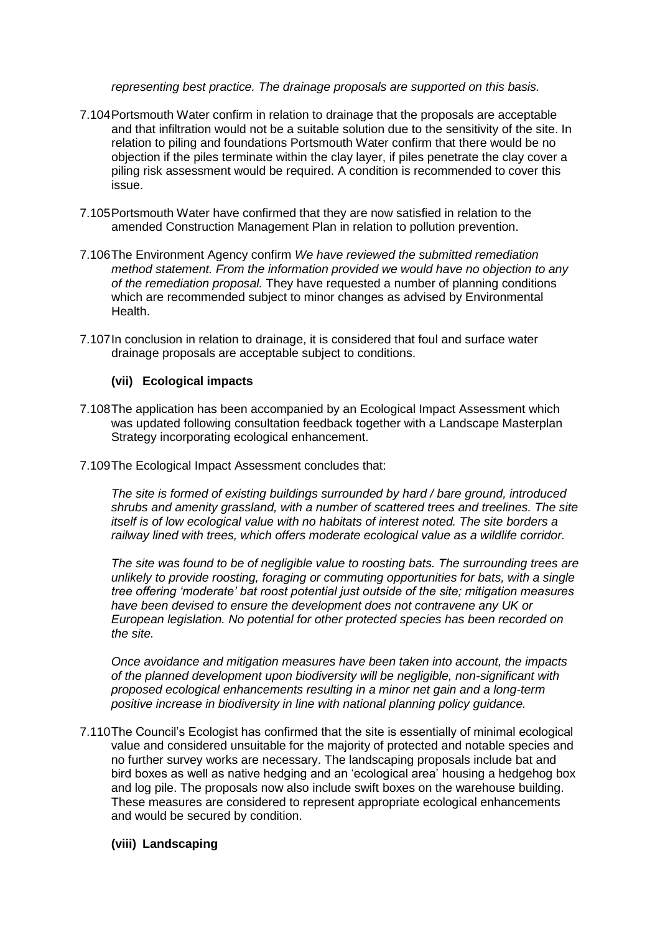*representing best practice. The drainage proposals are supported on this basis.*

- 7.104Portsmouth Water confirm in relation to drainage that the proposals are acceptable and that infiltration would not be a suitable solution due to the sensitivity of the site. In relation to piling and foundations Portsmouth Water confirm that there would be no objection if the piles terminate within the clay layer, if piles penetrate the clay cover a piling risk assessment would be required. A condition is recommended to cover this issue.
- 7.105Portsmouth Water have confirmed that they are now satisfied in relation to the amended Construction Management Plan in relation to pollution prevention.
- 7.106The Environment Agency confirm *We have reviewed the submitted remediation method statement. From the information provided we would have no objection to any of the remediation proposal.* They have requested a number of planning conditions which are recommended subject to minor changes as advised by Environmental Health.
- 7.107In conclusion in relation to drainage, it is considered that foul and surface water drainage proposals are acceptable subject to conditions.

## **(vii) Ecological impacts**

- 7.108The application has been accompanied by an Ecological Impact Assessment which was updated following consultation feedback together with a Landscape Masterplan Strategy incorporating ecological enhancement.
- 7.109The Ecological Impact Assessment concludes that:

*The site is formed of existing buildings surrounded by hard / bare ground, introduced shrubs and amenity grassland, with a number of scattered trees and treelines. The site itself is of low ecological value with no habitats of interest noted. The site borders a railway lined with trees, which offers moderate ecological value as a wildlife corridor.* 

*The site was found to be of negligible value to roosting bats. The surrounding trees are unlikely to provide roosting, foraging or commuting opportunities for bats, with a single tree offering 'moderate' bat roost potential just outside of the site; mitigation measures have been devised to ensure the development does not contravene any UK or European legislation. No potential for other protected species has been recorded on the site.*

*Once avoidance and mitigation measures have been taken into account, the impacts of the planned development upon biodiversity will be negligible, non-significant with proposed ecological enhancements resulting in a minor net gain and a long-term positive increase in biodiversity in line with national planning policy guidance.*

7.110The Council's Ecologist has confirmed that the site is essentially of minimal ecological value and considered unsuitable for the majority of protected and notable species and no further survey works are necessary. The landscaping proposals include bat and bird boxes as well as native hedging and an 'ecological area' housing a hedgehog box and log pile. The proposals now also include swift boxes on the warehouse building. These measures are considered to represent appropriate ecological enhancements and would be secured by condition.

### **(viii) Landscaping**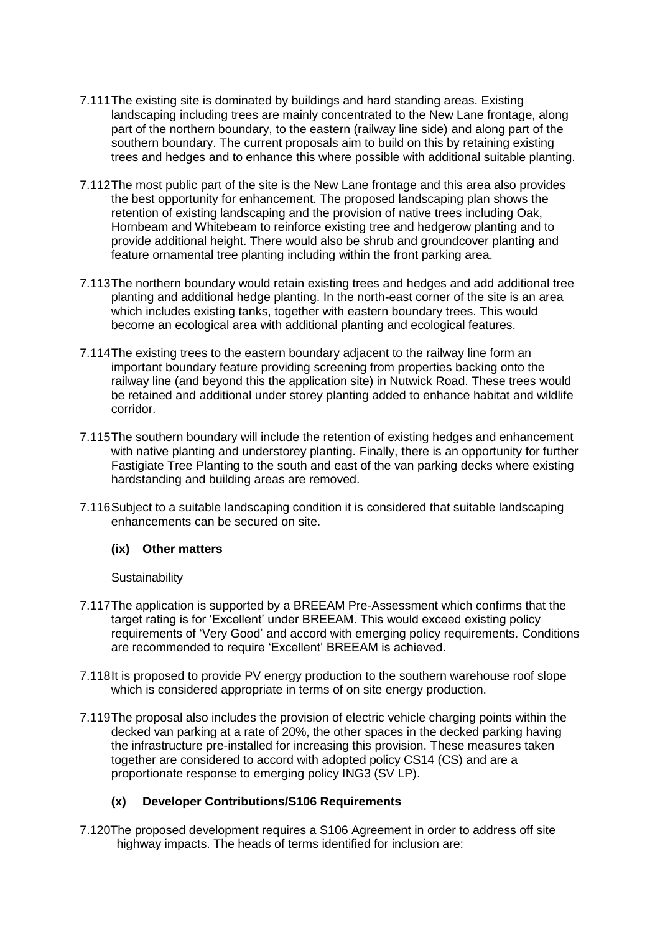- 7.111The existing site is dominated by buildings and hard standing areas. Existing landscaping including trees are mainly concentrated to the New Lane frontage, along part of the northern boundary, to the eastern (railway line side) and along part of the southern boundary. The current proposals aim to build on this by retaining existing trees and hedges and to enhance this where possible with additional suitable planting.
- 7.112The most public part of the site is the New Lane frontage and this area also provides the best opportunity for enhancement. The proposed landscaping plan shows the retention of existing landscaping and the provision of native trees including Oak, Hornbeam and Whitebeam to reinforce existing tree and hedgerow planting and to provide additional height. There would also be shrub and groundcover planting and feature ornamental tree planting including within the front parking area.
- 7.113The northern boundary would retain existing trees and hedges and add additional tree planting and additional hedge planting. In the north-east corner of the site is an area which includes existing tanks, together with eastern boundary trees. This would become an ecological area with additional planting and ecological features.
- 7.114The existing trees to the eastern boundary adjacent to the railway line form an important boundary feature providing screening from properties backing onto the railway line (and beyond this the application site) in Nutwick Road. These trees would be retained and additional under storey planting added to enhance habitat and wildlife corridor.
- 7.115The southern boundary will include the retention of existing hedges and enhancement with native planting and understorey planting. Finally, there is an opportunity for further Fastigiate Tree Planting to the south and east of the van parking decks where existing hardstanding and building areas are removed.
- 7.116Subject to a suitable landscaping condition it is considered that suitable landscaping enhancements can be secured on site.

# **(ix) Other matters**

**Sustainability** 

- 7.117The application is supported by a BREEAM Pre-Assessment which confirms that the target rating is for 'Excellent' under BREEAM. This would exceed existing policy requirements of 'Very Good' and accord with emerging policy requirements. Conditions are recommended to require 'Excellent' BREEAM is achieved.
- 7.118It is proposed to provide PV energy production to the southern warehouse roof slope which is considered appropriate in terms of on site energy production.
- 7.119The proposal also includes the provision of electric vehicle charging points within the decked van parking at a rate of 20%, the other spaces in the decked parking having the infrastructure pre-installed for increasing this provision. These measures taken together are considered to accord with adopted policy CS14 (CS) and are a proportionate response to emerging policy ING3 (SV LP).

# **(x) Developer Contributions/S106 Requirements**

7.120The proposed development requires a S106 Agreement in order to address off site highway impacts. The heads of terms identified for inclusion are: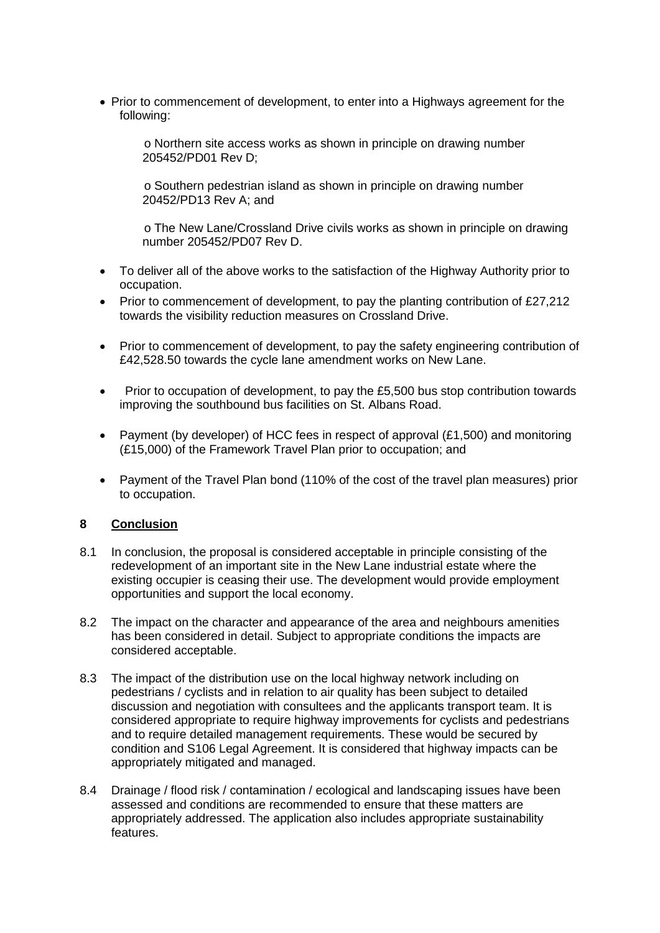• Prior to commencement of development, to enter into a Highways agreement for the following:

o Northern site access works as shown in principle on drawing number 205452/PD01 Rev D;

o Southern pedestrian island as shown in principle on drawing number 20452/PD13 Rev A; and

o The New Lane/Crossland Drive civils works as shown in principle on drawing number 205452/PD07 Rev D.

- To deliver all of the above works to the satisfaction of the Highway Authority prior to occupation.
- Prior to commencement of development, to pay the planting contribution of £27,212 towards the visibility reduction measures on Crossland Drive.
- Prior to commencement of development, to pay the safety engineering contribution of £42,528.50 towards the cycle lane amendment works on New Lane.
- Prior to occupation of development, to pay the £5,500 bus stop contribution towards improving the southbound bus facilities on St. Albans Road.
- Payment (by developer) of HCC fees in respect of approval (£1,500) and monitoring (£15,000) of the Framework Travel Plan prior to occupation; and
- Payment of the Travel Plan bond (110% of the cost of the travel plan measures) prior to occupation.

# **8 Conclusion**

- 8.1 In conclusion, the proposal is considered acceptable in principle consisting of the redevelopment of an important site in the New Lane industrial estate where the existing occupier is ceasing their use. The development would provide employment opportunities and support the local economy.
- 8.2 The impact on the character and appearance of the area and neighbours amenities has been considered in detail. Subject to appropriate conditions the impacts are considered acceptable.
- 8.3 The impact of the distribution use on the local highway network including on pedestrians / cyclists and in relation to air quality has been subject to detailed discussion and negotiation with consultees and the applicants transport team. It is considered appropriate to require highway improvements for cyclists and pedestrians and to require detailed management requirements. These would be secured by condition and S106 Legal Agreement. It is considered that highway impacts can be appropriately mitigated and managed.
- 8.4 Drainage / flood risk / contamination / ecological and landscaping issues have been assessed and conditions are recommended to ensure that these matters are appropriately addressed. The application also includes appropriate sustainability features.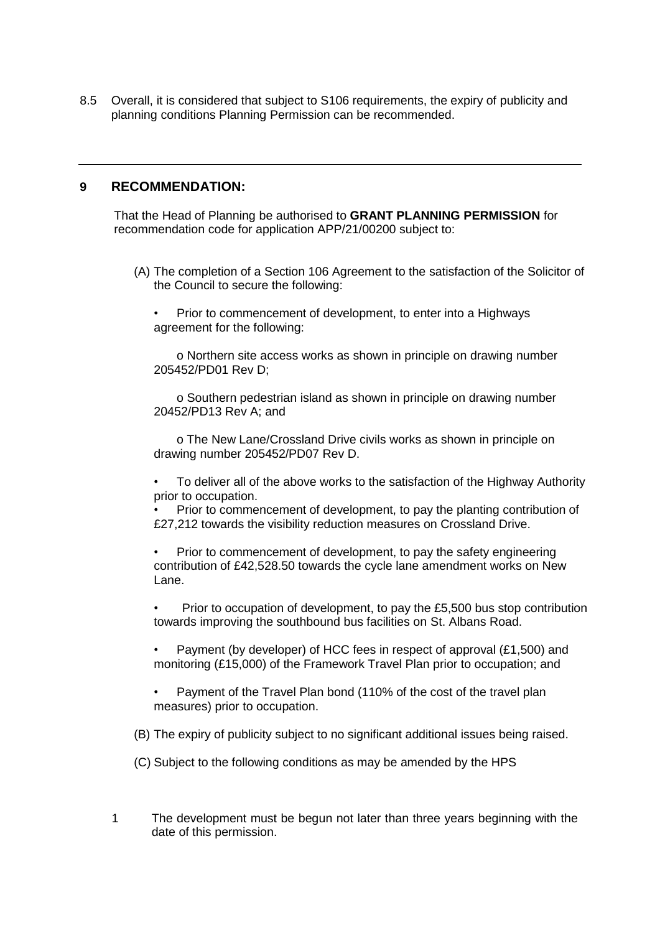8.5 Overall, it is considered that subject to S106 requirements, the expiry of publicity and planning conditions Planning Permission can be recommended.

## **9 RECOMMENDATION:**

That the Head of Planning be authorised to **GRANT PLANNING PERMISSION** for recommendation code for application APP/21/00200 subject to:

- (A) The completion of a Section 106 Agreement to the satisfaction of the Solicitor of the Council to secure the following:
	- Prior to commencement of development, to enter into a Highways agreement for the following:

o Northern site access works as shown in principle on drawing number 205452/PD01 Rev D;

o Southern pedestrian island as shown in principle on drawing number 20452/PD13 Rev A; and

o The New Lane/Crossland Drive civils works as shown in principle on drawing number 205452/PD07 Rev D.

• To deliver all of the above works to the satisfaction of the Highway Authority prior to occupation.

• Prior to commencement of development, to pay the planting contribution of £27,212 towards the visibility reduction measures on Crossland Drive.

• Prior to commencement of development, to pay the safety engineering contribution of £42,528.50 towards the cycle lane amendment works on New Lane.

• Prior to occupation of development, to pay the £5,500 bus stop contribution towards improving the southbound bus facilities on St. Albans Road.

• Payment (by developer) of HCC fees in respect of approval (£1,500) and monitoring (£15,000) of the Framework Travel Plan prior to occupation; and

• Payment of the Travel Plan bond (110% of the cost of the travel plan measures) prior to occupation.

(B) The expiry of publicity subject to no significant additional issues being raised.

- (C) Subject to the following conditions as may be amended by the HPS
- 1 The development must be begun not later than three years beginning with the date of this permission.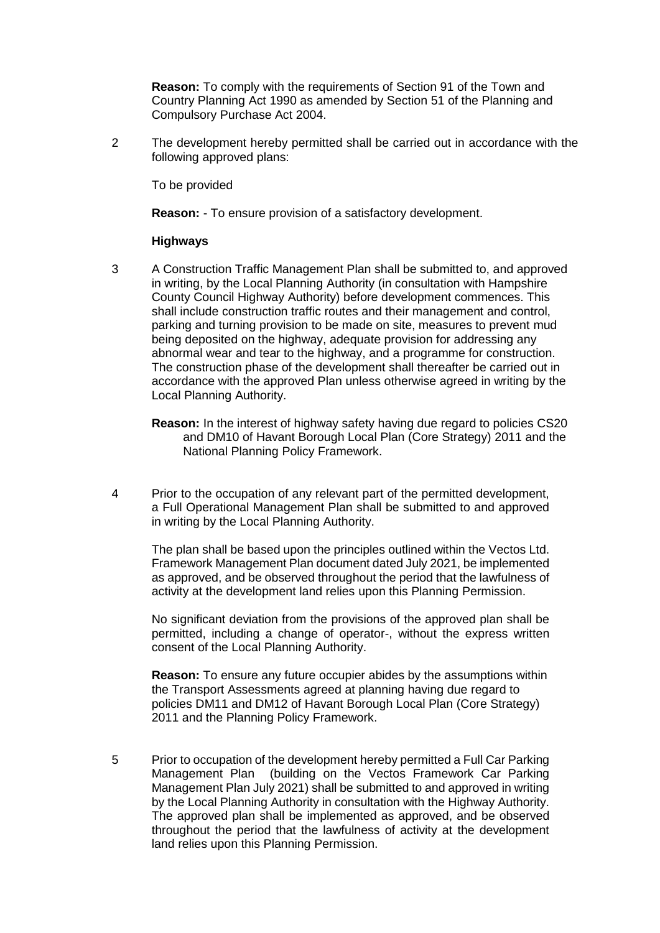**Reason:** To comply with the requirements of Section 91 of the Town and Country Planning Act 1990 as amended by Section 51 of the Planning and Compulsory Purchase Act 2004.

2 The development hereby permitted shall be carried out in accordance with the following approved plans:

To be provided

**Reason:** - To ensure provision of a satisfactory development.

## **Highways**

- 3 A Construction Traffic Management Plan shall be submitted to, and approved in writing, by the Local Planning Authority (in consultation with Hampshire County Council Highway Authority) before development commences. This shall include construction traffic routes and their management and control, parking and turning provision to be made on site, measures to prevent mud being deposited on the highway, adequate provision for addressing any abnormal wear and tear to the highway, and a programme for construction. The construction phase of the development shall thereafter be carried out in accordance with the approved Plan unless otherwise agreed in writing by the Local Planning Authority.
	- **Reason:** In the interest of highway safety having due regard to policies CS20 and DM10 of Havant Borough Local Plan (Core Strategy) 2011 and the National Planning Policy Framework.
- 4 Prior to the occupation of any relevant part of the permitted development, a Full Operational Management Plan shall be submitted to and approved in writing by the Local Planning Authority.

The plan shall be based upon the principles outlined within the Vectos Ltd. Framework Management Plan document dated July 2021, be implemented as approved, and be observed throughout the period that the lawfulness of activity at the development land relies upon this Planning Permission.

No significant deviation from the provisions of the approved plan shall be permitted, including a change of operator-, without the express written consent of the Local Planning Authority.

**Reason:** To ensure any future occupier abides by the assumptions within the Transport Assessments agreed at planning having due regard to policies DM11 and DM12 of Havant Borough Local Plan (Core Strategy) 2011 and the Planning Policy Framework.

5 Prior to occupation of the development hereby permitted a Full Car Parking Management Plan (building on the Vectos Framework Car Parking Management Plan July 2021) shall be submitted to and approved in writing by the Local Planning Authority in consultation with the Highway Authority. The approved plan shall be implemented as approved, and be observed throughout the period that the lawfulness of activity at the development land relies upon this Planning Permission.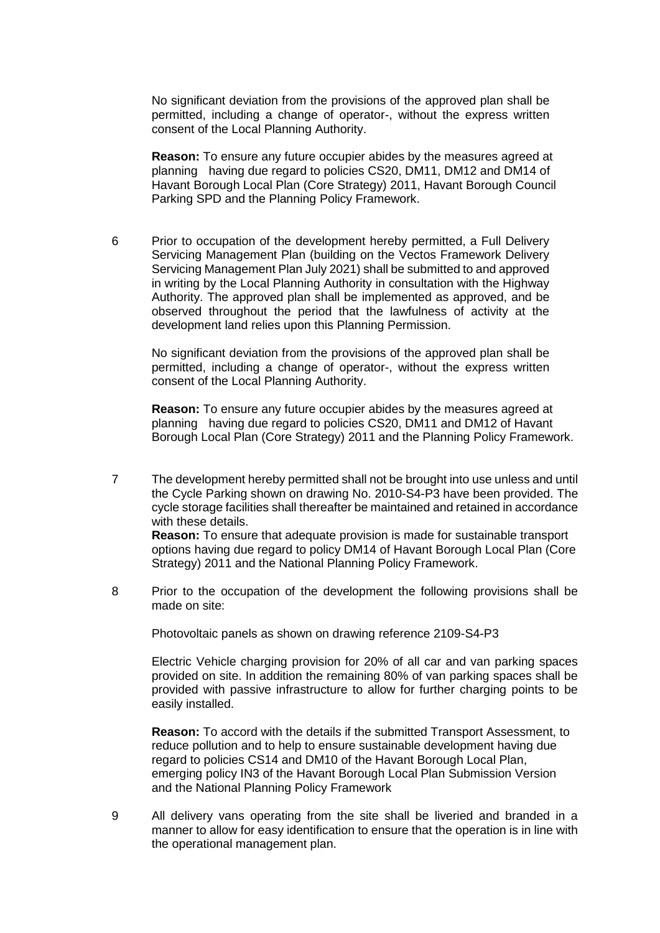No significant deviation from the provisions of the approved plan shall be permitted, including a change of operator-, without the express written consent of the Local Planning Authority.

**Reason:** To ensure any future occupier abides by the measures agreed at planning having due regard to policies CS20, DM11, DM12 and DM14 of Havant Borough Local Plan (Core Strategy) 2011, Havant Borough Council Parking SPD and the Planning Policy Framework.

6 Prior to occupation of the development hereby permitted, a Full Delivery Servicing Management Plan (building on the Vectos Framework Delivery Servicing Management Plan July 2021) shall be submitted to and approved in writing by the Local Planning Authority in consultation with the Highway Authority. The approved plan shall be implemented as approved, and be observed throughout the period that the lawfulness of activity at the development land relies upon this Planning Permission.

No significant deviation from the provisions of the approved plan shall be permitted, including a change of operator-, without the express written consent of the Local Planning Authority.

**Reason:** To ensure any future occupier abides by the measures agreed at planning having due regard to policies CS20, DM11 and DM12 of Havant Borough Local Plan (Core Strategy) 2011 and the Planning Policy Framework.

- 7 The development hereby permitted shall not be brought into use unless and until the Cycle Parking shown on drawing No. 2010-S4-P3 have been provided. The cycle storage facilities shall thereafter be maintained and retained in accordance with these details. **Reason:** To ensure that adequate provision is made for sustainable transport options having due regard to policy DM14 of Havant Borough Local Plan (Core Strategy) 2011 and the National Planning Policy Framework.
- 8 Prior to the occupation of the development the following provisions shall be made on site:

Photovoltaic panels as shown on drawing reference 2109-S4-P3

Electric Vehicle charging provision for 20% of all car and van parking spaces provided on site. In addition the remaining 80% of van parking spaces shall be provided with passive infrastructure to allow for further charging points to be easily installed.

**Reason:** To accord with the details if the submitted Transport Assessment, to reduce pollution and to help to ensure sustainable development having due regard to policies CS14 and DM10 of the Havant Borough Local Plan, emerging policy IN3 of the Havant Borough Local Plan Submission Version and the National Planning Policy Framework

9 All delivery vans operating from the site shall be liveried and branded in a manner to allow for easy identification to ensure that the operation is in line with the operational management plan.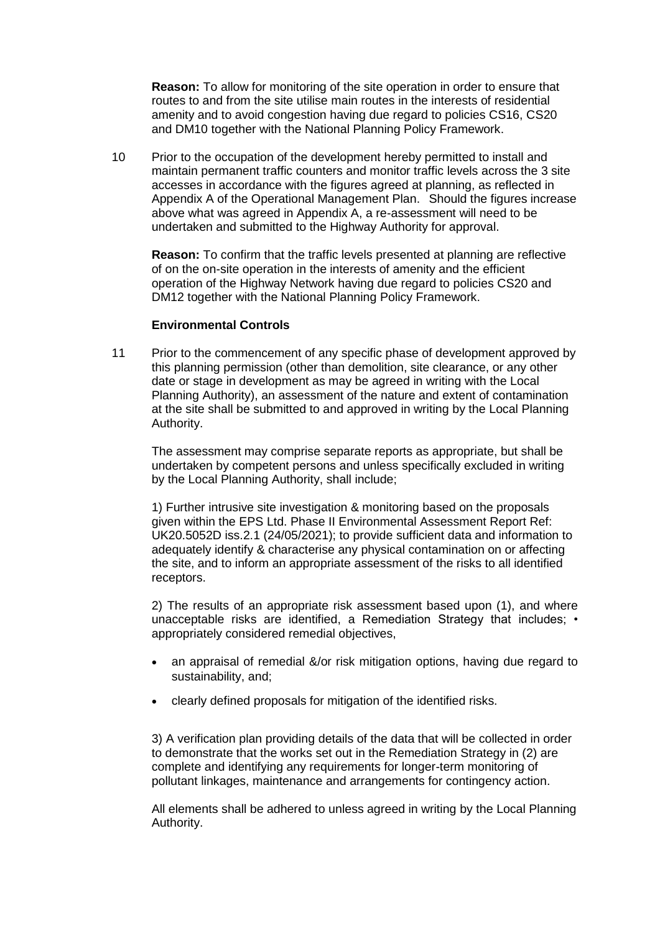**Reason:** To allow for monitoring of the site operation in order to ensure that routes to and from the site utilise main routes in the interests of residential amenity and to avoid congestion having due regard to policies CS16, CS20 and DM10 together with the National Planning Policy Framework.

10 Prior to the occupation of the development hereby permitted to install and maintain permanent traffic counters and monitor traffic levels across the 3 site accesses in accordance with the figures agreed at planning, as reflected in Appendix A of the Operational Management Plan. Should the figures increase above what was agreed in Appendix A, a re-assessment will need to be undertaken and submitted to the Highway Authority for approval.

**Reason:** To confirm that the traffic levels presented at planning are reflective of on the on-site operation in the interests of amenity and the efficient operation of the Highway Network having due regard to policies CS20 and DM12 together with the National Planning Policy Framework.

## **Environmental Controls**

11 Prior to the commencement of any specific phase of development approved by this planning permission (other than demolition, site clearance, or any other date or stage in development as may be agreed in writing with the Local Planning Authority), an assessment of the nature and extent of contamination at the site shall be submitted to and approved in writing by the Local Planning Authority.

The assessment may comprise separate reports as appropriate, but shall be undertaken by competent persons and unless specifically excluded in writing by the Local Planning Authority, shall include;

1) Further intrusive site investigation & monitoring based on the proposals given within the EPS Ltd. Phase II Environmental Assessment Report Ref: UK20.5052D iss.2.1 (24/05/2021); to provide sufficient data and information to adequately identify & characterise any physical contamination on or affecting the site, and to inform an appropriate assessment of the risks to all identified receptors.

2) The results of an appropriate risk assessment based upon (1), and where unacceptable risks are identified, a Remediation Strategy that includes; • appropriately considered remedial objectives,

- an appraisal of remedial &/or risk mitigation options, having due regard to sustainability, and;
- clearly defined proposals for mitigation of the identified risks.

3) A verification plan providing details of the data that will be collected in order to demonstrate that the works set out in the Remediation Strategy in (2) are complete and identifying any requirements for longer-term monitoring of pollutant linkages, maintenance and arrangements for contingency action.

All elements shall be adhered to unless agreed in writing by the Local Planning Authority.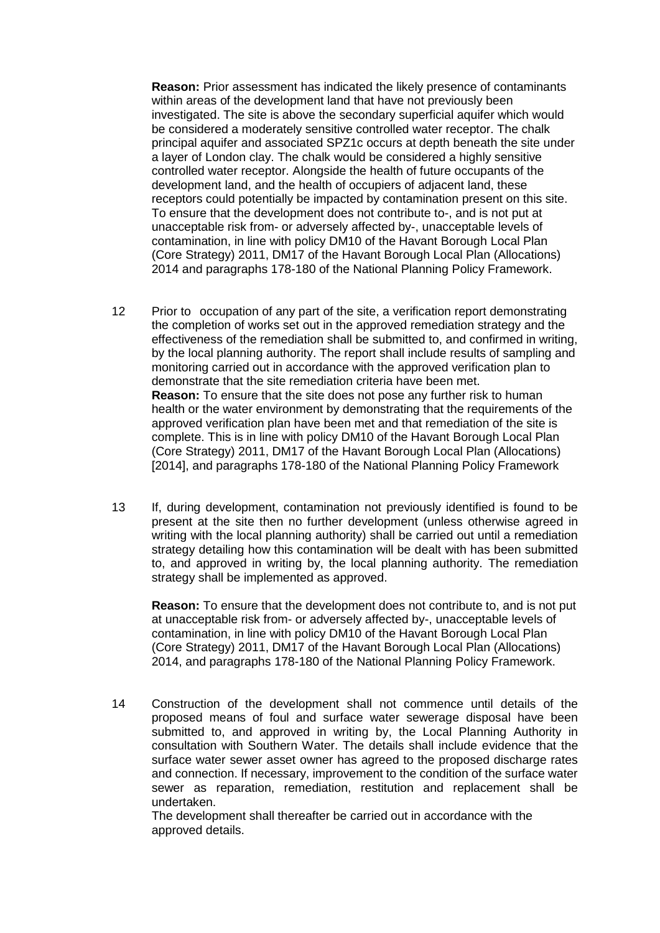**Reason:** Prior assessment has indicated the likely presence of contaminants within areas of the development land that have not previously been investigated. The site is above the secondary superficial aquifer which would be considered a moderately sensitive controlled water receptor. The chalk principal aquifer and associated SPZ1c occurs at depth beneath the site under a layer of London clay. The chalk would be considered a highly sensitive controlled water receptor. Alongside the health of future occupants of the development land, and the health of occupiers of adjacent land, these receptors could potentially be impacted by contamination present on this site. To ensure that the development does not contribute to-, and is not put at unacceptable risk from- or adversely affected by-, unacceptable levels of contamination, in line with policy DM10 of the Havant Borough Local Plan (Core Strategy) 2011, DM17 of the Havant Borough Local Plan (Allocations) 2014 and paragraphs 178-180 of the National Planning Policy Framework.

- 12 Prior to occupation of any part of the site, a verification report demonstrating the completion of works set out in the approved remediation strategy and the effectiveness of the remediation shall be submitted to, and confirmed in writing, by the local planning authority. The report shall include results of sampling and monitoring carried out in accordance with the approved verification plan to demonstrate that the site remediation criteria have been met. **Reason:** To ensure that the site does not pose any further risk to human health or the water environment by demonstrating that the requirements of the approved verification plan have been met and that remediation of the site is complete. This is in line with policy DM10 of the Havant Borough Local Plan (Core Strategy) 2011, DM17 of the Havant Borough Local Plan (Allocations) [2014], and paragraphs 178-180 of the National Planning Policy Framework
- 13 If, during development, contamination not previously identified is found to be present at the site then no further development (unless otherwise agreed in writing with the local planning authority) shall be carried out until a remediation strategy detailing how this contamination will be dealt with has been submitted to, and approved in writing by, the local planning authority. The remediation strategy shall be implemented as approved.

**Reason:** To ensure that the development does not contribute to, and is not put at unacceptable risk from- or adversely affected by-, unacceptable levels of contamination, in line with policy DM10 of the Havant Borough Local Plan (Core Strategy) 2011, DM17 of the Havant Borough Local Plan (Allocations) 2014, and paragraphs 178-180 of the National Planning Policy Framework.

14 Construction of the development shall not commence until details of the proposed means of foul and surface water sewerage disposal have been submitted to, and approved in writing by, the Local Planning Authority in consultation with Southern Water. The details shall include evidence that the surface water sewer asset owner has agreed to the proposed discharge rates and connection. If necessary, improvement to the condition of the surface water sewer as reparation, remediation, restitution and replacement shall be undertaken.

The development shall thereafter be carried out in accordance with the approved details.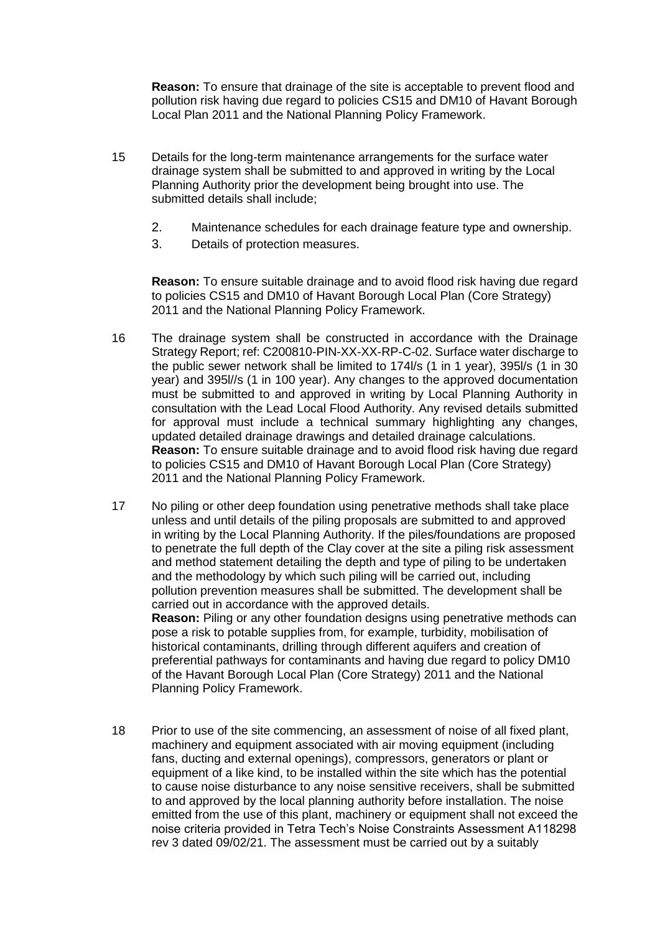**Reason:** To ensure that drainage of the site is acceptable to prevent flood and pollution risk having due regard to policies CS15 and DM10 of Havant Borough Local Plan 2011 and the National Planning Policy Framework.

- 15 Details for the long-term maintenance arrangements for the surface water drainage system shall be submitted to and approved in writing by the Local Planning Authority prior the development being brought into use. The submitted details shall include;
	- 2. Maintenance schedules for each drainage feature type and ownership.
	- 3. Details of protection measures.

**Reason:** To ensure suitable drainage and to avoid flood risk having due regard to policies CS15 and DM10 of Havant Borough Local Plan (Core Strategy) 2011 and the National Planning Policy Framework.

16 The drainage system shall be constructed in accordance with the Drainage Strategy Report; ref: C200810-PIN-XX-XX-RP-C-02. Surface water discharge to the public sewer network shall be limited to 174l/s (1 in 1 year), 395l/s (1 in 30 year) and 395l//s (1 in 100 year). Any changes to the approved documentation must be submitted to and approved in writing by Local Planning Authority in consultation with the Lead Local Flood Authority. Any revised details submitted for approval must include a technical summary highlighting any changes, updated detailed drainage drawings and detailed drainage calculations. **Reason:** To ensure suitable drainage and to avoid flood risk having due regard to policies CS15 and DM10 of Havant Borough Local Plan (Core Strategy) 2011 and the National Planning Policy Framework.

17 No piling or other deep foundation using penetrative methods shall take place unless and until details of the piling proposals are submitted to and approved in writing by the Local Planning Authority. If the piles/foundations are proposed to penetrate the full depth of the Clay cover at the site a piling risk assessment and method statement detailing the depth and type of piling to be undertaken and the methodology by which such piling will be carried out, including pollution prevention measures shall be submitted. The development shall be carried out in accordance with the approved details. **Reason:** Piling or any other foundation designs using penetrative methods can

pose a risk to potable supplies from, for example, turbidity, mobilisation of historical contaminants, drilling through different aquifers and creation of preferential pathways for contaminants and having due regard to policy DM10 of the Havant Borough Local Plan (Core Strategy) 2011 and the National Planning Policy Framework.

18 Prior to use of the site commencing, an assessment of noise of all fixed plant, machinery and equipment associated with air moving equipment (including fans, ducting and external openings), compressors, generators or plant or equipment of a like kind, to be installed within the site which has the potential to cause noise disturbance to any noise sensitive receivers, shall be submitted to and approved by the local planning authority before installation. The noise emitted from the use of this plant, machinery or equipment shall not exceed the noise criteria provided in Tetra Tech's Noise Constraints Assessment A118298 rev 3 dated 09/02/21. The assessment must be carried out by a suitably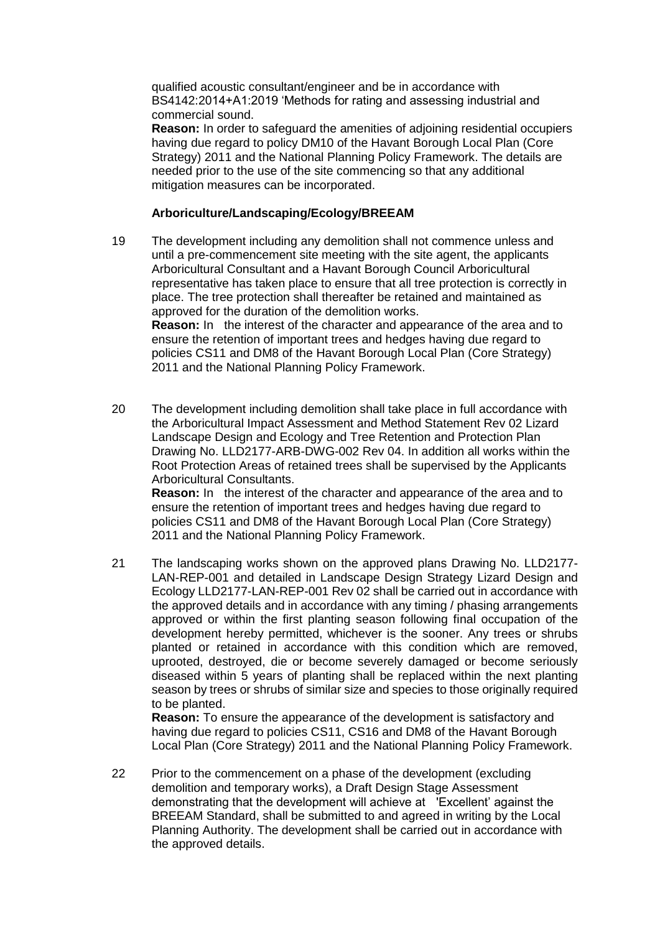qualified acoustic consultant/engineer and be in accordance with BS4142:2014+A1:2019 'Methods for rating and assessing industrial and commercial sound.

**Reason:** In order to safeguard the amenities of adjoining residential occupiers having due regard to policy DM10 of the Havant Borough Local Plan (Core Strategy) 2011 and the National Planning Policy Framework. The details are needed prior to the use of the site commencing so that any additional mitigation measures can be incorporated.

# **Arboriculture/Landscaping/Ecology/BREEAM**

19 The development including any demolition shall not commence unless and until a pre-commencement site meeting with the site agent, the applicants Arboricultural Consultant and a Havant Borough Council Arboricultural representative has taken place to ensure that all tree protection is correctly in place. The tree protection shall thereafter be retained and maintained as approved for the duration of the demolition works. **Reason:** In the interest of the character and appearance of the area and to ensure the retention of important trees and hedges having due regard to

policies CS11 and DM8 of the Havant Borough Local Plan (Core Strategy) 2011 and the National Planning Policy Framework.

20 The development including demolition shall take place in full accordance with the Arboricultural Impact Assessment and Method Statement Rev 02 Lizard Landscape Design and Ecology and Tree Retention and Protection Plan Drawing No. LLD2177-ARB-DWG-002 Rev 04. In addition all works within the Root Protection Areas of retained trees shall be supervised by the Applicants Arboricultural Consultants.

**Reason:** In the interest of the character and appearance of the area and to ensure the retention of important trees and hedges having due regard to policies CS11 and DM8 of the Havant Borough Local Plan (Core Strategy) 2011 and the National Planning Policy Framework.

21 The landscaping works shown on the approved plans Drawing No. LLD2177- LAN-REP-001 and detailed in Landscape Design Strategy Lizard Design and Ecology LLD2177-LAN-REP-001 Rev 02 shall be carried out in accordance with the approved details and in accordance with any timing / phasing arrangements approved or within the first planting season following final occupation of the development hereby permitted, whichever is the sooner. Any trees or shrubs planted or retained in accordance with this condition which are removed, uprooted, destroyed, die or become severely damaged or become seriously diseased within 5 years of planting shall be replaced within the next planting season by trees or shrubs of similar size and species to those originally required to be planted.

**Reason:** To ensure the appearance of the development is satisfactory and having due regard to policies CS11, CS16 and DM8 of the Havant Borough Local Plan (Core Strategy) 2011 and the National Planning Policy Framework.

22 Prior to the commencement on a phase of the development (excluding demolition and temporary works), a Draft Design Stage Assessment demonstrating that the development will achieve at 'Excellent' against the BREEAM Standard, shall be submitted to and agreed in writing by the Local Planning Authority. The development shall be carried out in accordance with the approved details.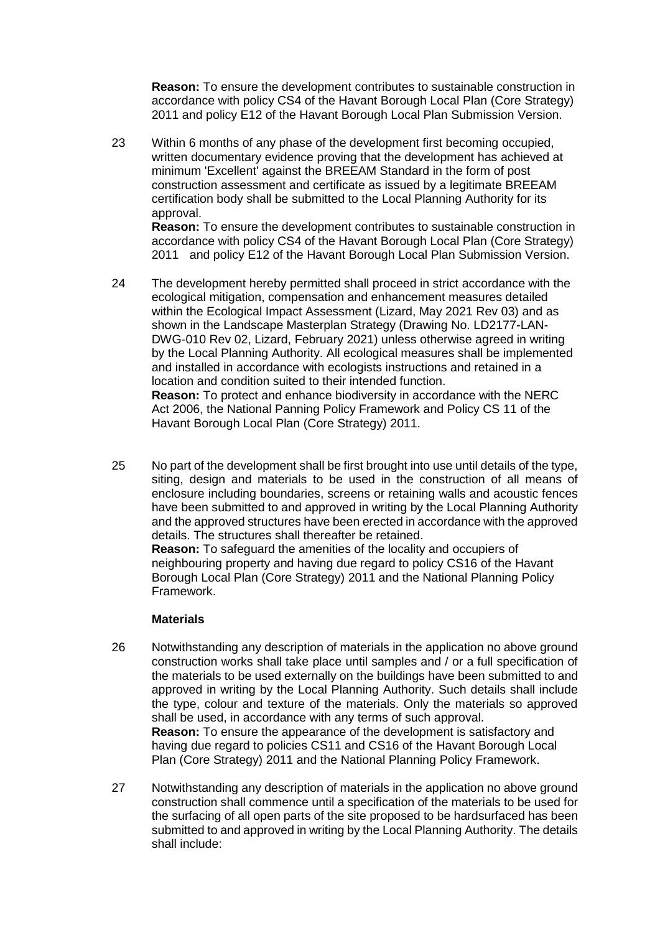**Reason:** To ensure the development contributes to sustainable construction in accordance with policy CS4 of the Havant Borough Local Plan (Core Strategy) 2011 and policy E12 of the Havant Borough Local Plan Submission Version.

23 Within 6 months of any phase of the development first becoming occupied, written documentary evidence proving that the development has achieved at minimum 'Excellent' against the BREEAM Standard in the form of post construction assessment and certificate as issued by a legitimate BREEAM certification body shall be submitted to the Local Planning Authority for its approval.

**Reason:** To ensure the development contributes to sustainable construction in accordance with policy CS4 of the Havant Borough Local Plan (Core Strategy) 2011 and policy E12 of the Havant Borough Local Plan Submission Version.

- 24 The development hereby permitted shall proceed in strict accordance with the ecological mitigation, compensation and enhancement measures detailed within the Ecological Impact Assessment (Lizard, May 2021 Rev 03) and as shown in the Landscape Masterplan Strategy (Drawing No. LD2177-LAN-DWG-010 Rev 02, Lizard, February 2021) unless otherwise agreed in writing by the Local Planning Authority. All ecological measures shall be implemented and installed in accordance with ecologists instructions and retained in a location and condition suited to their intended function. **Reason:** To protect and enhance biodiversity in accordance with the NERC Act 2006, the National Panning Policy Framework and Policy CS 11 of the Havant Borough Local Plan (Core Strategy) 2011.
- 25 No part of the development shall be first brought into use until details of the type, siting, design and materials to be used in the construction of all means of enclosure including boundaries, screens or retaining walls and acoustic fences have been submitted to and approved in writing by the Local Planning Authority and the approved structures have been erected in accordance with the approved details. The structures shall thereafter be retained.

**Reason:** To safeguard the amenities of the locality and occupiers of neighbouring property and having due regard to policy CS16 of the Havant Borough Local Plan (Core Strategy) 2011 and the National Planning Policy Framework.

# **Materials**

- 26 Notwithstanding any description of materials in the application no above ground construction works shall take place until samples and / or a full specification of the materials to be used externally on the buildings have been submitted to and approved in writing by the Local Planning Authority. Such details shall include the type, colour and texture of the materials. Only the materials so approved shall be used, in accordance with any terms of such approval. **Reason:** To ensure the appearance of the development is satisfactory and having due regard to policies CS11 and CS16 of the Havant Borough Local Plan (Core Strategy) 2011 and the National Planning Policy Framework.
- 27 Notwithstanding any description of materials in the application no above ground construction shall commence until a specification of the materials to be used for the surfacing of all open parts of the site proposed to be hardsurfaced has been submitted to and approved in writing by the Local Planning Authority. The details shall include: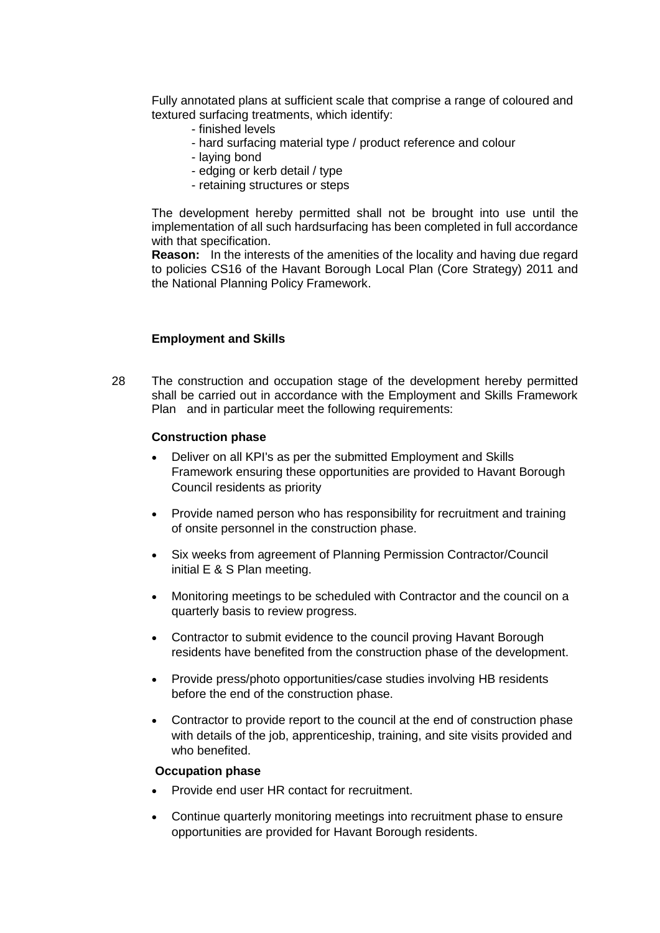Fully annotated plans at sufficient scale that comprise a range of coloured and textured surfacing treatments, which identify:

- finished levels
- hard surfacing material type / product reference and colour
- laying bond
- edging or kerb detail / type
- retaining structures or steps

The development hereby permitted shall not be brought into use until the implementation of all such hardsurfacing has been completed in full accordance with that specification.

**Reason:** In the interests of the amenities of the locality and having due regard to policies CS16 of the Havant Borough Local Plan (Core Strategy) 2011 and the National Planning Policy Framework.

### **Employment and Skills**

28 The construction and occupation stage of the development hereby permitted shall be carried out in accordance with the Employment and Skills Framework Plan and in particular meet the following requirements:

### **Construction phase**

- Deliver on all KPI's as per the submitted Employment and Skills Framework ensuring these opportunities are provided to Havant Borough Council residents as priority
- Provide named person who has responsibility for recruitment and training of onsite personnel in the construction phase.
- Six weeks from agreement of Planning Permission Contractor/Council initial E & S Plan meeting.
- Monitoring meetings to be scheduled with Contractor and the council on a quarterly basis to review progress.
- Contractor to submit evidence to the council proving Havant Borough residents have benefited from the construction phase of the development.
- Provide press/photo opportunities/case studies involving HB residents before the end of the construction phase.
- Contractor to provide report to the council at the end of construction phase with details of the job, apprenticeship, training, and site visits provided and who benefited.

## **Occupation phase**

- Provide end user HR contact for recruitment.
- Continue quarterly monitoring meetings into recruitment phase to ensure opportunities are provided for Havant Borough residents.